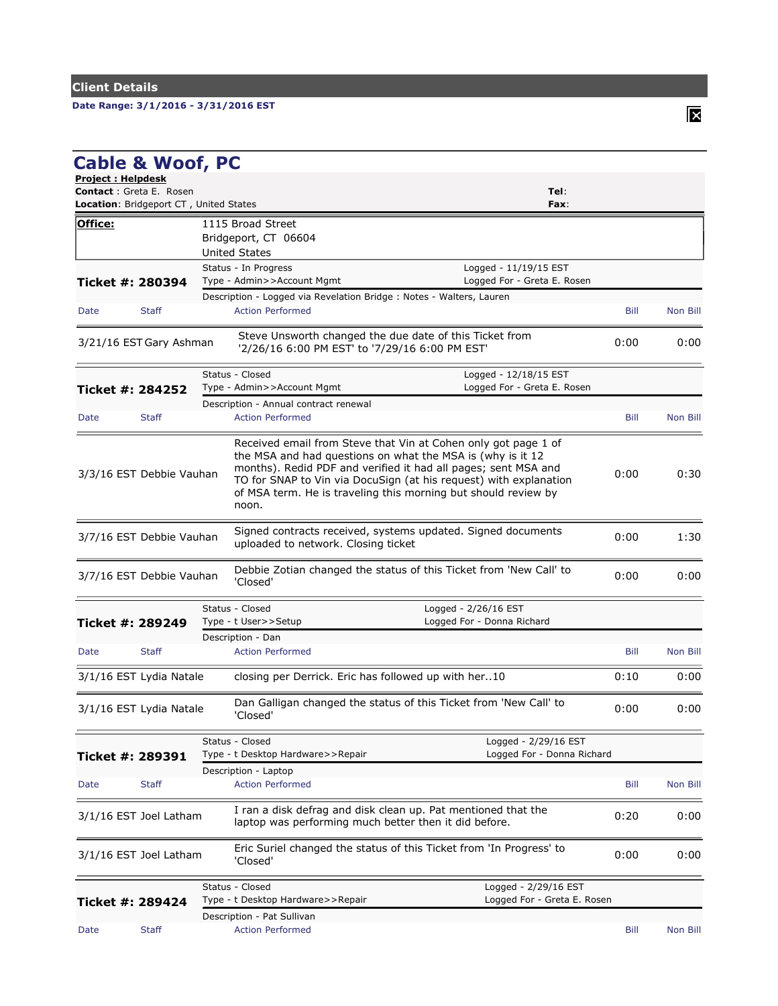## **Date Range: 3/1/2016 - 3/31/2016 EST**

| <b>Project: Helpdesk</b><br><b>Contact: Greta E. Rosen</b> | <b>Cable &amp; Woof, PC</b>                   | Tel:                                                                                                                                                                                                                                                                                                                                           |      |          |
|------------------------------------------------------------|-----------------------------------------------|------------------------------------------------------------------------------------------------------------------------------------------------------------------------------------------------------------------------------------------------------------------------------------------------------------------------------------------------|------|----------|
|                                                            | <b>Location:</b> Bridgeport CT, United States | Fax:                                                                                                                                                                                                                                                                                                                                           |      |          |
| Office:                                                    |                                               | 1115 Broad Street                                                                                                                                                                                                                                                                                                                              |      |          |
|                                                            |                                               | Bridgeport, CT 06604                                                                                                                                                                                                                                                                                                                           |      |          |
|                                                            |                                               | <b>United States</b>                                                                                                                                                                                                                                                                                                                           |      |          |
|                                                            |                                               | Status - In Progress<br>Logged - 11/19/15 EST                                                                                                                                                                                                                                                                                                  |      |          |
| Ticket #: 280394                                           |                                               | Type - Admin>>Account Mgmt<br>Logged For - Greta E. Rosen                                                                                                                                                                                                                                                                                      |      |          |
|                                                            |                                               | Description - Logged via Revelation Bridge : Notes - Walters, Lauren                                                                                                                                                                                                                                                                           |      |          |
| Date                                                       | <b>Staff</b>                                  | <b>Action Performed</b>                                                                                                                                                                                                                                                                                                                        | Bill | Non Bill |
|                                                            | 3/21/16 EST Gary Ashman                       | Steve Unsworth changed the due date of this Ticket from<br>'2/26/16 6:00 PM EST' to '7/29/16 6:00 PM EST'                                                                                                                                                                                                                                      | 0:00 | 0:00     |
|                                                            |                                               | Status - Closed<br>Logged - 12/18/15 EST                                                                                                                                                                                                                                                                                                       |      |          |
| Ticket #: 284252                                           |                                               | Logged For - Greta E. Rosen<br>Type - Admin>>Account Mgmt                                                                                                                                                                                                                                                                                      |      |          |
|                                                            |                                               | Description - Annual contract renewal                                                                                                                                                                                                                                                                                                          |      |          |
| Date                                                       | <b>Staff</b>                                  | <b>Action Performed</b>                                                                                                                                                                                                                                                                                                                        | Bill | Non Bill |
|                                                            | 3/3/16 EST Debbie Vauhan                      | Received email from Steve that Vin at Cohen only got page 1 of<br>the MSA and had questions on what the MSA is (why is it 12<br>months). Redid PDF and verified it had all pages; sent MSA and<br>TO for SNAP to Vin via DocuSign (at his request) with explanation<br>of MSA term. He is traveling this morning but should review by<br>noon. | 0:00 | 0:30     |
|                                                            | 3/7/16 EST Debbie Vauhan                      | Signed contracts received, systems updated. Signed documents<br>uploaded to network. Closing ticket                                                                                                                                                                                                                                            | 0:00 | 1:30     |
|                                                            | 3/7/16 EST Debbie Vauhan                      | Debbie Zotian changed the status of this Ticket from 'New Call' to<br>'Closed'                                                                                                                                                                                                                                                                 | 0:00 | 0:00     |
|                                                            |                                               | Status - Closed<br>Logged - 2/26/16 EST                                                                                                                                                                                                                                                                                                        |      |          |
| Ticket #: 289249                                           |                                               | Logged For - Donna Richard<br>Type - t User>>Setup                                                                                                                                                                                                                                                                                             |      |          |
|                                                            |                                               | Description - Dan                                                                                                                                                                                                                                                                                                                              |      |          |
| Date                                                       | <b>Staff</b>                                  | <b>Action Performed</b>                                                                                                                                                                                                                                                                                                                        | Bill | Non Bill |
|                                                            | 3/1/16 EST Lydia Natale                       | closing per Derrick. Eric has followed up with her10                                                                                                                                                                                                                                                                                           | 0:10 | 0:00     |
|                                                            | 3/1/16 EST Lydia Natale                       | Dan Galligan changed the status of this Ticket from 'New Call' to<br>'Closed'                                                                                                                                                                                                                                                                  | 0:00 | 0:00     |
|                                                            |                                               | Status - Closed<br>Logged - 2/29/16 EST                                                                                                                                                                                                                                                                                                        |      |          |
| Ticket #: 289391                                           |                                               | Type - t Desktop Hardware>>Repair<br>Logged For - Donna Richard                                                                                                                                                                                                                                                                                |      |          |
|                                                            |                                               | Description - Laptop                                                                                                                                                                                                                                                                                                                           |      |          |
| Date                                                       | <b>Staff</b>                                  | <b>Action Performed</b>                                                                                                                                                                                                                                                                                                                        | Bill | Non Bill |
|                                                            | 3/1/16 EST Joel Latham                        | I ran a disk defrag and disk clean up. Pat mentioned that the<br>laptop was performing much better then it did before.                                                                                                                                                                                                                         | 0:20 | 0:00     |
|                                                            | 3/1/16 EST Joel Latham                        | Eric Suriel changed the status of this Ticket from 'In Progress' to<br>'Closed'                                                                                                                                                                                                                                                                | 0:00 | 0:00     |
| Ticket #: 289424                                           |                                               | Status - Closed<br>Logged - 2/29/16 EST<br>Type - t Desktop Hardware>>Repair<br>Logged For - Greta E. Rosen                                                                                                                                                                                                                                    |      |          |
|                                                            |                                               | Description - Pat Sullivan                                                                                                                                                                                                                                                                                                                     |      |          |
| Date                                                       | <b>Staff</b>                                  | <b>Action Performed</b>                                                                                                                                                                                                                                                                                                                        | Bill | Non Bill |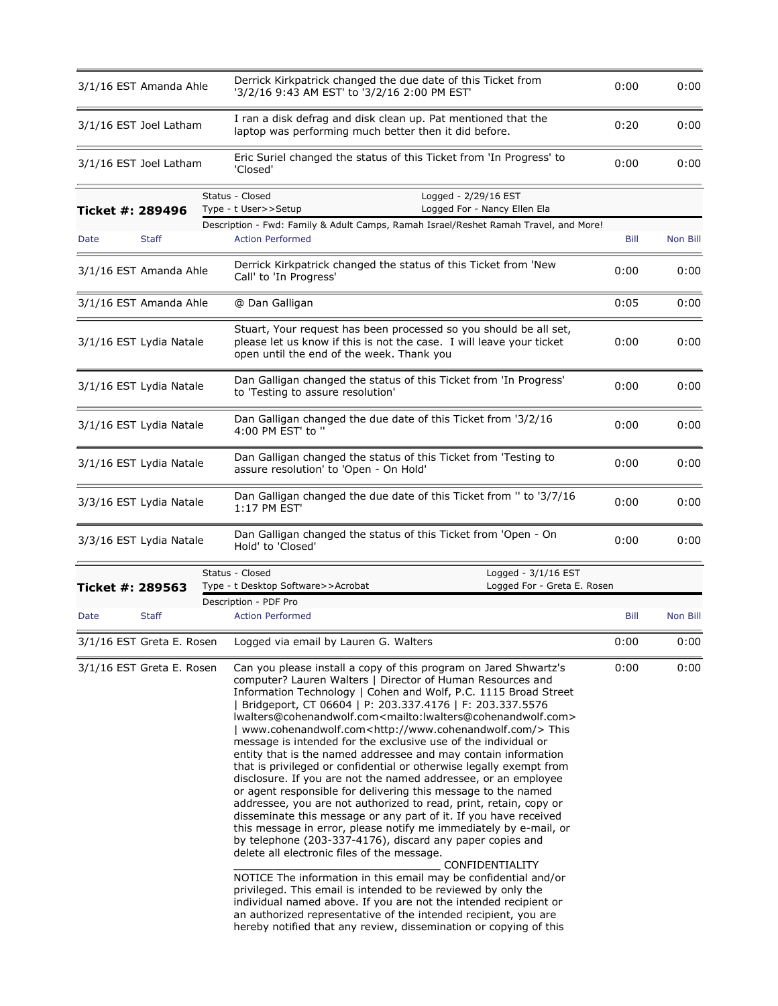|                  | 3/1/16 EST Amanda Ahle    | Derrick Kirkpatrick changed the due date of this Ticket from<br>'3/2/16 9:43 AM EST' to '3/2/16 2:00 PM EST'                                                                                                                                                                                                                                                                                                                                                                                                                                                                                                                                                                                                                                                                                                                                                                                                                                                                                                                                                                                                                                                                                                                                                                                                                                                                                                                                                                                        | 0:00 | 0:00     |
|------------------|---------------------------|-----------------------------------------------------------------------------------------------------------------------------------------------------------------------------------------------------------------------------------------------------------------------------------------------------------------------------------------------------------------------------------------------------------------------------------------------------------------------------------------------------------------------------------------------------------------------------------------------------------------------------------------------------------------------------------------------------------------------------------------------------------------------------------------------------------------------------------------------------------------------------------------------------------------------------------------------------------------------------------------------------------------------------------------------------------------------------------------------------------------------------------------------------------------------------------------------------------------------------------------------------------------------------------------------------------------------------------------------------------------------------------------------------------------------------------------------------------------------------------------------------|------|----------|
|                  | 3/1/16 EST Joel Latham    | I ran a disk defrag and disk clean up. Pat mentioned that the<br>laptop was performing much better then it did before.                                                                                                                                                                                                                                                                                                                                                                                                                                                                                                                                                                                                                                                                                                                                                                                                                                                                                                                                                                                                                                                                                                                                                                                                                                                                                                                                                                              | 0:20 | 0:00     |
|                  | 3/1/16 EST Joel Latham    | Eric Suriel changed the status of this Ticket from 'In Progress' to<br>'Closed'                                                                                                                                                                                                                                                                                                                                                                                                                                                                                                                                                                                                                                                                                                                                                                                                                                                                                                                                                                                                                                                                                                                                                                                                                                                                                                                                                                                                                     | 0:00 | 0:00     |
| Ticket #: 289496 |                           | Status - Closed<br>Logged - 2/29/16 EST<br>Type - t User>>Setup<br>Logged For - Nancy Ellen Ela                                                                                                                                                                                                                                                                                                                                                                                                                                                                                                                                                                                                                                                                                                                                                                                                                                                                                                                                                                                                                                                                                                                                                                                                                                                                                                                                                                                                     |      |          |
| Date             | <b>Staff</b>              | Description - Fwd: Family & Adult Camps, Ramah Israel/Reshet Ramah Travel, and More!<br><b>Action Performed</b>                                                                                                                                                                                                                                                                                                                                                                                                                                                                                                                                                                                                                                                                                                                                                                                                                                                                                                                                                                                                                                                                                                                                                                                                                                                                                                                                                                                     | Bill | Non Bill |
|                  | 3/1/16 EST Amanda Ahle    | Derrick Kirkpatrick changed the status of this Ticket from 'New<br>Call' to 'In Progress'                                                                                                                                                                                                                                                                                                                                                                                                                                                                                                                                                                                                                                                                                                                                                                                                                                                                                                                                                                                                                                                                                                                                                                                                                                                                                                                                                                                                           | 0:00 | 0:00     |
|                  | 3/1/16 EST Amanda Ahle    | @ Dan Galligan                                                                                                                                                                                                                                                                                                                                                                                                                                                                                                                                                                                                                                                                                                                                                                                                                                                                                                                                                                                                                                                                                                                                                                                                                                                                                                                                                                                                                                                                                      | 0:05 | 0:00     |
|                  | 3/1/16 EST Lydia Natale   | Stuart, Your request has been processed so you should be all set,<br>please let us know if this is not the case. I will leave your ticket<br>open until the end of the week. Thank you                                                                                                                                                                                                                                                                                                                                                                                                                                                                                                                                                                                                                                                                                                                                                                                                                                                                                                                                                                                                                                                                                                                                                                                                                                                                                                              | 0:00 | 0:00     |
|                  | 3/1/16 EST Lydia Natale   | Dan Galligan changed the status of this Ticket from 'In Progress'<br>to 'Testing to assure resolution'                                                                                                                                                                                                                                                                                                                                                                                                                                                                                                                                                                                                                                                                                                                                                                                                                                                                                                                                                                                                                                                                                                                                                                                                                                                                                                                                                                                              | 0:00 | 0:00     |
|                  | 3/1/16 EST Lydia Natale   | Dan Galligan changed the due date of this Ticket from '3/2/16<br>4:00 PM EST' to "                                                                                                                                                                                                                                                                                                                                                                                                                                                                                                                                                                                                                                                                                                                                                                                                                                                                                                                                                                                                                                                                                                                                                                                                                                                                                                                                                                                                                  | 0:00 | 0:00     |
|                  | 3/1/16 EST Lydia Natale   | Dan Galligan changed the status of this Ticket from 'Testing to<br>assure resolution' to 'Open - On Hold'                                                                                                                                                                                                                                                                                                                                                                                                                                                                                                                                                                                                                                                                                                                                                                                                                                                                                                                                                                                                                                                                                                                                                                                                                                                                                                                                                                                           | 0:00 | 0:00     |
|                  | 3/3/16 EST Lydia Natale   | Dan Galligan changed the due date of this Ticket from " to '3/7/16<br>1:17 PM EST'                                                                                                                                                                                                                                                                                                                                                                                                                                                                                                                                                                                                                                                                                                                                                                                                                                                                                                                                                                                                                                                                                                                                                                                                                                                                                                                                                                                                                  | 0:00 | 0:00     |
|                  | 3/3/16 EST Lydia Natale   | Dan Galligan changed the status of this Ticket from 'Open - On<br>Hold' to 'Closed'                                                                                                                                                                                                                                                                                                                                                                                                                                                                                                                                                                                                                                                                                                                                                                                                                                                                                                                                                                                                                                                                                                                                                                                                                                                                                                                                                                                                                 | 0:00 | 0:00     |
|                  |                           | Logged - 3/1/16 EST<br>Status - Closed                                                                                                                                                                                                                                                                                                                                                                                                                                                                                                                                                                                                                                                                                                                                                                                                                                                                                                                                                                                                                                                                                                                                                                                                                                                                                                                                                                                                                                                              |      |          |
| Ticket #: 289563 |                           | Logged For - Greta E. Rosen<br>Type - t Desktop Software>>Acrobat                                                                                                                                                                                                                                                                                                                                                                                                                                                                                                                                                                                                                                                                                                                                                                                                                                                                                                                                                                                                                                                                                                                                                                                                                                                                                                                                                                                                                                   |      |          |
|                  |                           | Description - PDF Pro                                                                                                                                                                                                                                                                                                                                                                                                                                                                                                                                                                                                                                                                                                                                                                                                                                                                                                                                                                                                                                                                                                                                                                                                                                                                                                                                                                                                                                                                               |      |          |
| Date             | <b>Staff</b>              | <b>Action Performed</b>                                                                                                                                                                                                                                                                                                                                                                                                                                                                                                                                                                                                                                                                                                                                                                                                                                                                                                                                                                                                                                                                                                                                                                                                                                                                                                                                                                                                                                                                             | Bill | Non Bill |
|                  | 3/1/16 EST Greta E. Rosen | Logged via email by Lauren G. Walters                                                                                                                                                                                                                                                                                                                                                                                                                                                                                                                                                                                                                                                                                                                                                                                                                                                                                                                                                                                                                                                                                                                                                                                                                                                                                                                                                                                                                                                               | 0:00 | 0:00     |
|                  | 3/1/16 EST Greta E. Rosen | Can you please install a copy of this program on Jared Shwartz's<br>computer? Lauren Walters   Director of Human Resources and<br>Information Technology   Cohen and Wolf, P.C. 1115 Broad Street<br>  Bridgeport, CT 06604   P: 203.337.4176   F: 203.337.5576<br>lwalters@cohenandwolf.com <mailto:lwalters@cohenandwolf.com><br/>  www.cohenandwolf.com<http: www.cohenandwolf.com=""></http:>This<br/>message is intended for the exclusive use of the individual or<br/>entity that is the named addressee and may contain information<br/>that is privileged or confidential or otherwise legally exempt from<br/>disclosure. If you are not the named addressee, or an employee<br/>or agent responsible for delivering this message to the named<br/>addressee, you are not authorized to read, print, retain, copy or<br/>disseminate this message or any part of it. If you have received<br/>this message in error, please notify me immediately by e-mail, or<br/>by telephone (203-337-4176), discard any paper copies and<br/>delete all electronic files of the message.<br/>CONFIDENTIALITY<br/>NOTICE The information in this email may be confidential and/or<br/>privileged. This email is intended to be reviewed by only the<br/>individual named above. If you are not the intended recipient or<br/>an authorized representative of the intended recipient, you are<br/>hereby notified that any review, dissemination or copying of this</mailto:lwalters@cohenandwolf.com> | 0:00 | 0:00     |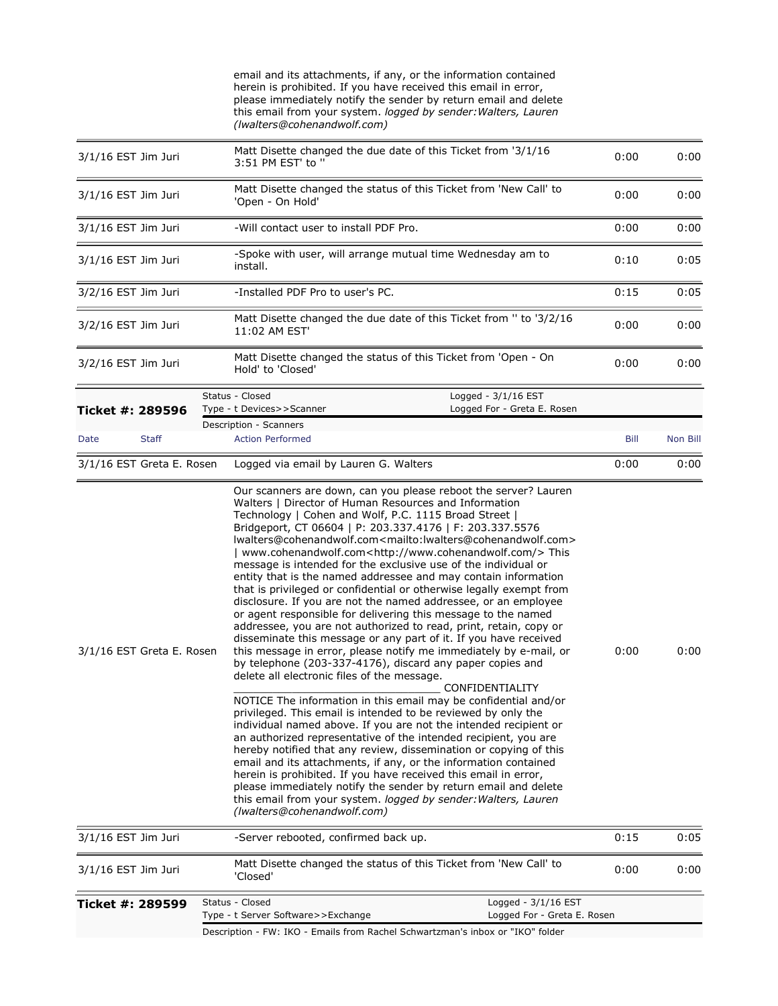|                           |              | email and its attachments, if any, or the information contained<br>herein is prohibited. If you have received this email in error,<br>please immediately notify the sender by return email and delete<br>this email from your system. logged by sender: Walters, Lauren<br>(Iwalters@cohenandwolf.com)                                                                                                                                                                                                                                                                                                                                                                                                                                                                                                                                                                                                                                                                                                                                                                                                                                                                                                                                                                                                                                                                                                                                                                                                                                                                                                                                                                                                                                                                                           |      |          |
|---------------------------|--------------|--------------------------------------------------------------------------------------------------------------------------------------------------------------------------------------------------------------------------------------------------------------------------------------------------------------------------------------------------------------------------------------------------------------------------------------------------------------------------------------------------------------------------------------------------------------------------------------------------------------------------------------------------------------------------------------------------------------------------------------------------------------------------------------------------------------------------------------------------------------------------------------------------------------------------------------------------------------------------------------------------------------------------------------------------------------------------------------------------------------------------------------------------------------------------------------------------------------------------------------------------------------------------------------------------------------------------------------------------------------------------------------------------------------------------------------------------------------------------------------------------------------------------------------------------------------------------------------------------------------------------------------------------------------------------------------------------------------------------------------------------------------------------------------------------|------|----------|
| 3/1/16 EST Jim Juri       |              | Matt Disette changed the due date of this Ticket from '3/1/16<br>3:51 PM EST' to "                                                                                                                                                                                                                                                                                                                                                                                                                                                                                                                                                                                                                                                                                                                                                                                                                                                                                                                                                                                                                                                                                                                                                                                                                                                                                                                                                                                                                                                                                                                                                                                                                                                                                                               | 0:00 | 0:00     |
| 3/1/16 EST Jim Juri       |              | Matt Disette changed the status of this Ticket from 'New Call' to<br>'Open - On Hold'                                                                                                                                                                                                                                                                                                                                                                                                                                                                                                                                                                                                                                                                                                                                                                                                                                                                                                                                                                                                                                                                                                                                                                                                                                                                                                                                                                                                                                                                                                                                                                                                                                                                                                            | 0:00 | 0:00     |
| 3/1/16 EST Jim Juri       |              | -Will contact user to install PDF Pro.                                                                                                                                                                                                                                                                                                                                                                                                                                                                                                                                                                                                                                                                                                                                                                                                                                                                                                                                                                                                                                                                                                                                                                                                                                                                                                                                                                                                                                                                                                                                                                                                                                                                                                                                                           | 0:00 | 0:00     |
| $3/1/16$ EST Jim Juri     |              | -Spoke with user, will arrange mutual time Wednesday am to<br>install.                                                                                                                                                                                                                                                                                                                                                                                                                                                                                                                                                                                                                                                                                                                                                                                                                                                                                                                                                                                                                                                                                                                                                                                                                                                                                                                                                                                                                                                                                                                                                                                                                                                                                                                           | 0:10 | 0:05     |
| 3/2/16 EST Jim Juri       |              | -Installed PDF Pro to user's PC.                                                                                                                                                                                                                                                                                                                                                                                                                                                                                                                                                                                                                                                                                                                                                                                                                                                                                                                                                                                                                                                                                                                                                                                                                                                                                                                                                                                                                                                                                                                                                                                                                                                                                                                                                                 | 0:15 | 0:05     |
| 3/2/16 EST Jim Juri       |              | Matt Disette changed the due date of this Ticket from " to '3/2/16<br>11:02 AM EST'                                                                                                                                                                                                                                                                                                                                                                                                                                                                                                                                                                                                                                                                                                                                                                                                                                                                                                                                                                                                                                                                                                                                                                                                                                                                                                                                                                                                                                                                                                                                                                                                                                                                                                              | 0:00 | 0:00     |
| 3/2/16 EST Jim Juri       |              | Matt Disette changed the status of this Ticket from 'Open - On<br>Hold' to 'Closed'                                                                                                                                                                                                                                                                                                                                                                                                                                                                                                                                                                                                                                                                                                                                                                                                                                                                                                                                                                                                                                                                                                                                                                                                                                                                                                                                                                                                                                                                                                                                                                                                                                                                                                              | 0:00 | 0:00     |
|                           |              | Status - Closed<br>Logged - $3/1/16$ EST                                                                                                                                                                                                                                                                                                                                                                                                                                                                                                                                                                                                                                                                                                                                                                                                                                                                                                                                                                                                                                                                                                                                                                                                                                                                                                                                                                                                                                                                                                                                                                                                                                                                                                                                                         |      |          |
| Ticket #: 289596          |              | Logged For - Greta E. Rosen<br>Type - t Devices>>Scanner<br>Description - Scanners                                                                                                                                                                                                                                                                                                                                                                                                                                                                                                                                                                                                                                                                                                                                                                                                                                                                                                                                                                                                                                                                                                                                                                                                                                                                                                                                                                                                                                                                                                                                                                                                                                                                                                               |      |          |
| Date                      | <b>Staff</b> | <b>Action Performed</b>                                                                                                                                                                                                                                                                                                                                                                                                                                                                                                                                                                                                                                                                                                                                                                                                                                                                                                                                                                                                                                                                                                                                                                                                                                                                                                                                                                                                                                                                                                                                                                                                                                                                                                                                                                          | Bill | Non Bill |
| 3/1/16 EST Greta E. Rosen |              | Logged via email by Lauren G. Walters                                                                                                                                                                                                                                                                                                                                                                                                                                                                                                                                                                                                                                                                                                                                                                                                                                                                                                                                                                                                                                                                                                                                                                                                                                                                                                                                                                                                                                                                                                                                                                                                                                                                                                                                                            | 0:00 | 0:00     |
| 3/1/16 EST Greta E. Rosen |              | Our scanners are down, can you please reboot the server? Lauren<br>Walters   Director of Human Resources and Information<br>Technology   Cohen and Wolf, P.C. 1115 Broad Street  <br>Bridgeport, CT 06604   P: 203.337.4176   F: 203.337.5576<br>lwalters@cohenandwolf.com <mailto:lwalters@cohenandwolf.com><br/>  www.cohenandwolf.com<http: www.cohenandwolf.com=""></http:>This<br/>message is intended for the exclusive use of the individual or<br/>entity that is the named addressee and may contain information<br/>that is privileged or confidential or otherwise legally exempt from<br/>disclosure. If you are not the named addressee, or an employee<br/>or agent responsible for delivering this message to the named<br/>addressee, you are not authorized to read, print, retain, copy or<br/>disseminate this message or any part of it. If you have received<br/>this message in error, please notify me immediately by e-mail, or<br/>by telephone (203-337-4176), discard any paper copies and<br/>delete all electronic files of the message.<br/>CONFIDENTIALITY<br/>NOTICE The information in this email may be confidential and/or<br/>privileged. This email is intended to be reviewed by only the<br/>individual named above. If you are not the intended recipient or<br/>an authorized representative of the intended recipient, you are<br/>hereby notified that any review, dissemination or copying of this<br/>email and its attachments, if any, or the information contained<br/>herein is prohibited. If you have received this email in error,<br/>please immediately notify the sender by return email and delete<br/>this email from your system. logged by sender: Walters, Lauren<br/>(Iwalters@cohenandwolf.com)</mailto:lwalters@cohenandwolf.com> | 0:00 | 0:00     |
| 3/1/16 EST Jim Juri       |              | -Server rebooted, confirmed back up.                                                                                                                                                                                                                                                                                                                                                                                                                                                                                                                                                                                                                                                                                                                                                                                                                                                                                                                                                                                                                                                                                                                                                                                                                                                                                                                                                                                                                                                                                                                                                                                                                                                                                                                                                             | 0:15 | 0:05     |
| $3/1/16$ EST Jim Juri     |              | Matt Disette changed the status of this Ticket from 'New Call' to<br>'Closed'                                                                                                                                                                                                                                                                                                                                                                                                                                                                                                                                                                                                                                                                                                                                                                                                                                                                                                                                                                                                                                                                                                                                                                                                                                                                                                                                                                                                                                                                                                                                                                                                                                                                                                                    | 0:00 | 0:00     |
| Ticket #: 289599          |              | Status - Closed<br>Logged - $3/1/16$ EST<br>Type - t Server Software>>Exchange<br>Logged For - Greta E. Rosen<br>Description - FW: IKO - Emails from Rachel Schwartzman's inbox or "IKO" folder                                                                                                                                                                                                                                                                                                                                                                                                                                                                                                                                                                                                                                                                                                                                                                                                                                                                                                                                                                                                                                                                                                                                                                                                                                                                                                                                                                                                                                                                                                                                                                                                  |      |          |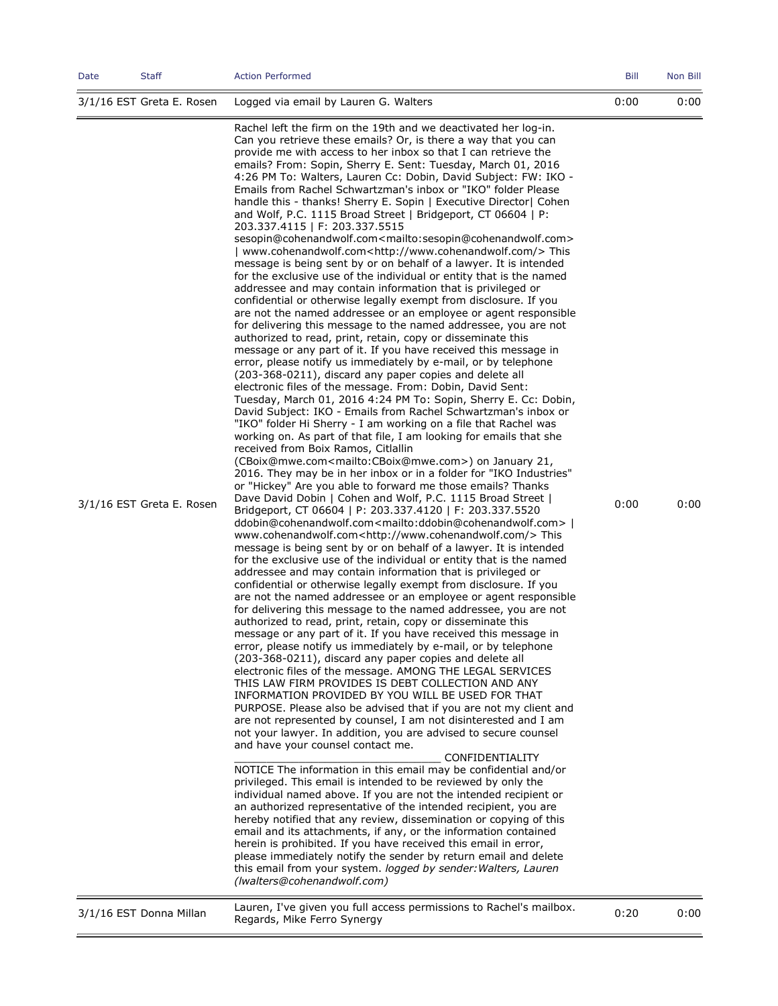| Date                      | <b>Staff</b> | <b>Action Performed</b>                                                                                                                                                                                                                                                                                                                                                                                                                                                                                                                                                                                                                                                                                                                                                                                                                                                                                                                                                                                                                                                                                                                                                                                                                                                                                                                                                                                                                                                                                                                                                                                                                                                                                                                                                                                                                                                                                                                                                                                                                                                                                                                                                                                                                                                                                                                                                                                                                                                                                                                                                                                                                                                                                                                                                                                                                                                                                                                                                                                                                                                                                                                                                                                                                                                                                                                                                                                                                                                                                                                                                                                                                                                                                                                                                                                                                                                                                                                                                                                                                                                                                                                                                                | <b>Bill</b> | Non Bill |
|---------------------------|--------------|----------------------------------------------------------------------------------------------------------------------------------------------------------------------------------------------------------------------------------------------------------------------------------------------------------------------------------------------------------------------------------------------------------------------------------------------------------------------------------------------------------------------------------------------------------------------------------------------------------------------------------------------------------------------------------------------------------------------------------------------------------------------------------------------------------------------------------------------------------------------------------------------------------------------------------------------------------------------------------------------------------------------------------------------------------------------------------------------------------------------------------------------------------------------------------------------------------------------------------------------------------------------------------------------------------------------------------------------------------------------------------------------------------------------------------------------------------------------------------------------------------------------------------------------------------------------------------------------------------------------------------------------------------------------------------------------------------------------------------------------------------------------------------------------------------------------------------------------------------------------------------------------------------------------------------------------------------------------------------------------------------------------------------------------------------------------------------------------------------------------------------------------------------------------------------------------------------------------------------------------------------------------------------------------------------------------------------------------------------------------------------------------------------------------------------------------------------------------------------------------------------------------------------------------------------------------------------------------------------------------------------------------------------------------------------------------------------------------------------------------------------------------------------------------------------------------------------------------------------------------------------------------------------------------------------------------------------------------------------------------------------------------------------------------------------------------------------------------------------------------------------------------------------------------------------------------------------------------------------------------------------------------------------------------------------------------------------------------------------------------------------------------------------------------------------------------------------------------------------------------------------------------------------------------------------------------------------------------------------------------------------------------------------------------------------------------------------------------------------------------------------------------------------------------------------------------------------------------------------------------------------------------------------------------------------------------------------------------------------------------------------------------------------------------------------------------------------------------------------------------------------------------------------------------------------------|-------------|----------|
| 3/1/16 EST Greta E. Rosen |              | Logged via email by Lauren G. Walters                                                                                                                                                                                                                                                                                                                                                                                                                                                                                                                                                                                                                                                                                                                                                                                                                                                                                                                                                                                                                                                                                                                                                                                                                                                                                                                                                                                                                                                                                                                                                                                                                                                                                                                                                                                                                                                                                                                                                                                                                                                                                                                                                                                                                                                                                                                                                                                                                                                                                                                                                                                                                                                                                                                                                                                                                                                                                                                                                                                                                                                                                                                                                                                                                                                                                                                                                                                                                                                                                                                                                                                                                                                                                                                                                                                                                                                                                                                                                                                                                                                                                                                                                  | 0:00        | 0:00     |
| 3/1/16 EST Greta E. Rosen |              | Rachel left the firm on the 19th and we deactivated her log-in.<br>Can you retrieve these emails? Or, is there a way that you can<br>provide me with access to her inbox so that I can retrieve the<br>emails? From: Sopin, Sherry E. Sent: Tuesday, March 01, 2016<br>4:26 PM To: Walters, Lauren Cc: Dobin, David Subject: FW: IKO -<br>Emails from Rachel Schwartzman's inbox or "IKO" folder Please<br>handle this - thanks! Sherry E. Sopin   Executive Director   Cohen<br>and Wolf, P.C. 1115 Broad Street   Bridgeport, CT 06604   P:<br>203.337.4115   F: 203.337.5515<br>sesopin@cohenandwolf.com <mailto:sesopin@cohenandwolf.com><br/>  www.cohenandwolf.com<http: www.cohenandwolf.com=""></http:>This<br/>message is being sent by or on behalf of a lawyer. It is intended<br/>for the exclusive use of the individual or entity that is the named<br/>addressee and may contain information that is privileged or<br/>confidential or otherwise legally exempt from disclosure. If you<br/>are not the named addressee or an employee or agent responsible<br/>for delivering this message to the named addressee, you are not<br/>authorized to read, print, retain, copy or disseminate this<br/>message or any part of it. If you have received this message in<br/>error, please notify us immediately by e-mail, or by telephone<br/>(203-368-0211), discard any paper copies and delete all<br/>electronic files of the message. From: Dobin, David Sent:<br/>Tuesday, March 01, 2016 4:24 PM To: Sopin, Sherry E. Cc: Dobin,<br/>David Subject: IKO - Emails from Rachel Schwartzman's inbox or<br/>"IKO" folder Hi Sherry - I am working on a file that Rachel was<br/>working on. As part of that file, I am looking for emails that she<br/>received from Boix Ramos, Citlallin<br/>(CBoix@mwe.com<mailto:cboix@mwe.com>) on January 21,<br/>2016. They may be in her inbox or in a folder for "IKO Industries"<br/>or "Hickey" Are you able to forward me those emails? Thanks<br/>Dave David Dobin   Cohen and Wolf, P.C. 1115 Broad Street  <br/>Bridgeport, CT 06604   P: 203.337.4120   F: 203.337.5520<br/>ddobin@cohenandwolf.com<mailto:ddobin@cohenandwolf.com>  <br/>www.cohenandwolf.com<http: www.cohenandwolf.com=""></http:>This<br/>message is being sent by or on behalf of a lawyer. It is intended<br/>for the exclusive use of the individual or entity that is the named<br/>addressee and may contain information that is privileged or<br/>confidential or otherwise legally exempt from disclosure. If you<br/>are not the named addressee or an employee or agent responsible<br/>for delivering this message to the named addressee, you are not<br/>authorized to read, print, retain, copy or disseminate this<br/>message or any part of it. If you have received this message in<br/>error, please notify us immediately by e-mail, or by telephone<br/>(203-368-0211), discard any paper copies and delete all<br/>electronic files of the message. AMONG THE LEGAL SERVICES<br/>THIS LAW FIRM PROVIDES IS DEBT COLLECTION AND ANY<br/>INFORMATION PROVIDED BY YOU WILL BE USED FOR THAT<br/>PURPOSE. Please also be advised that if you are not my client and<br/>are not represented by counsel, I am not disinterested and I am<br/>not your lawyer. In addition, you are advised to secure counsel<br/>and have your counsel contact me.<br/>CONFIDENTIALITY<br/>NOTICE The information in this email may be confidential and/or<br/>privileged. This email is intended to be reviewed by only the<br/>individual named above. If you are not the intended recipient or<br/>an authorized representative of the intended recipient, you are<br/>hereby notified that any review, dissemination or copying of this<br/>email and its attachments, if any, or the information contained<br/>herein is prohibited. If you have received this email in error,<br/>please immediately notify the sender by return email and delete<br/>this email from your system. logged by sender: Walters, Lauren<br/>(Iwalters@cohenandwolf.com)</mailto:ddobin@cohenandwolf.com></mailto:cboix@mwe.com></mailto:sesopin@cohenandwolf.com> | 0:00        | 0:00     |
| 3/1/16 EST Donna Millan   |              | Lauren, I've given you full access permissions to Rachel's mailbox.<br>Regards, Mike Ferro Synergy                                                                                                                                                                                                                                                                                                                                                                                                                                                                                                                                                                                                                                                                                                                                                                                                                                                                                                                                                                                                                                                                                                                                                                                                                                                                                                                                                                                                                                                                                                                                                                                                                                                                                                                                                                                                                                                                                                                                                                                                                                                                                                                                                                                                                                                                                                                                                                                                                                                                                                                                                                                                                                                                                                                                                                                                                                                                                                                                                                                                                                                                                                                                                                                                                                                                                                                                                                                                                                                                                                                                                                                                                                                                                                                                                                                                                                                                                                                                                                                                                                                                                     | 0:20        | 0:00     |
|                           |              |                                                                                                                                                                                                                                                                                                                                                                                                                                                                                                                                                                                                                                                                                                                                                                                                                                                                                                                                                                                                                                                                                                                                                                                                                                                                                                                                                                                                                                                                                                                                                                                                                                                                                                                                                                                                                                                                                                                                                                                                                                                                                                                                                                                                                                                                                                                                                                                                                                                                                                                                                                                                                                                                                                                                                                                                                                                                                                                                                                                                                                                                                                                                                                                                                                                                                                                                                                                                                                                                                                                                                                                                                                                                                                                                                                                                                                                                                                                                                                                                                                                                                                                                                                                        |             |          |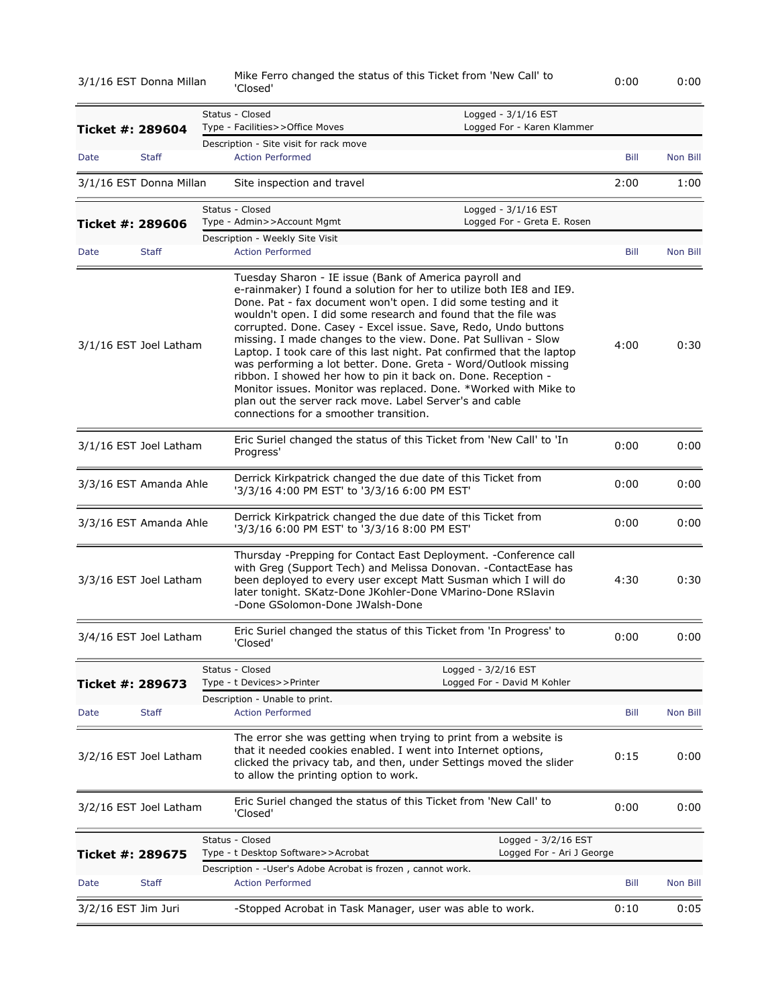| 3/1/16 EST Donna Millan |              | 'Closed'                                                                                                                                                    | Mike Ferro changed the status of this Ticket from 'New Call' to                                                                                                                                                                                                                                                                                                                                                                                                                                                                                                                                                               | 0:00 | 0:00     |
|-------------------------|--------------|-------------------------------------------------------------------------------------------------------------------------------------------------------------|-------------------------------------------------------------------------------------------------------------------------------------------------------------------------------------------------------------------------------------------------------------------------------------------------------------------------------------------------------------------------------------------------------------------------------------------------------------------------------------------------------------------------------------------------------------------------------------------------------------------------------|------|----------|
| Ticket #: 289604        |              | Status - Closed<br>Type - Facilities>>Office Moves                                                                                                          | Logged - 3/1/16 EST<br>Logged For - Karen Klammer                                                                                                                                                                                                                                                                                                                                                                                                                                                                                                                                                                             |      |          |
| Date                    | <b>Staff</b> | Description - Site visit for rack move<br><b>Action Performed</b>                                                                                           |                                                                                                                                                                                                                                                                                                                                                                                                                                                                                                                                                                                                                               | Bill | Non Bill |
| 3/1/16 EST Donna Millan |              | Site inspection and travel                                                                                                                                  |                                                                                                                                                                                                                                                                                                                                                                                                                                                                                                                                                                                                                               | 2:00 | 1:00     |
|                         |              | Status - Closed                                                                                                                                             | Logged - 3/1/16 EST                                                                                                                                                                                                                                                                                                                                                                                                                                                                                                                                                                                                           |      |          |
| Ticket #: 289606        |              | Type - Admin>>Account Mgmt                                                                                                                                  | Logged For - Greta E. Rosen                                                                                                                                                                                                                                                                                                                                                                                                                                                                                                                                                                                                   |      |          |
|                         |              | Description - Weekly Site Visit                                                                                                                             |                                                                                                                                                                                                                                                                                                                                                                                                                                                                                                                                                                                                                               |      |          |
| Date                    | Staff        | <b>Action Performed</b>                                                                                                                                     |                                                                                                                                                                                                                                                                                                                                                                                                                                                                                                                                                                                                                               | Bill | Non Bill |
| 3/1/16 EST Joel Latham  |              | Tuesday Sharon - IE issue (Bank of America payroll and<br>plan out the server rack move. Label Server's and cable<br>connections for a smoother transition. | e-rainmaker) I found a solution for her to utilize both IE8 and IE9.<br>Done. Pat - fax document won't open. I did some testing and it<br>wouldn't open. I did some research and found that the file was<br>corrupted. Done. Casey - Excel issue. Save, Redo, Undo buttons<br>missing. I made changes to the view. Done. Pat Sullivan - Slow<br>Laptop. I took care of this last night. Pat confirmed that the laptop<br>was performing a lot better. Done. Greta - Word/Outlook missing<br>ribbon. I showed her how to pin it back on. Done. Reception -<br>Monitor issues. Monitor was replaced. Done. *Worked with Mike to | 4:00 | 0:30     |
| 3/1/16 EST Joel Latham  |              | Progress'                                                                                                                                                   | Eric Suriel changed the status of this Ticket from 'New Call' to 'In                                                                                                                                                                                                                                                                                                                                                                                                                                                                                                                                                          | 0:00 | 0:00     |
| 3/3/16 EST Amanda Ahle  |              | '3/3/16 4:00 PM EST' to '3/3/16 6:00 PM EST'                                                                                                                | Derrick Kirkpatrick changed the due date of this Ticket from                                                                                                                                                                                                                                                                                                                                                                                                                                                                                                                                                                  | 0:00 | 0:00     |
| 3/3/16 EST Amanda Ahle  |              | '3/3/16 6:00 PM EST' to '3/3/16 8:00 PM EST'                                                                                                                | Derrick Kirkpatrick changed the due date of this Ticket from                                                                                                                                                                                                                                                                                                                                                                                                                                                                                                                                                                  | 0:00 | 0:00     |
| 3/3/16 EST Joel Latham  |              | -Done GSolomon-Done JWalsh-Done                                                                                                                             | Thursday -Prepping for Contact East Deployment. -Conference call<br>with Greg (Support Tech) and Melissa Donovan. - ContactEase has<br>been deployed to every user except Matt Susman which I will do<br>later tonight. SKatz-Done JKohler-Done VMarino-Done RSlavin                                                                                                                                                                                                                                                                                                                                                          | 4:30 | 0:30     |
| 3/4/16 EST Joel Latham  |              | Closed                                                                                                                                                      | Eric Suriel changed the status of this Ticket from 'In Progress' to                                                                                                                                                                                                                                                                                                                                                                                                                                                                                                                                                           | 0:00 | 0:00     |
| Ticket #: 289673        |              | Status - Closed<br>Type - t Devices>>Printer                                                                                                                | Logged - 3/2/16 EST<br>Logged For - David M Kohler                                                                                                                                                                                                                                                                                                                                                                                                                                                                                                                                                                            |      |          |
|                         |              | Description - Unable to print.                                                                                                                              |                                                                                                                                                                                                                                                                                                                                                                                                                                                                                                                                                                                                                               |      |          |
| Date                    | <b>Staff</b> | <b>Action Performed</b>                                                                                                                                     |                                                                                                                                                                                                                                                                                                                                                                                                                                                                                                                                                                                                                               | Bill | Non Bill |
| 3/2/16 EST Joel Latham  |              | to allow the printing option to work.                                                                                                                       | The error she was getting when trying to print from a website is<br>that it needed cookies enabled. I went into Internet options,<br>clicked the privacy tab, and then, under Settings moved the slider                                                                                                                                                                                                                                                                                                                                                                                                                       | 0:15 | 0:00     |
| 3/2/16 EST Joel Latham  |              | 'Closed'                                                                                                                                                    | Eric Suriel changed the status of this Ticket from 'New Call' to                                                                                                                                                                                                                                                                                                                                                                                                                                                                                                                                                              | 0:00 | 0:00     |
| Ticket #: 289675        |              | Status - Closed<br>Type - t Desktop Software>>Acrobat                                                                                                       | Logged - 3/2/16 EST<br>Logged For - Ari J George                                                                                                                                                                                                                                                                                                                                                                                                                                                                                                                                                                              |      |          |
|                         |              | Description - -User's Adobe Acrobat is frozen, cannot work.                                                                                                 |                                                                                                                                                                                                                                                                                                                                                                                                                                                                                                                                                                                                                               |      |          |
| Date                    | <b>Staff</b> | <b>Action Performed</b>                                                                                                                                     |                                                                                                                                                                                                                                                                                                                                                                                                                                                                                                                                                                                                                               | Bill | Non Bill |
| 3/2/16 EST Jim Juri     |              | -Stopped Acrobat in Task Manager, user was able to work.                                                                                                    |                                                                                                                                                                                                                                                                                                                                                                                                                                                                                                                                                                                                                               | 0:10 | 0:05     |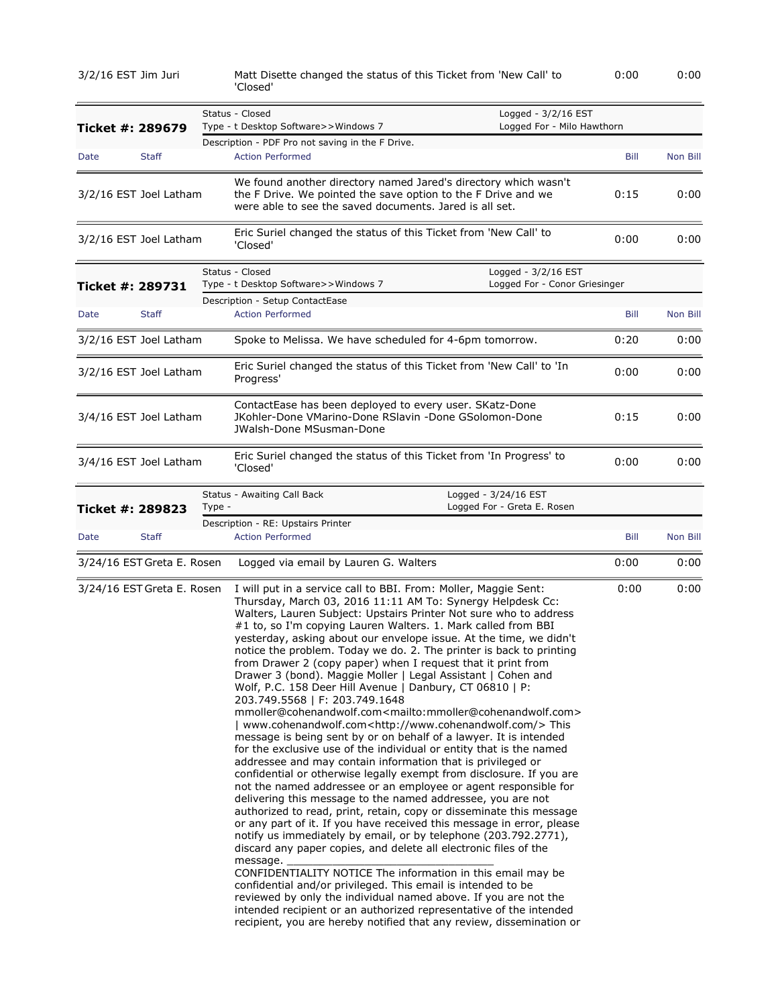3/2/16 EST Jim Juri Matt Disette changed the status of this Ticket from 'New Call' to 'Closed' 0:00 0:00

|                  |                            | Status - Closed<br>Logged - 3/2/16 EST                                                                                                                                                                                                                                                                                                                                                                                                                                                                                                                                                                                                                                                                                                                                                                                                                                                                                                                                                                                                                                                                                                                                                                                                                                                                                                                                                                                                                                                                                                                                                                                                                                                                                                                                                                                                                                                                       |      |          |
|------------------|----------------------------|--------------------------------------------------------------------------------------------------------------------------------------------------------------------------------------------------------------------------------------------------------------------------------------------------------------------------------------------------------------------------------------------------------------------------------------------------------------------------------------------------------------------------------------------------------------------------------------------------------------------------------------------------------------------------------------------------------------------------------------------------------------------------------------------------------------------------------------------------------------------------------------------------------------------------------------------------------------------------------------------------------------------------------------------------------------------------------------------------------------------------------------------------------------------------------------------------------------------------------------------------------------------------------------------------------------------------------------------------------------------------------------------------------------------------------------------------------------------------------------------------------------------------------------------------------------------------------------------------------------------------------------------------------------------------------------------------------------------------------------------------------------------------------------------------------------------------------------------------------------------------------------------------------------|------|----------|
| Ticket #: 289679 |                            | Type - t Desktop Software>>Windows 7<br>Logged For - Milo Hawthorn                                                                                                                                                                                                                                                                                                                                                                                                                                                                                                                                                                                                                                                                                                                                                                                                                                                                                                                                                                                                                                                                                                                                                                                                                                                                                                                                                                                                                                                                                                                                                                                                                                                                                                                                                                                                                                           |      |          |
| Date             | <b>Staff</b>               | Description - PDF Pro not saving in the F Drive.<br><b>Action Performed</b>                                                                                                                                                                                                                                                                                                                                                                                                                                                                                                                                                                                                                                                                                                                                                                                                                                                                                                                                                                                                                                                                                                                                                                                                                                                                                                                                                                                                                                                                                                                                                                                                                                                                                                                                                                                                                                  | Bill | Non Bill |
|                  | 3/2/16 EST Joel Latham     | We found another directory named Jared's directory which wasn't<br>the F Drive. We pointed the save option to the F Drive and we<br>were able to see the saved documents. Jared is all set.                                                                                                                                                                                                                                                                                                                                                                                                                                                                                                                                                                                                                                                                                                                                                                                                                                                                                                                                                                                                                                                                                                                                                                                                                                                                                                                                                                                                                                                                                                                                                                                                                                                                                                                  | 0:15 | 0:00     |
|                  | 3/2/16 EST Joel Latham     | Eric Suriel changed the status of this Ticket from 'New Call' to<br>'Closed'                                                                                                                                                                                                                                                                                                                                                                                                                                                                                                                                                                                                                                                                                                                                                                                                                                                                                                                                                                                                                                                                                                                                                                                                                                                                                                                                                                                                                                                                                                                                                                                                                                                                                                                                                                                                                                 | 0:00 | 0:00     |
| Ticket #: 289731 |                            | Status - Closed<br>Logged - 3/2/16 EST<br>Logged For - Conor Griesinger<br>Type - t Desktop Software>>Windows 7                                                                                                                                                                                                                                                                                                                                                                                                                                                                                                                                                                                                                                                                                                                                                                                                                                                                                                                                                                                                                                                                                                                                                                                                                                                                                                                                                                                                                                                                                                                                                                                                                                                                                                                                                                                              |      |          |
| Date             | <b>Staff</b>               | Description - Setup ContactEase<br><b>Action Performed</b>                                                                                                                                                                                                                                                                                                                                                                                                                                                                                                                                                                                                                                                                                                                                                                                                                                                                                                                                                                                                                                                                                                                                                                                                                                                                                                                                                                                                                                                                                                                                                                                                                                                                                                                                                                                                                                                   | Bill | Non Bill |
|                  |                            |                                                                                                                                                                                                                                                                                                                                                                                                                                                                                                                                                                                                                                                                                                                                                                                                                                                                                                                                                                                                                                                                                                                                                                                                                                                                                                                                                                                                                                                                                                                                                                                                                                                                                                                                                                                                                                                                                                              |      |          |
|                  | 3/2/16 EST Joel Latham     | Spoke to Melissa. We have scheduled for 4-6pm tomorrow.                                                                                                                                                                                                                                                                                                                                                                                                                                                                                                                                                                                                                                                                                                                                                                                                                                                                                                                                                                                                                                                                                                                                                                                                                                                                                                                                                                                                                                                                                                                                                                                                                                                                                                                                                                                                                                                      | 0:20 | 0:00     |
|                  | 3/2/16 EST Joel Latham     | Eric Suriel changed the status of this Ticket from 'New Call' to 'In<br>Progress'                                                                                                                                                                                                                                                                                                                                                                                                                                                                                                                                                                                                                                                                                                                                                                                                                                                                                                                                                                                                                                                                                                                                                                                                                                                                                                                                                                                                                                                                                                                                                                                                                                                                                                                                                                                                                            | 0:00 | 0:00     |
|                  | 3/4/16 EST Joel Latham     | ContactEase has been deployed to every user. SKatz-Done<br>JKohler-Done VMarino-Done RSlavin -Done GSolomon-Done<br>JWalsh-Done MSusman-Done                                                                                                                                                                                                                                                                                                                                                                                                                                                                                                                                                                                                                                                                                                                                                                                                                                                                                                                                                                                                                                                                                                                                                                                                                                                                                                                                                                                                                                                                                                                                                                                                                                                                                                                                                                 | 0:15 | 0:00     |
|                  | 3/4/16 EST Joel Latham     | Eric Suriel changed the status of this Ticket from 'In Progress' to<br>'Closed'                                                                                                                                                                                                                                                                                                                                                                                                                                                                                                                                                                                                                                                                                                                                                                                                                                                                                                                                                                                                                                                                                                                                                                                                                                                                                                                                                                                                                                                                                                                                                                                                                                                                                                                                                                                                                              | 0:00 | 0:00     |
| Ticket #: 289823 |                            | Logged - 3/24/16 EST<br>Status - Awaiting Call Back<br>Logged For - Greta E. Rosen<br>Type -                                                                                                                                                                                                                                                                                                                                                                                                                                                                                                                                                                                                                                                                                                                                                                                                                                                                                                                                                                                                                                                                                                                                                                                                                                                                                                                                                                                                                                                                                                                                                                                                                                                                                                                                                                                                                 |      |          |
|                  |                            | Description - RE: Upstairs Printer                                                                                                                                                                                                                                                                                                                                                                                                                                                                                                                                                                                                                                                                                                                                                                                                                                                                                                                                                                                                                                                                                                                                                                                                                                                                                                                                                                                                                                                                                                                                                                                                                                                                                                                                                                                                                                                                           |      |          |
| Date             | <b>Staff</b>               | <b>Action Performed</b>                                                                                                                                                                                                                                                                                                                                                                                                                                                                                                                                                                                                                                                                                                                                                                                                                                                                                                                                                                                                                                                                                                                                                                                                                                                                                                                                                                                                                                                                                                                                                                                                                                                                                                                                                                                                                                                                                      | Bill | Non Bill |
|                  | 3/24/16 EST Greta E. Rosen | Logged via email by Lauren G. Walters                                                                                                                                                                                                                                                                                                                                                                                                                                                                                                                                                                                                                                                                                                                                                                                                                                                                                                                                                                                                                                                                                                                                                                                                                                                                                                                                                                                                                                                                                                                                                                                                                                                                                                                                                                                                                                                                        | 0:00 | 0:00     |
|                  | 3/24/16 EST Greta E. Rosen | I will put in a service call to BBI. From: Moller, Maggie Sent:<br>Thursday, March 03, 2016 11:11 AM To: Synergy Helpdesk Cc:<br>Walters, Lauren Subject: Upstairs Printer Not sure who to address<br>#1 to, so I'm copying Lauren Walters. 1. Mark called from BBI<br>yesterday, asking about our envelope issue. At the time, we didn't<br>notice the problem. Today we do. 2. The printer is back to printing<br>from Drawer 2 (copy paper) when I request that it print from<br>Drawer 3 (bond). Maggie Moller   Legal Assistant   Cohen and<br>Wolf, P.C. 158 Deer Hill Avenue   Danbury, CT 06810   P:<br>203.749.5568   F: 203.749.1648<br>mmoller@cohenandwolf.com <mailto:mmoller@cohenandwolf.com><br/>  www.cohenandwolf.com<http: www.cohenandwolf.com=""></http:>This<br/>message is being sent by or on behalf of a lawyer. It is intended<br/>for the exclusive use of the individual or entity that is the named<br/>addressee and may contain information that is privileged or<br/>confidential or otherwise legally exempt from disclosure. If you are<br/>not the named addressee or an employee or agent responsible for<br/>delivering this message to the named addressee, you are not<br/>authorized to read, print, retain, copy or disseminate this message<br/>or any part of it. If you have received this message in error, please<br/>notify us immediately by email, or by telephone (203.792.2771),<br/>discard any paper copies, and delete all electronic files of the<br/>message.<br/>CONFIDENTIALITY NOTICE The information in this email may be<br/>confidential and/or privileged. This email is intended to be<br/>reviewed by only the individual named above. If you are not the<br/>intended recipient or an authorized representative of the intended<br/>recipient, you are hereby notified that any review, dissemination or</mailto:mmoller@cohenandwolf.com> | 0:00 | 0:00     |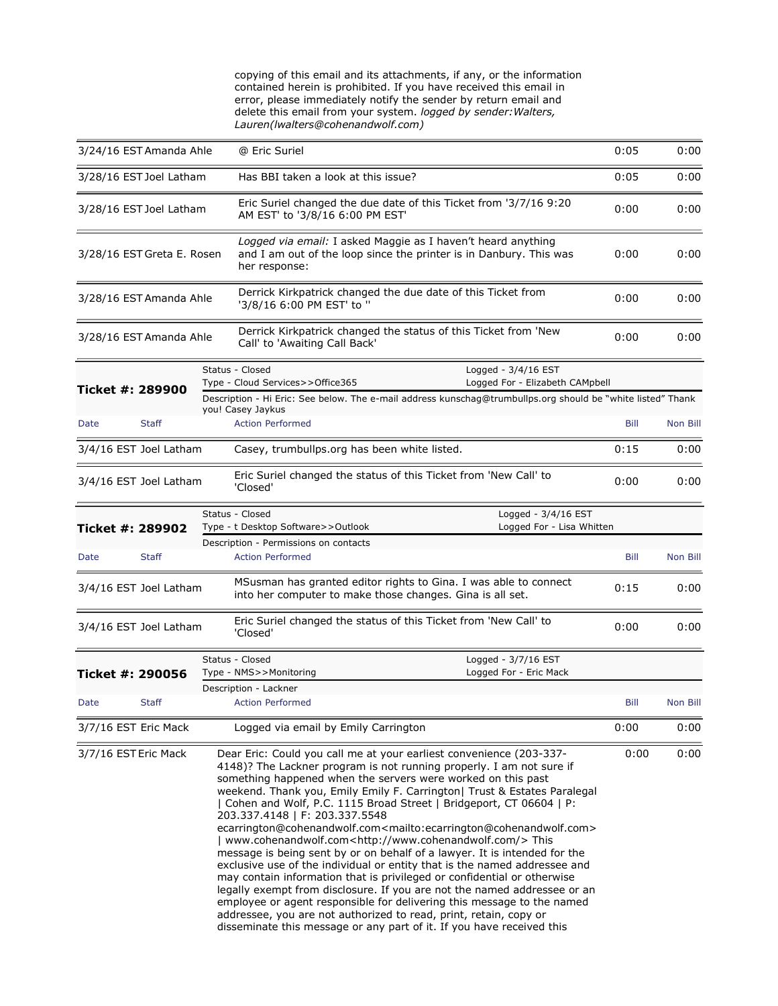copying of this email and its attachments, if any, or the information contained herein is prohibited. If you have received this email in error, please immediately notify the sender by return email and delete this email from your system. *logged by sender:Walters, Lauren(lwalters@cohenandwolf.com)*

|                         | 3/24/16 EST Amanda Ahle    | @ Eric Suriel                                                                                                                                                                                                                                                                                                                                                                                                                                                                                                                                                                                                                                                                                                                                                                                                                                                                                                                                                                                                                                                                                                                       |                                                                   | 0:05        | 0:00     |
|-------------------------|----------------------------|-------------------------------------------------------------------------------------------------------------------------------------------------------------------------------------------------------------------------------------------------------------------------------------------------------------------------------------------------------------------------------------------------------------------------------------------------------------------------------------------------------------------------------------------------------------------------------------------------------------------------------------------------------------------------------------------------------------------------------------------------------------------------------------------------------------------------------------------------------------------------------------------------------------------------------------------------------------------------------------------------------------------------------------------------------------------------------------------------------------------------------------|-------------------------------------------------------------------|-------------|----------|
| 3/28/16 EST Joel Latham |                            |                                                                                                                                                                                                                                                                                                                                                                                                                                                                                                                                                                                                                                                                                                                                                                                                                                                                                                                                                                                                                                                                                                                                     | Has BBI taken a look at this issue?                               |             | 0:00     |
| 3/28/16 EST Joel Latham |                            | AM EST' to '3/8/16 6:00 PM EST'                                                                                                                                                                                                                                                                                                                                                                                                                                                                                                                                                                                                                                                                                                                                                                                                                                                                                                                                                                                                                                                                                                     | Eric Suriel changed the due date of this Ticket from '3/7/16 9:20 |             | 0:00     |
|                         | 3/28/16 EST Greta E. Rosen | Logged via email: I asked Maggie as I haven't heard anything<br>and I am out of the loop since the printer is in Danbury. This was<br>her response:                                                                                                                                                                                                                                                                                                                                                                                                                                                                                                                                                                                                                                                                                                                                                                                                                                                                                                                                                                                 |                                                                   | 0:00        | 0:00     |
|                         | 3/28/16 EST Amanda Ahle    | Derrick Kirkpatrick changed the due date of this Ticket from<br>'3/8/16 6:00 PM EST' to "                                                                                                                                                                                                                                                                                                                                                                                                                                                                                                                                                                                                                                                                                                                                                                                                                                                                                                                                                                                                                                           |                                                                   | 0:00        | 0:00     |
|                         | 3/28/16 EST Amanda Ahle    | Derrick Kirkpatrick changed the status of this Ticket from 'New<br>Call' to 'Awaiting Call Back'                                                                                                                                                                                                                                                                                                                                                                                                                                                                                                                                                                                                                                                                                                                                                                                                                                                                                                                                                                                                                                    |                                                                   | 0:00        | 0:00     |
| Ticket #: 289900        |                            | Status - Closed<br>Type - Cloud Services>>Office365                                                                                                                                                                                                                                                                                                                                                                                                                                                                                                                                                                                                                                                                                                                                                                                                                                                                                                                                                                                                                                                                                 | Logged - $3/4/16$ EST<br>Logged For - Elizabeth CAMpbell          |             |          |
|                         |                            | Description - Hi Eric: See below. The e-mail address kunschag@trumbullps.org should be "white listed" Thank                                                                                                                                                                                                                                                                                                                                                                                                                                                                                                                                                                                                                                                                                                                                                                                                                                                                                                                                                                                                                         |                                                                   |             |          |
| Date                    | <b>Staff</b>               | you! Casey Jaykus<br><b>Action Performed</b>                                                                                                                                                                                                                                                                                                                                                                                                                                                                                                                                                                                                                                                                                                                                                                                                                                                                                                                                                                                                                                                                                        |                                                                   | Bill        | Non Bill |
|                         | 3/4/16 EST Joel Latham     | Casey, trumbullps org has been white listed.                                                                                                                                                                                                                                                                                                                                                                                                                                                                                                                                                                                                                                                                                                                                                                                                                                                                                                                                                                                                                                                                                        |                                                                   | 0:15        | 0:00     |
|                         | 3/4/16 EST Joel Latham     | Eric Suriel changed the status of this Ticket from 'New Call' to<br>'Closed'                                                                                                                                                                                                                                                                                                                                                                                                                                                                                                                                                                                                                                                                                                                                                                                                                                                                                                                                                                                                                                                        |                                                                   | 0:00        | 0:00     |
| Ticket #: 289902        |                            | Status - Closed<br>Type - t Desktop Software>>Outlook                                                                                                                                                                                                                                                                                                                                                                                                                                                                                                                                                                                                                                                                                                                                                                                                                                                                                                                                                                                                                                                                               | Logged - $3/4/16$ EST<br>Logged For - Lisa Whitten                |             |          |
|                         |                            | Description - Permissions on contacts                                                                                                                                                                                                                                                                                                                                                                                                                                                                                                                                                                                                                                                                                                                                                                                                                                                                                                                                                                                                                                                                                               |                                                                   |             |          |
| Date                    | <b>Staff</b>               | <b>Action Performed</b>                                                                                                                                                                                                                                                                                                                                                                                                                                                                                                                                                                                                                                                                                                                                                                                                                                                                                                                                                                                                                                                                                                             |                                                                   | <b>Bill</b> | Non Bill |
|                         | 3/4/16 EST Joel Latham     | MSusman has granted editor rights to Gina. I was able to connect<br>into her computer to make those changes. Gina is all set.                                                                                                                                                                                                                                                                                                                                                                                                                                                                                                                                                                                                                                                                                                                                                                                                                                                                                                                                                                                                       |                                                                   | 0:15        | 0:00     |
|                         | 3/4/16 EST Joel Latham     | Eric Suriel changed the status of this Ticket from 'New Call' to<br>'Closed'                                                                                                                                                                                                                                                                                                                                                                                                                                                                                                                                                                                                                                                                                                                                                                                                                                                                                                                                                                                                                                                        |                                                                   | 0:00        | 0:00     |
|                         |                            | Status - Closed                                                                                                                                                                                                                                                                                                                                                                                                                                                                                                                                                                                                                                                                                                                                                                                                                                                                                                                                                                                                                                                                                                                     | Logged - 3/7/16 EST                                               |             |          |
| Ticket #: 290056        |                            | Type - NMS>>Monitoring                                                                                                                                                                                                                                                                                                                                                                                                                                                                                                                                                                                                                                                                                                                                                                                                                                                                                                                                                                                                                                                                                                              | Logged For - Eric Mack                                            |             |          |
|                         |                            | Description - Lackner                                                                                                                                                                                                                                                                                                                                                                                                                                                                                                                                                                                                                                                                                                                                                                                                                                                                                                                                                                                                                                                                                                               |                                                                   |             |          |
| Date                    | <b>Staff</b>               | <b>Action Performed</b>                                                                                                                                                                                                                                                                                                                                                                                                                                                                                                                                                                                                                                                                                                                                                                                                                                                                                                                                                                                                                                                                                                             |                                                                   | Bill        | Non Bill |
| 3/7/16 EST Eric Mack    |                            | Logged via email by Emily Carrington                                                                                                                                                                                                                                                                                                                                                                                                                                                                                                                                                                                                                                                                                                                                                                                                                                                                                                                                                                                                                                                                                                |                                                                   | 0:00        | 0:00     |
| 3/7/16 EST Eric Mack    |                            | Dear Eric: Could you call me at your earliest convenience (203-337-<br>4148)? The Lackner program is not running properly. I am not sure if<br>something happened when the servers were worked on this past<br>weekend. Thank you, Emily Emily F. Carrington  Trust & Estates Paralegal<br>  Cohen and Wolf, P.C. 1115 Broad Street   Bridgeport, CT 06604   P:<br>203.337.4148   F: 203.337.5548<br>ecarrington@cohenandwolf.com <mailto:ecarrington@cohenandwolf.com><br/>  www.cohenandwolf.com<http: www.cohenandwolf.com=""></http:>This<br/>message is being sent by or on behalf of a lawyer. It is intended for the<br/>exclusive use of the individual or entity that is the named addressee and<br/>may contain information that is privileged or confidential or otherwise<br/>legally exempt from disclosure. If you are not the named addressee or an<br/>employee or agent responsible for delivering this message to the named<br/>addressee, you are not authorized to read, print, retain, copy or<br/>disseminate this message or any part of it. If you have received this</mailto:ecarrington@cohenandwolf.com> |                                                                   | 0:00        | 0:00     |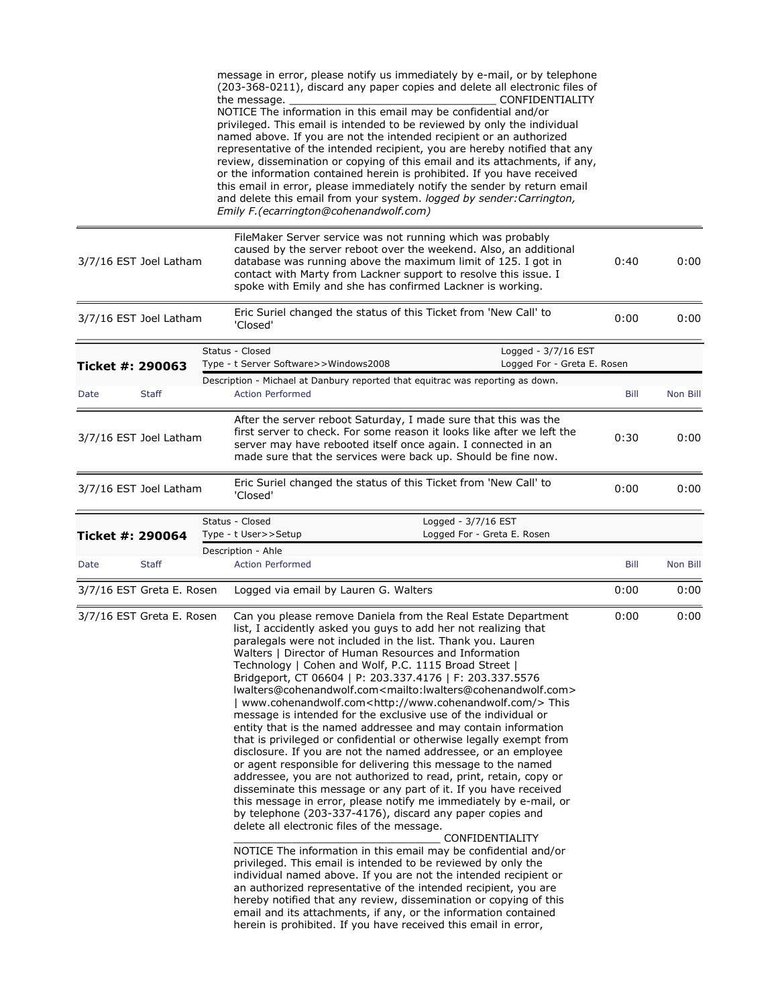|                  |                           | message in error, please notify us immediately by e-mail, or by telephone<br>(203-368-0211), discard any paper copies and delete all electronic files of<br>CONFIDENTIALITY<br>the message.<br>NOTICE The information in this email may be confidential and/or<br>privileged. This email is intended to be reviewed by only the individual<br>named above. If you are not the intended recipient or an authorized<br>representative of the intended recipient, you are hereby notified that any<br>review, dissemination or copying of this email and its attachments, if any,<br>or the information contained herein is prohibited. If you have received<br>this email in error, please immediately notify the sender by return email<br>and delete this email from your system. logged by sender: Carrington,<br>Emily F.(ecarrington@cohenandwolf.com)                                                                                                                                                                                                                                                                                                                                                                                                                                                                                                                                                                                                                                                                                                                                                                                                                                                                                                        |             |          |
|------------------|---------------------------|------------------------------------------------------------------------------------------------------------------------------------------------------------------------------------------------------------------------------------------------------------------------------------------------------------------------------------------------------------------------------------------------------------------------------------------------------------------------------------------------------------------------------------------------------------------------------------------------------------------------------------------------------------------------------------------------------------------------------------------------------------------------------------------------------------------------------------------------------------------------------------------------------------------------------------------------------------------------------------------------------------------------------------------------------------------------------------------------------------------------------------------------------------------------------------------------------------------------------------------------------------------------------------------------------------------------------------------------------------------------------------------------------------------------------------------------------------------------------------------------------------------------------------------------------------------------------------------------------------------------------------------------------------------------------------------------------------------------------------------------------------------|-------------|----------|
|                  | 3/7/16 EST Joel Latham    | FileMaker Server service was not running which was probably<br>caused by the server reboot over the weekend. Also, an additional<br>database was running above the maximum limit of 125. I got in<br>contact with Marty from Lackner support to resolve this issue. I<br>spoke with Emily and she has confirmed Lackner is working.                                                                                                                                                                                                                                                                                                                                                                                                                                                                                                                                                                                                                                                                                                                                                                                                                                                                                                                                                                                                                                                                                                                                                                                                                                                                                                                                                                                                                              | 0:40        | 0:00     |
|                  | 3/7/16 EST Joel Latham    | Eric Suriel changed the status of this Ticket from 'New Call' to<br>'Closed'                                                                                                                                                                                                                                                                                                                                                                                                                                                                                                                                                                                                                                                                                                                                                                                                                                                                                                                                                                                                                                                                                                                                                                                                                                                                                                                                                                                                                                                                                                                                                                                                                                                                                     | 0:00        | 0:00     |
|                  |                           | Status - Closed<br>Logged - 3/7/16 EST                                                                                                                                                                                                                                                                                                                                                                                                                                                                                                                                                                                                                                                                                                                                                                                                                                                                                                                                                                                                                                                                                                                                                                                                                                                                                                                                                                                                                                                                                                                                                                                                                                                                                                                           |             |          |
| Ticket #: 290063 |                           | Type - t Server Software>>Windows2008<br>Logged For - Greta E. Rosen                                                                                                                                                                                                                                                                                                                                                                                                                                                                                                                                                                                                                                                                                                                                                                                                                                                                                                                                                                                                                                                                                                                                                                                                                                                                                                                                                                                                                                                                                                                                                                                                                                                                                             |             |          |
| Date             | <b>Staff</b>              | Description - Michael at Danbury reported that equitrac was reporting as down.<br><b>Action Performed</b>                                                                                                                                                                                                                                                                                                                                                                                                                                                                                                                                                                                                                                                                                                                                                                                                                                                                                                                                                                                                                                                                                                                                                                                                                                                                                                                                                                                                                                                                                                                                                                                                                                                        | Bill        | Non Bill |
|                  | 3/7/16 EST Joel Latham    | After the server reboot Saturday, I made sure that this was the<br>first server to check. For some reason it looks like after we left the<br>server may have rebooted itself once again. I connected in an<br>made sure that the services were back up. Should be fine now.                                                                                                                                                                                                                                                                                                                                                                                                                                                                                                                                                                                                                                                                                                                                                                                                                                                                                                                                                                                                                                                                                                                                                                                                                                                                                                                                                                                                                                                                                      | 0:30        | 0:00     |
|                  | 3/7/16 EST Joel Latham    | Eric Suriel changed the status of this Ticket from 'New Call' to<br>'Closed'                                                                                                                                                                                                                                                                                                                                                                                                                                                                                                                                                                                                                                                                                                                                                                                                                                                                                                                                                                                                                                                                                                                                                                                                                                                                                                                                                                                                                                                                                                                                                                                                                                                                                     | 0:00        | 0:00     |
| Ticket #: 290064 |                           | Status - Closed<br>Logged - 3/7/16 EST<br>Logged For - Greta E. Rosen<br>Type - t User>>Setup                                                                                                                                                                                                                                                                                                                                                                                                                                                                                                                                                                                                                                                                                                                                                                                                                                                                                                                                                                                                                                                                                                                                                                                                                                                                                                                                                                                                                                                                                                                                                                                                                                                                    |             |          |
| Date             | <b>Staff</b>              | Description - Ahle<br><b>Action Performed</b>                                                                                                                                                                                                                                                                                                                                                                                                                                                                                                                                                                                                                                                                                                                                                                                                                                                                                                                                                                                                                                                                                                                                                                                                                                                                                                                                                                                                                                                                                                                                                                                                                                                                                                                    | <b>Bill</b> | Non Bill |
|                  | 3/7/16 EST Greta E. Rosen | Logged via email by Lauren G. Walters                                                                                                                                                                                                                                                                                                                                                                                                                                                                                                                                                                                                                                                                                                                                                                                                                                                                                                                                                                                                                                                                                                                                                                                                                                                                                                                                                                                                                                                                                                                                                                                                                                                                                                                            | 0:00        | 0:00     |
|                  | 3/7/16 EST Greta E. Rosen | Can you please remove Daniela from the Real Estate Department<br>list, I accidently asked you guys to add her not realizing that<br>paralegals were not included in the list. Thank you. Lauren<br>Walters   Director of Human Resources and Information<br>Technology   Cohen and Wolf, P.C. 1115 Broad Street  <br>Bridgeport, CT 06604   P: 203.337.4176   F: 203.337.5576<br>lwalters@cohenandwolf.com <mailto:lwalters@cohenandwolf.com><br/>  www.cohenandwolf.com<http: www.cohenandwolf.com=""></http:>This<br/>message is intended for the exclusive use of the individual or<br/>entity that is the named addressee and may contain information<br/>that is privileged or confidential or otherwise legally exempt from<br/>disclosure. If you are not the named addressee, or an employee<br/>or agent responsible for delivering this message to the named<br/>addressee, you are not authorized to read, print, retain, copy or<br/>disseminate this message or any part of it. If you have received<br/>this message in error, please notify me immediately by e-mail, or<br/>by telephone (203-337-4176), discard any paper copies and<br/>delete all electronic files of the message.<br/><b>CONFIDENTIALITY</b><br/>NOTICE The information in this email may be confidential and/or<br/>privileged. This email is intended to be reviewed by only the<br/>individual named above. If you are not the intended recipient or<br/>an authorized representative of the intended recipient, you are<br/>hereby notified that any review, dissemination or copying of this<br/>email and its attachments, if any, or the information contained<br/>herein is prohibited. If you have received this email in error,</mailto:lwalters@cohenandwolf.com> | 0:00        | 0:00     |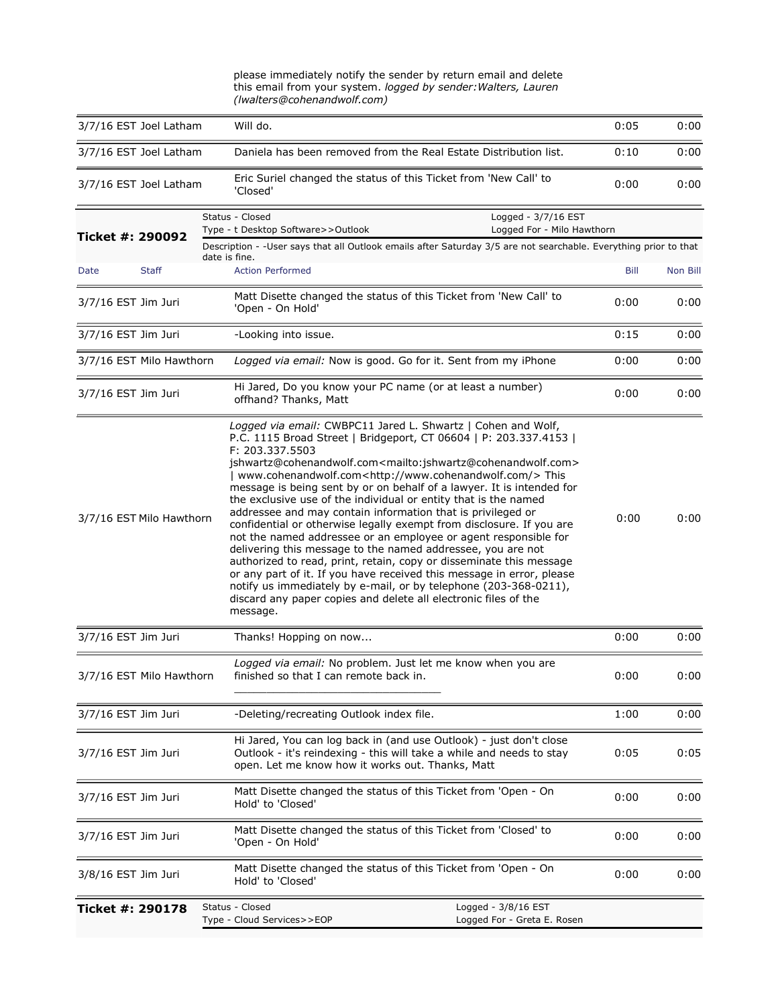|                          |                 | this email from your system. logged by sender: Walters, Lauren<br>(Iwalters@cohenandwolf.com)                                                                                                                                                                                                                                                                                                                                                                                                                                                                                                                                                                                                                                                                                                                                                                                                                                                                                                                                                                    |                                                                                                                   |      |          |
|--------------------------|-----------------|------------------------------------------------------------------------------------------------------------------------------------------------------------------------------------------------------------------------------------------------------------------------------------------------------------------------------------------------------------------------------------------------------------------------------------------------------------------------------------------------------------------------------------------------------------------------------------------------------------------------------------------------------------------------------------------------------------------------------------------------------------------------------------------------------------------------------------------------------------------------------------------------------------------------------------------------------------------------------------------------------------------------------------------------------------------|-------------------------------------------------------------------------------------------------------------------|------|----------|
| 3/7/16 EST Joel Latham   |                 | Will do.                                                                                                                                                                                                                                                                                                                                                                                                                                                                                                                                                                                                                                                                                                                                                                                                                                                                                                                                                                                                                                                         |                                                                                                                   | 0:05 | 0:00     |
| 3/7/16 EST Joel Latham   |                 | Daniela has been removed from the Real Estate Distribution list.                                                                                                                                                                                                                                                                                                                                                                                                                                                                                                                                                                                                                                                                                                                                                                                                                                                                                                                                                                                                 |                                                                                                                   | 0:10 | 0:00     |
| 3/7/16 EST Joel Latham   |                 | Eric Suriel changed the status of this Ticket from 'New Call' to<br>'Closed'                                                                                                                                                                                                                                                                                                                                                                                                                                                                                                                                                                                                                                                                                                                                                                                                                                                                                                                                                                                     |                                                                                                                   | 0:00 | 0:00     |
| Ticket #: 290092         | Status - Closed | Type - t Desktop Software>>Outlook                                                                                                                                                                                                                                                                                                                                                                                                                                                                                                                                                                                                                                                                                                                                                                                                                                                                                                                                                                                                                               | Logged - 3/7/16 EST<br>Logged For - Milo Hawthorn                                                                 |      |          |
|                          | date is fine.   |                                                                                                                                                                                                                                                                                                                                                                                                                                                                                                                                                                                                                                                                                                                                                                                                                                                                                                                                                                                                                                                                  | Description - - User says that all Outlook emails after Saturday 3/5 are not searchable. Everything prior to that |      |          |
| Date<br><b>Staff</b>     |                 | <b>Action Performed</b>                                                                                                                                                                                                                                                                                                                                                                                                                                                                                                                                                                                                                                                                                                                                                                                                                                                                                                                                                                                                                                          |                                                                                                                   | Bill | Non Bill |
| 3/7/16 EST Jim Juri      |                 | Matt Disette changed the status of this Ticket from 'New Call' to<br>'Open - On Hold'                                                                                                                                                                                                                                                                                                                                                                                                                                                                                                                                                                                                                                                                                                                                                                                                                                                                                                                                                                            |                                                                                                                   | 0:00 | 0:00     |
| 3/7/16 EST Jim Juri      |                 | -Looking into issue.                                                                                                                                                                                                                                                                                                                                                                                                                                                                                                                                                                                                                                                                                                                                                                                                                                                                                                                                                                                                                                             |                                                                                                                   | 0:15 | 0:00     |
| 3/7/16 EST Milo Hawthorn |                 | Logged via email: Now is good. Go for it. Sent from my iPhone                                                                                                                                                                                                                                                                                                                                                                                                                                                                                                                                                                                                                                                                                                                                                                                                                                                                                                                                                                                                    |                                                                                                                   | 0:00 | 0:00     |
| 3/7/16 EST Jim Juri      |                 | Hi Jared, Do you know your PC name (or at least a number)<br>offhand? Thanks, Matt                                                                                                                                                                                                                                                                                                                                                                                                                                                                                                                                                                                                                                                                                                                                                                                                                                                                                                                                                                               |                                                                                                                   | 0:00 | 0:00     |
| 3/7/16 EST Milo Hawthorn |                 | Logged via email: CWBPC11 Jared L. Shwartz   Cohen and Wolf,<br>P.C. 1115 Broad Street   Bridgeport, CT 06604   P: 203.337.4153  <br>F: 203.337.5503<br>jshwartz@cohenandwolf.com <mailto:jshwartz@cohenandwolf.com><br/>  www.cohenandwolf.com<http: www.cohenandwolf.com=""></http:>This<br/>message is being sent by or on behalf of a lawyer. It is intended for<br/>the exclusive use of the individual or entity that is the named<br/>addressee and may contain information that is privileged or<br/>confidential or otherwise legally exempt from disclosure. If you are<br/>not the named addressee or an employee or agent responsible for<br/>delivering this message to the named addressee, you are not<br/>authorized to read, print, retain, copy or disseminate this message<br/>or any part of it. If you have received this message in error, please<br/>notify us immediately by e-mail, or by telephone (203-368-0211),<br/>discard any paper copies and delete all electronic files of the<br/>message.</mailto:jshwartz@cohenandwolf.com> |                                                                                                                   | 0:00 | 0:00     |
| 3/7/16 EST Jim Juri      |                 | Thanks! Hopping on now                                                                                                                                                                                                                                                                                                                                                                                                                                                                                                                                                                                                                                                                                                                                                                                                                                                                                                                                                                                                                                           |                                                                                                                   | 0:00 | 0:00     |
| 3/7/16 EST Milo Hawthorn |                 | Logged via email: No problem. Just let me know when you are<br>finished so that I can remote back in.                                                                                                                                                                                                                                                                                                                                                                                                                                                                                                                                                                                                                                                                                                                                                                                                                                                                                                                                                            |                                                                                                                   | 0:00 | 0:00     |
| 3/7/16 EST Jim Juri      |                 | -Deleting/recreating Outlook index file.                                                                                                                                                                                                                                                                                                                                                                                                                                                                                                                                                                                                                                                                                                                                                                                                                                                                                                                                                                                                                         |                                                                                                                   | 1:00 | 0:00     |
| 3/7/16 EST Jim Juri      |                 | Hi Jared, You can log back in (and use Outlook) - just don't close<br>Outlook - it's reindexing - this will take a while and needs to stay<br>open. Let me know how it works out. Thanks, Matt                                                                                                                                                                                                                                                                                                                                                                                                                                                                                                                                                                                                                                                                                                                                                                                                                                                                   |                                                                                                                   | 0:05 | 0:05     |
| 3/7/16 EST Jim Juri      |                 | Matt Disette changed the status of this Ticket from 'Open - On<br>Hold' to 'Closed'                                                                                                                                                                                                                                                                                                                                                                                                                                                                                                                                                                                                                                                                                                                                                                                                                                                                                                                                                                              |                                                                                                                   | 0:00 | 0:00     |
| 3/7/16 EST Jim Juri      |                 | Matt Disette changed the status of this Ticket from 'Closed' to<br>'Open - On Hold'                                                                                                                                                                                                                                                                                                                                                                                                                                                                                                                                                                                                                                                                                                                                                                                                                                                                                                                                                                              |                                                                                                                   | 0:00 | 0:00     |
| 3/8/16 EST Jim Juri      |                 | Matt Disette changed the status of this Ticket from 'Open - On<br>Hold' to 'Closed'                                                                                                                                                                                                                                                                                                                                                                                                                                                                                                                                                                                                                                                                                                                                                                                                                                                                                                                                                                              |                                                                                                                   | 0:00 | 0:00     |
| Ticket #: 290178         | Status - Closed | Type - Cloud Services>>EOP                                                                                                                                                                                                                                                                                                                                                                                                                                                                                                                                                                                                                                                                                                                                                                                                                                                                                                                                                                                                                                       | Logged - 3/8/16 EST<br>Logged For - Greta E. Rosen                                                                |      |          |

please immediately notify the sender by return email and delete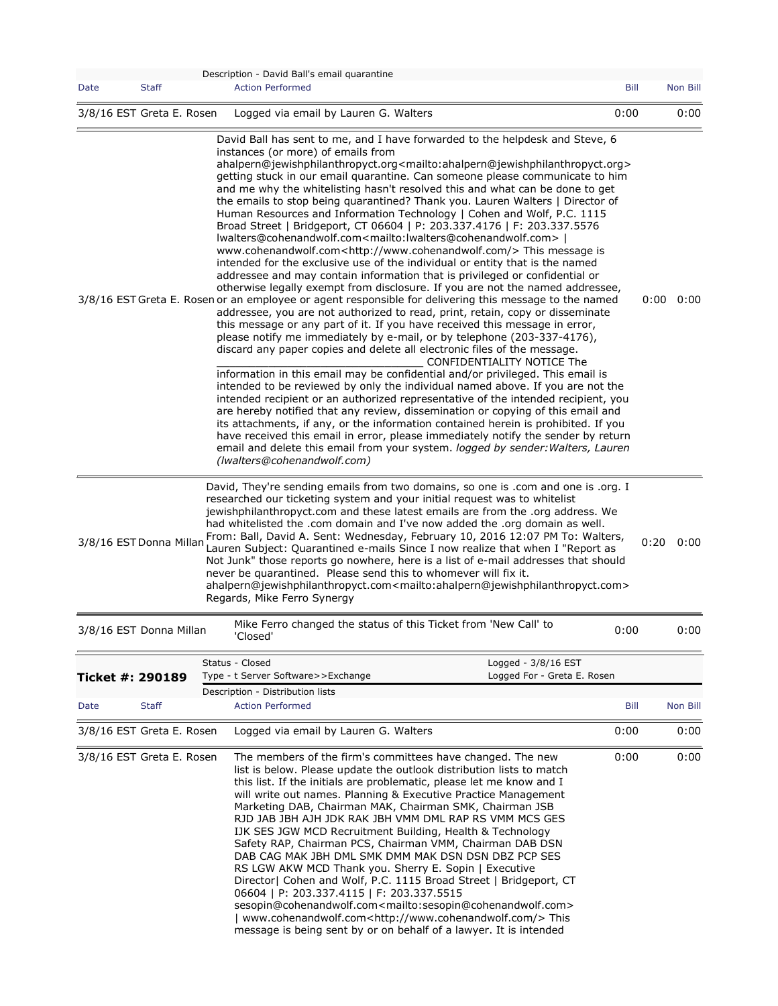| Date                      |              | Description - David Ball's email quarantine                                                                                                                                                                                                                                                                                                                                                                                                                                                                                                                                                                                                                                                                                                                                                                                                                                                                                                                                                                                                                                                                                                                                                                                                                                                                                                                                                                                                                                                                                                                                                                                                                                                                                                                                                                                                                                                                                                                                                                                                                                                                                                                                                                           |      |                           |
|---------------------------|--------------|-----------------------------------------------------------------------------------------------------------------------------------------------------------------------------------------------------------------------------------------------------------------------------------------------------------------------------------------------------------------------------------------------------------------------------------------------------------------------------------------------------------------------------------------------------------------------------------------------------------------------------------------------------------------------------------------------------------------------------------------------------------------------------------------------------------------------------------------------------------------------------------------------------------------------------------------------------------------------------------------------------------------------------------------------------------------------------------------------------------------------------------------------------------------------------------------------------------------------------------------------------------------------------------------------------------------------------------------------------------------------------------------------------------------------------------------------------------------------------------------------------------------------------------------------------------------------------------------------------------------------------------------------------------------------------------------------------------------------------------------------------------------------------------------------------------------------------------------------------------------------------------------------------------------------------------------------------------------------------------------------------------------------------------------------------------------------------------------------------------------------------------------------------------------------------------------------------------------------|------|---------------------------|
|                           | <b>Staff</b> | <b>Action Performed</b>                                                                                                                                                                                                                                                                                                                                                                                                                                                                                                                                                                                                                                                                                                                                                                                                                                                                                                                                                                                                                                                                                                                                                                                                                                                                                                                                                                                                                                                                                                                                                                                                                                                                                                                                                                                                                                                                                                                                                                                                                                                                                                                                                                                               | Bill | Non Bill                  |
| 3/8/16 EST Greta E. Rosen |              | Logged via email by Lauren G. Walters                                                                                                                                                                                                                                                                                                                                                                                                                                                                                                                                                                                                                                                                                                                                                                                                                                                                                                                                                                                                                                                                                                                                                                                                                                                                                                                                                                                                                                                                                                                                                                                                                                                                                                                                                                                                                                                                                                                                                                                                                                                                                                                                                                                 | 0:00 | 0:00                      |
|                           |              | David Ball has sent to me, and I have forwarded to the helpdesk and Steve, 6<br>instances (or more) of emails from<br>ahalpern@jewishphilanthropyct.org <mailto:ahalpern@jewishphilanthropyct.org><br/>getting stuck in our email quarantine. Can someone please communicate to him<br/>and me why the whitelisting hasn't resolved this and what can be done to get<br/>the emails to stop being quarantined? Thank you. Lauren Walters   Director of<br/>Human Resources and Information Technology   Cohen and Wolf, P.C. 1115<br/>Broad Street   Bridgeport, CT 06604   P: 203.337.4176   F: 203.337.5576<br/>lwalters@cohenandwolf.com<mailto:lwalters@cohenandwolf.com>  <br/>www.cohenandwolf.com<http: www.cohenandwolf.com=""></http:>This message is<br/>intended for the exclusive use of the individual or entity that is the named<br/>addressee and may contain information that is privileged or confidential or<br/>otherwise legally exempt from disclosure. If you are not the named addressee,<br/>3/8/16 EST Greta E. Rosen or an employee or agent responsible for delivering this message to the named<br/>addressee, you are not authorized to read, print, retain, copy or disseminate<br/>this message or any part of it. If you have received this message in error,<br/>please notify me immediately by e-mail, or by telephone (203-337-4176),<br/>discard any paper copies and delete all electronic files of the message.<br/>CONFIDENTIALITY NOTICE The<br/>information in this email may be confidential and/or privileged. This email is<br/>intended to be reviewed by only the individual named above. If you are not the<br/>intended recipient or an authorized representative of the intended recipient, you<br/>are hereby notified that any review, dissemination or copying of this email and<br/>its attachments, if any, or the information contained herein is prohibited. If you<br/>have received this email in error, please immediately notify the sender by return<br/>email and delete this email from your system. logged by sender: Walters, Lauren<br/>(Iwalters@cohenandwolf.com)</mailto:lwalters@cohenandwolf.com></mailto:ahalpern@jewishphilanthropyct.org> |      | $0:00 \quad 0:00$         |
|                           |              | David, They're sending emails from two domains, so one is .com and one is .org. I<br>researched our ticketing system and your initial request was to whitelist<br>jewishphilanthropyct.com and these latest emails are from the .org address. We<br>had whitelisted the .com domain and I've now added the .org domain as well.                                                                                                                                                                                                                                                                                                                                                                                                                                                                                                                                                                                                                                                                                                                                                                                                                                                                                                                                                                                                                                                                                                                                                                                                                                                                                                                                                                                                                                                                                                                                                                                                                                                                                                                                                                                                                                                                                       |      |                           |
|                           |              | From: Ball, David A. Sent: Wednesday, February 10, 2016 12:07 PM To: Walters,<br>3/8/16 EST Donna Millan Lauren Subject: Quarantined e-mails Since I now realize that when I "Report as<br>Not Junk" those reports go nowhere, here is a list of e-mail addresses that should<br>never be quarantined. Please send this to whomever will fix it.<br>ahalpern@jewishphilanthropyct.com <mailto:ahalpern@jewishphilanthropyct.com><br/>Regards, Mike Ferro Synergy</mailto:ahalpern@jewishphilanthropyct.com>                                                                                                                                                                                                                                                                                                                                                                                                                                                                                                                                                                                                                                                                                                                                                                                                                                                                                                                                                                                                                                                                                                                                                                                                                                                                                                                                                                                                                                                                                                                                                                                                                                                                                                           |      |                           |
| 3/8/16 EST Donna Millan   |              | Mike Ferro changed the status of this Ticket from 'New Call' to<br>'Closed'                                                                                                                                                                                                                                                                                                                                                                                                                                                                                                                                                                                                                                                                                                                                                                                                                                                                                                                                                                                                                                                                                                                                                                                                                                                                                                                                                                                                                                                                                                                                                                                                                                                                                                                                                                                                                                                                                                                                                                                                                                                                                                                                           | 0:00 | $0:20 \quad 0:00$<br>0:00 |
|                           |              | Status - Closed<br>Logged - 3/8/16 EST                                                                                                                                                                                                                                                                                                                                                                                                                                                                                                                                                                                                                                                                                                                                                                                                                                                                                                                                                                                                                                                                                                                                                                                                                                                                                                                                                                                                                                                                                                                                                                                                                                                                                                                                                                                                                                                                                                                                                                                                                                                                                                                                                                                |      |                           |
|                           |              | Logged For - Greta E. Rosen<br>Type - t Server Software>>Exchange                                                                                                                                                                                                                                                                                                                                                                                                                                                                                                                                                                                                                                                                                                                                                                                                                                                                                                                                                                                                                                                                                                                                                                                                                                                                                                                                                                                                                                                                                                                                                                                                                                                                                                                                                                                                                                                                                                                                                                                                                                                                                                                                                     |      |                           |
| Ticket #: 290189<br>Date  | <b>Staff</b> | Description - Distribution lists<br><b>Action Performed</b>                                                                                                                                                                                                                                                                                                                                                                                                                                                                                                                                                                                                                                                                                                                                                                                                                                                                                                                                                                                                                                                                                                                                                                                                                                                                                                                                                                                                                                                                                                                                                                                                                                                                                                                                                                                                                                                                                                                                                                                                                                                                                                                                                           | Bill |                           |
| 3/8/16 EST Greta E. Rosen |              | Logged via email by Lauren G. Walters                                                                                                                                                                                                                                                                                                                                                                                                                                                                                                                                                                                                                                                                                                                                                                                                                                                                                                                                                                                                                                                                                                                                                                                                                                                                                                                                                                                                                                                                                                                                                                                                                                                                                                                                                                                                                                                                                                                                                                                                                                                                                                                                                                                 | 0:00 | Non Bill<br>0:00          |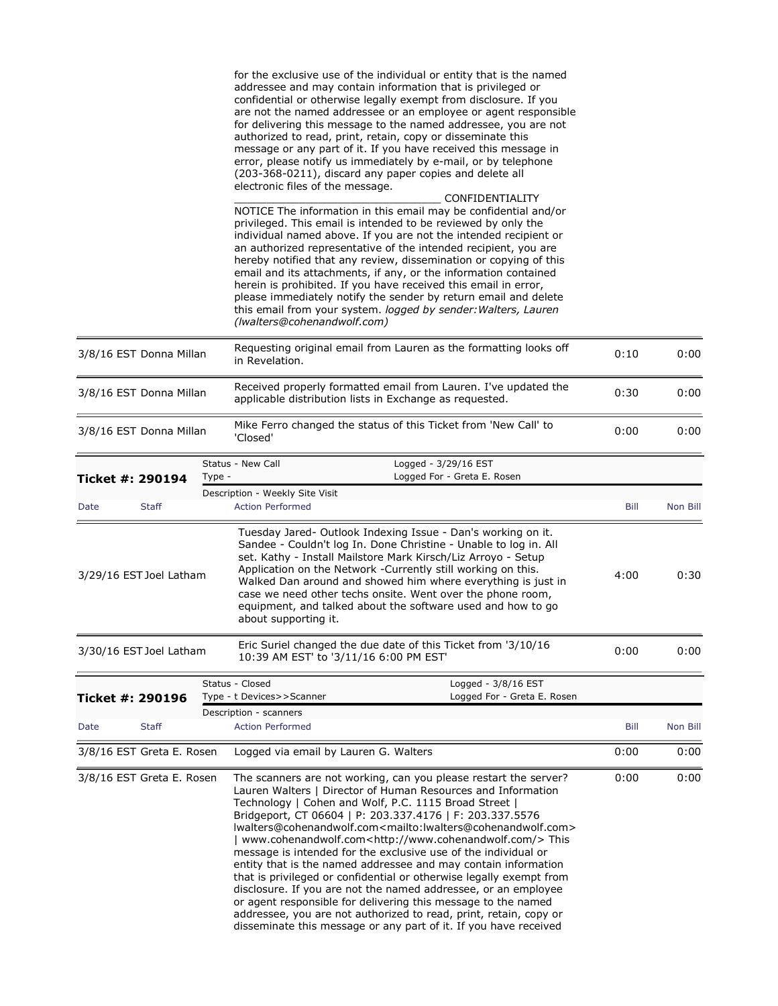|                           |              | for the exclusive use of the individual or entity that is the named<br>addressee and may contain information that is privileged or<br>confidential or otherwise legally exempt from disclosure. If you<br>are not the named addressee or an employee or agent responsible<br>for delivering this message to the named addressee, you are not<br>authorized to read, print, retain, copy or disseminate this<br>message or any part of it. If you have received this message in<br>error, please notify us immediately by e-mail, or by telephone<br>(203-368-0211), discard any paper copies and delete all<br>electronic files of the message.<br>CONFIDENTIALITY<br>NOTICE The information in this email may be confidential and/or                                             |      |          |
|---------------------------|--------------|-----------------------------------------------------------------------------------------------------------------------------------------------------------------------------------------------------------------------------------------------------------------------------------------------------------------------------------------------------------------------------------------------------------------------------------------------------------------------------------------------------------------------------------------------------------------------------------------------------------------------------------------------------------------------------------------------------------------------------------------------------------------------------------|------|----------|
|                           |              | privileged. This email is intended to be reviewed by only the<br>individual named above. If you are not the intended recipient or<br>an authorized representative of the intended recipient, you are<br>hereby notified that any review, dissemination or copying of this<br>email and its attachments, if any, or the information contained<br>herein is prohibited. If you have received this email in error,<br>please immediately notify the sender by return email and delete<br>this email from your system. logged by sender: Walters, Lauren<br>(Iwalters@cohenandwolf.com)                                                                                                                                                                                               |      |          |
| 3/8/16 EST Donna Millan   |              | Requesting original email from Lauren as the formatting looks off<br>in Revelation.                                                                                                                                                                                                                                                                                                                                                                                                                                                                                                                                                                                                                                                                                               | 0:10 | 0:00     |
| 3/8/16 EST Donna Millan   |              | Received properly formatted email from Lauren. I've updated the<br>applicable distribution lists in Exchange as requested.                                                                                                                                                                                                                                                                                                                                                                                                                                                                                                                                                                                                                                                        | 0:30 | 0:00     |
| 3/8/16 EST Donna Millan   |              | Mike Ferro changed the status of this Ticket from 'New Call' to<br>'Closed'                                                                                                                                                                                                                                                                                                                                                                                                                                                                                                                                                                                                                                                                                                       | 0:00 | 0:00     |
| Ticket #: 290194          |              | Status - New Call<br>Logged - 3/29/16 EST<br>Logged For - Greta E. Rosen<br>Type -                                                                                                                                                                                                                                                                                                                                                                                                                                                                                                                                                                                                                                                                                                |      |          |
|                           |              | Description - Weekly Site Visit                                                                                                                                                                                                                                                                                                                                                                                                                                                                                                                                                                                                                                                                                                                                                   |      |          |
| Date                      | <b>Staff</b> | <b>Action Performed</b>                                                                                                                                                                                                                                                                                                                                                                                                                                                                                                                                                                                                                                                                                                                                                           | Bill | Non Bill |
| 3/29/16 EST Joel Latham   |              | Tuesday Jared- Outlook Indexing Issue - Dan's working on it.<br>Sandee - Couldn't log In. Done Christine - Unable to log in. All<br>set. Kathy - Install Mailstore Mark Kirsch/Liz Arroyo - Setup<br>Application on the Network -Currently still working on this.<br>Walked Dan around and showed him where everything is just in<br>case we need other techs onsite. Went over the phone room,<br>equipment, and talked about the software used and how to go<br>about supporting it.                                                                                                                                                                                                                                                                                            | 4:00 | 0:30     |
| 3/30/16 EST Joel Latham   |              | Eric Suriel changed the due date of this Ticket from '3/10/16<br>10:39 AM EST' to '3/11/16 6:00 PM EST'                                                                                                                                                                                                                                                                                                                                                                                                                                                                                                                                                                                                                                                                           | 0:00 | 0:00     |
| Ticket #: 290196          |              | Status - Closed<br>Logged - 3/8/16 EST<br>Logged For - Greta E. Rosen<br>Type - t Devices>>Scanner                                                                                                                                                                                                                                                                                                                                                                                                                                                                                                                                                                                                                                                                                |      |          |
| Date                      | <b>Staff</b> | Description - scanners<br><b>Action Performed</b>                                                                                                                                                                                                                                                                                                                                                                                                                                                                                                                                                                                                                                                                                                                                 | Bill | Non Bill |
| 3/8/16 EST Greta E. Rosen |              | Logged via email by Lauren G. Walters                                                                                                                                                                                                                                                                                                                                                                                                                                                                                                                                                                                                                                                                                                                                             | 0:00 | 0:00     |
| 3/8/16 EST Greta E. Rosen |              | The scanners are not working, can you please restart the server?<br>Lauren Walters   Director of Human Resources and Information<br>Technology   Cohen and Wolf, P.C. 1115 Broad Street  <br>Bridgeport, CT 06604   P: 203.337.4176   F: 203.337.5576<br>lwalters@cohenandwolf.com <mailto:lwalters@cohenandwolf.com><br/>  www.cohenandwolf.com<http: www.cohenandwolf.com=""></http:>This<br/>message is intended for the exclusive use of the individual or<br/>entity that is the named addressee and may contain information<br/>that is privileged or confidential or otherwise legally exempt from<br/>disclosure. If you are not the named addressee, or an employee<br/>or agent responsible for delivering this message to the named</mailto:lwalters@cohenandwolf.com> | 0:00 | 0:00     |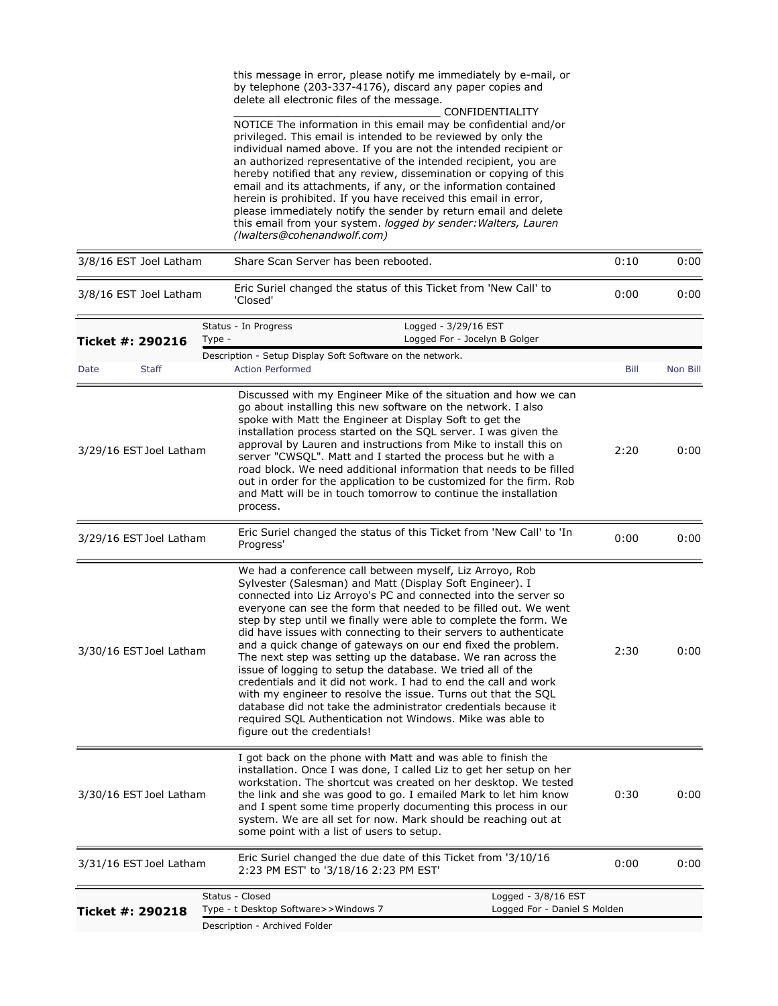this message in error, please notify me immediately by e-mail, or by telephone (203-337-4176), discard any paper copies and delete all electronic files of the message.

\_\_\_\_\_\_\_\_\_\_\_\_\_\_\_\_\_\_\_\_\_\_\_\_\_\_\_\_\_\_\_\_ CONFIDENTIALITY NOTICE The information in this email may be confidential and/or privileged. This email is intended to be reviewed by only the individual named above. If you are not the intended recipient or an authorized representative of the intended recipient, you are hereby notified that any review, dissemination or copying of this email and its attachments, if any, or the information contained herein is prohibited. If you have received this email in error, please immediately notify the sender by return email and delete this email from your system. *logged by sender:Walters, Lauren (lwalters@cohenandwolf.com)*

| 3/8/16 EST Joel Latham  |        | Share Scan Server has been rebooted.                                                 |                                                                                                                                                                                                                                                                                                                                                                                                                                                                                                                                                                                                                                                                                                                                                                                                                                                                      | 0:10 | 0:00     |
|-------------------------|--------|--------------------------------------------------------------------------------------|----------------------------------------------------------------------------------------------------------------------------------------------------------------------------------------------------------------------------------------------------------------------------------------------------------------------------------------------------------------------------------------------------------------------------------------------------------------------------------------------------------------------------------------------------------------------------------------------------------------------------------------------------------------------------------------------------------------------------------------------------------------------------------------------------------------------------------------------------------------------|------|----------|
| 3/8/16 EST Joel Latham  |        | 'Closed'                                                                             | Eric Suriel changed the status of this Ticket from 'New Call' to                                                                                                                                                                                                                                                                                                                                                                                                                                                                                                                                                                                                                                                                                                                                                                                                     | 0:00 | 0:00     |
| Ticket #: 290216        | Type - | Status - In Progress                                                                 | Logged - 3/29/16 EST<br>Logged For - Jocelyn B Golger                                                                                                                                                                                                                                                                                                                                                                                                                                                                                                                                                                                                                                                                                                                                                                                                                |      |          |
| <b>Staff</b><br>Date    |        | Description - Setup Display Soft Software on the network.<br><b>Action Performed</b> |                                                                                                                                                                                                                                                                                                                                                                                                                                                                                                                                                                                                                                                                                                                                                                                                                                                                      | Bill | Non Bill |
|                         |        |                                                                                      | Discussed with my Engineer Mike of the situation and how we can                                                                                                                                                                                                                                                                                                                                                                                                                                                                                                                                                                                                                                                                                                                                                                                                      |      |          |
| 3/29/16 EST Joel Latham |        | process.                                                                             | go about installing this new software on the network. I also<br>spoke with Matt the Engineer at Display Soft to get the<br>installation process started on the SQL server. I was given the<br>approval by Lauren and instructions from Mike to install this on<br>server "CWSQL". Matt and I started the process but he with a<br>road block. We need additional information that needs to be filled<br>out in order for the application to be customized for the firm. Rob<br>and Matt will be in touch tomorrow to continue the installation                                                                                                                                                                                                                                                                                                                       | 2:20 | 0:00     |
| 3/29/16 EST Joel Latham |        | Progress'                                                                            | Eric Suriel changed the status of this Ticket from 'New Call' to 'In                                                                                                                                                                                                                                                                                                                                                                                                                                                                                                                                                                                                                                                                                                                                                                                                 | 0:00 | 0:00     |
| 3/30/16 EST Joel Latham |        | figure out the credentials!                                                          | We had a conference call between myself, Liz Arroyo, Rob<br>Sylvester (Salesman) and Matt (Display Soft Engineer). I<br>connected into Liz Arroyo's PC and connected into the server so<br>everyone can see the form that needed to be filled out. We went<br>step by step until we finally were able to complete the form. We<br>did have issues with connecting to their servers to authenticate<br>and a quick change of gateways on our end fixed the problem.<br>The next step was setting up the database. We ran across the<br>issue of logging to setup the database. We tried all of the<br>credentials and it did not work. I had to end the call and work<br>with my engineer to resolve the issue. Turns out that the SQL<br>database did not take the administrator credentials because it<br>required SQL Authentication not Windows. Mike was able to | 2:30 | 0:00     |
| 3/30/16 EST Joel Latham |        | some point with a list of users to setup.                                            | I got back on the phone with Matt and was able to finish the<br>installation. Once I was done, I called Liz to get her setup on her<br>workstation. The shortcut was created on her desktop. We tested<br>the link and she was good to go. I emailed Mark to let him know<br>and I spent some time properly documenting this process in our<br>system. We are all set for now. Mark should be reaching out at                                                                                                                                                                                                                                                                                                                                                                                                                                                        | 0:30 | 0:00     |
| 3/31/16 EST Joel Latham |        | 2:23 PM EST' to '3/18/16 2:23 PM EST'                                                | Eric Suriel changed the due date of this Ticket from '3/10/16                                                                                                                                                                                                                                                                                                                                                                                                                                                                                                                                                                                                                                                                                                                                                                                                        | 0:00 | 0:00     |
|                         |        | Status - Closed                                                                      | Logged - 3/8/16 EST                                                                                                                                                                                                                                                                                                                                                                                                                                                                                                                                                                                                                                                                                                                                                                                                                                                  |      |          |
| Ticket #: 290218        |        | Type - t Desktop Software>>Windows 7<br>Description - Archived Folder                | Logged For - Daniel S Molden                                                                                                                                                                                                                                                                                                                                                                                                                                                                                                                                                                                                                                                                                                                                                                                                                                         |      |          |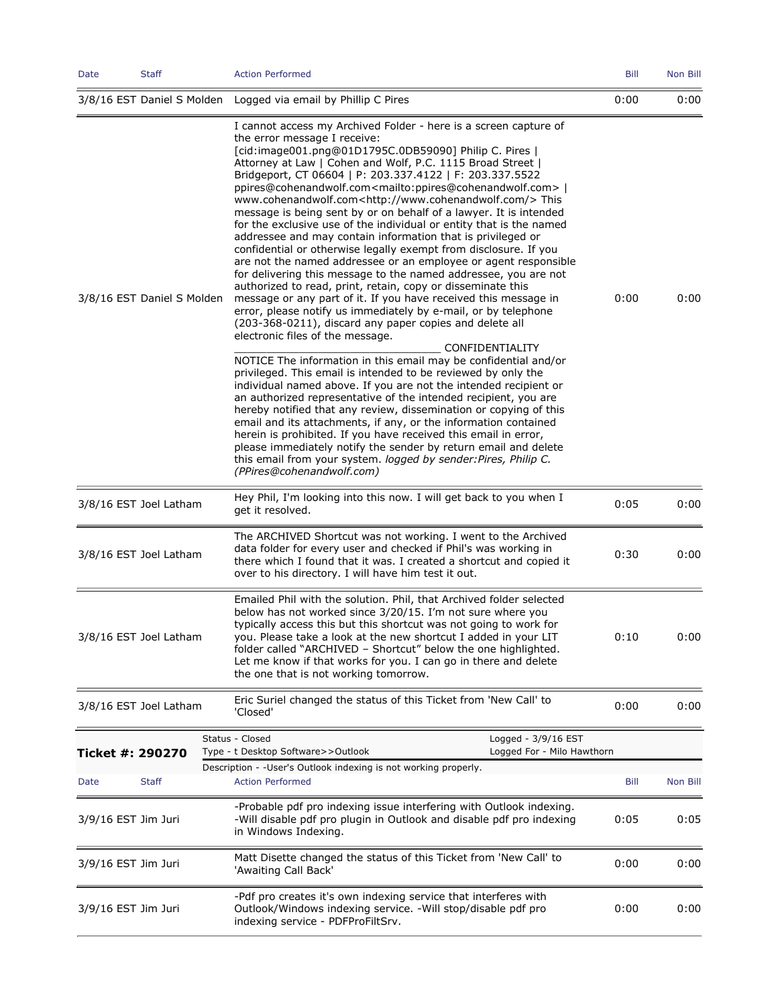| Date                  | Staff                      | <b>Action Performed</b>                                                                                                                                                                                                                                                                                                                                                                                                                                                                                                                                                                                                                                                                                                                                                                                                                                                                                                                                                                                                                                                                                                                                                                                      | Bill | Non Bill |
|-----------------------|----------------------------|--------------------------------------------------------------------------------------------------------------------------------------------------------------------------------------------------------------------------------------------------------------------------------------------------------------------------------------------------------------------------------------------------------------------------------------------------------------------------------------------------------------------------------------------------------------------------------------------------------------------------------------------------------------------------------------------------------------------------------------------------------------------------------------------------------------------------------------------------------------------------------------------------------------------------------------------------------------------------------------------------------------------------------------------------------------------------------------------------------------------------------------------------------------------------------------------------------------|------|----------|
|                       |                            | 3/8/16 EST Daniel S Molden Logged via email by Phillip C Pires                                                                                                                                                                                                                                                                                                                                                                                                                                                                                                                                                                                                                                                                                                                                                                                                                                                                                                                                                                                                                                                                                                                                               | 0:00 | 0:00     |
|                       | 3/8/16 EST Daniel S Molden | I cannot access my Archived Folder - here is a screen capture of<br>the error message I receive:<br>[cid:image001.png@01D1795C.0DB59090] Philip C. Pires  <br>Attorney at Law   Cohen and Wolf, P.C. 1115 Broad Street  <br>Bridgeport, CT 06604   P: 203.337.4122   F: 203.337.5522<br>ppires@cohenandwolf.com <mailto:ppires@cohenandwolf.com><br/>www.cohenandwolf.com<http: www.cohenandwolf.com=""></http:>This<br/>message is being sent by or on behalf of a lawyer. It is intended<br/>for the exclusive use of the individual or entity that is the named<br/>addressee and may contain information that is privileged or<br/>confidential or otherwise legally exempt from disclosure. If you<br/>are not the named addressee or an employee or agent responsible<br/>for delivering this message to the named addressee, you are not<br/>authorized to read, print, retain, copy or disseminate this<br/>message or any part of it. If you have received this message in<br/>error, please notify us immediately by e-mail, or by telephone<br/>(203-368-0211), discard any paper copies and delete all<br/>electronic files of the message.<br/>CONFIDENTIALITY</mailto:ppires@cohenandwolf.com> | 0:00 | 0:00     |
|                       |                            | NOTICE The information in this email may be confidential and/or<br>privileged. This email is intended to be reviewed by only the<br>individual named above. If you are not the intended recipient or<br>an authorized representative of the intended recipient, you are<br>hereby notified that any review, dissemination or copying of this<br>email and its attachments, if any, or the information contained<br>herein is prohibited. If you have received this email in error,<br>please immediately notify the sender by return email and delete<br>this email from your system. logged by sender: Pires, Philip C.<br>(PPires@cohenandwolf.com)                                                                                                                                                                                                                                                                                                                                                                                                                                                                                                                                                        |      |          |
|                       | 3/8/16 EST Joel Latham     | Hey Phil, I'm looking into this now. I will get back to you when I<br>get it resolved.                                                                                                                                                                                                                                                                                                                                                                                                                                                                                                                                                                                                                                                                                                                                                                                                                                                                                                                                                                                                                                                                                                                       | 0:05 | 0:00     |
|                       | 3/8/16 EST Joel Latham     | The ARCHIVED Shortcut was not working. I went to the Archived<br>data folder for every user and checked if Phil's was working in<br>there which I found that it was. I created a shortcut and copied it<br>over to his directory. I will have him test it out.                                                                                                                                                                                                                                                                                                                                                                                                                                                                                                                                                                                                                                                                                                                                                                                                                                                                                                                                               | 0:30 | 0:00     |
|                       | 3/8/16 EST Joel Latham     | Emailed Phil with the solution. Phil, that Archived folder selected<br>below has not worked since 3/20/15. I'm not sure where you<br>typically access this but this shortcut was not going to work for<br>you. Please take a look at the new shortcut I added in your LIT<br>folder called "ARCHIVED - Shortcut" below the one highlighted.<br>Let me know if that works for you. I can go in there and delete<br>the one that is not working tomorrow.                                                                                                                                                                                                                                                                                                                                                                                                                                                                                                                                                                                                                                                                                                                                                      | 0:10 | 0:00     |
|                       | 3/8/16 EST Joel Latham     | Eric Suriel changed the status of this Ticket from 'New Call' to<br>'Closed'                                                                                                                                                                                                                                                                                                                                                                                                                                                                                                                                                                                                                                                                                                                                                                                                                                                                                                                                                                                                                                                                                                                                 | 0:00 | 0:00     |
| Ticket #: 290270      |                            | Status - Closed<br>Logged - 3/9/16 EST<br>Logged For - Milo Hawthorn<br>Type - t Desktop Software>>Outlook                                                                                                                                                                                                                                                                                                                                                                                                                                                                                                                                                                                                                                                                                                                                                                                                                                                                                                                                                                                                                                                                                                   |      |          |
| Date                  | <b>Staff</b>               | Description - -User's Outlook indexing is not working properly.<br><b>Action Performed</b>                                                                                                                                                                                                                                                                                                                                                                                                                                                                                                                                                                                                                                                                                                                                                                                                                                                                                                                                                                                                                                                                                                                   | Bill | Non Bill |
| $3/9/16$ EST Jim Juri |                            | -Probable pdf pro indexing issue interfering with Outlook indexing.<br>-Will disable pdf pro plugin in Outlook and disable pdf pro indexing<br>in Windows Indexing.                                                                                                                                                                                                                                                                                                                                                                                                                                                                                                                                                                                                                                                                                                                                                                                                                                                                                                                                                                                                                                          | 0:05 | 0:05     |
| 3/9/16 EST Jim Juri   |                            | Matt Disette changed the status of this Ticket from 'New Call' to<br>'Awaiting Call Back'                                                                                                                                                                                                                                                                                                                                                                                                                                                                                                                                                                                                                                                                                                                                                                                                                                                                                                                                                                                                                                                                                                                    | 0:00 | 0:00     |
| 3/9/16 EST Jim Juri   |                            | -Pdf pro creates it's own indexing service that interferes with<br>Outlook/Windows indexing service. -Will stop/disable pdf pro<br>indexing service - PDFProFiltSrv.                                                                                                                                                                                                                                                                                                                                                                                                                                                                                                                                                                                                                                                                                                                                                                                                                                                                                                                                                                                                                                         | 0:00 | 0:00     |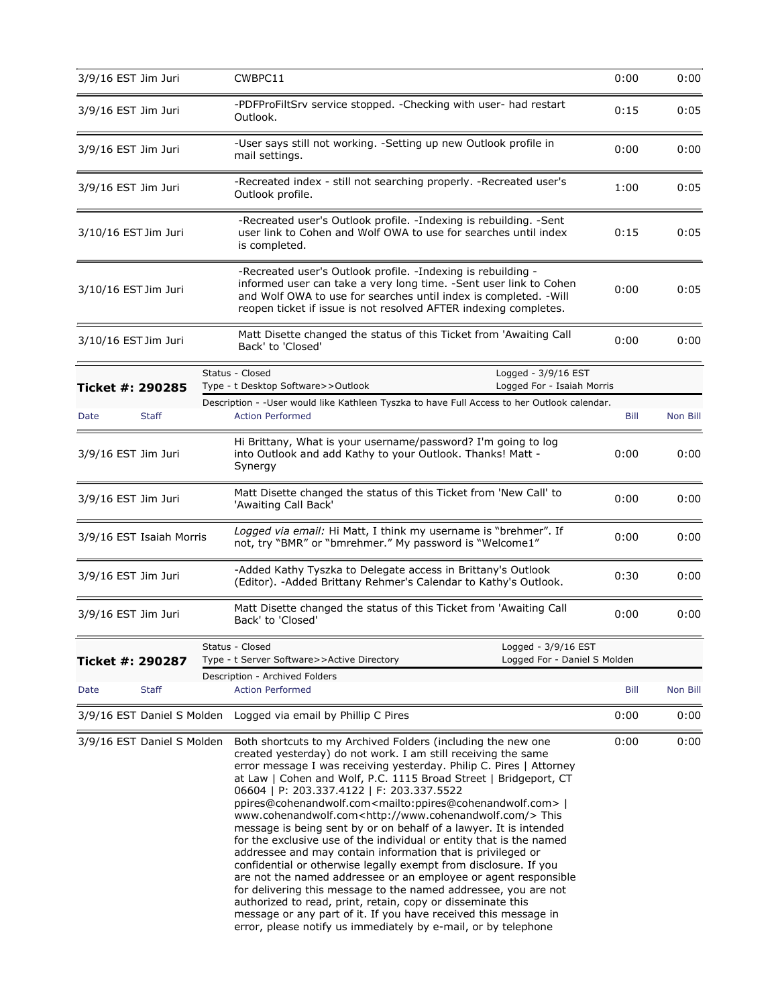| 3/9/16 EST Jim Juri  |                            | CWBPC11                                                                                                                                                                                                                                                                                                                                                                                                                                                                                                                                                                                                                                                                                                                                                                                                                                                                                                                                                                                                                                                                                                                    | 0:00 | 0:00     |
|----------------------|----------------------------|----------------------------------------------------------------------------------------------------------------------------------------------------------------------------------------------------------------------------------------------------------------------------------------------------------------------------------------------------------------------------------------------------------------------------------------------------------------------------------------------------------------------------------------------------------------------------------------------------------------------------------------------------------------------------------------------------------------------------------------------------------------------------------------------------------------------------------------------------------------------------------------------------------------------------------------------------------------------------------------------------------------------------------------------------------------------------------------------------------------------------|------|----------|
| 3/9/16 EST Jim Juri  |                            | -PDFProFiltSrv service stopped. - Checking with user- had restart<br>Outlook.                                                                                                                                                                                                                                                                                                                                                                                                                                                                                                                                                                                                                                                                                                                                                                                                                                                                                                                                                                                                                                              | 0:15 | 0:05     |
| 3/9/16 EST Jim Juri  |                            | -User says still not working. -Setting up new Outlook profile in<br>mail settings.                                                                                                                                                                                                                                                                                                                                                                                                                                                                                                                                                                                                                                                                                                                                                                                                                                                                                                                                                                                                                                         | 0:00 | 0:00     |
| 3/9/16 EST Jim Juri  |                            | -Recreated index - still not searching properly. -Recreated user's<br>Outlook profile.                                                                                                                                                                                                                                                                                                                                                                                                                                                                                                                                                                                                                                                                                                                                                                                                                                                                                                                                                                                                                                     | 1:00 | 0:05     |
| 3/10/16 EST Jim Juri |                            | -Recreated user's Outlook profile. - Indexing is rebuilding. - Sent<br>user link to Cohen and Wolf OWA to use for searches until index<br>is completed.                                                                                                                                                                                                                                                                                                                                                                                                                                                                                                                                                                                                                                                                                                                                                                                                                                                                                                                                                                    | 0:15 | 0:05     |
| 3/10/16 EST Jim Juri |                            | -Recreated user's Outlook profile. -Indexing is rebuilding -<br>informed user can take a very long time. -Sent user link to Cohen<br>and Wolf OWA to use for searches until index is completed. - Will<br>reopen ticket if issue is not resolved AFTER indexing completes.                                                                                                                                                                                                                                                                                                                                                                                                                                                                                                                                                                                                                                                                                                                                                                                                                                                 | 0:00 | 0:05     |
| 3/10/16 EST Jim Juri |                            | Matt Disette changed the status of this Ticket from 'Awaiting Call<br>Back' to 'Closed'                                                                                                                                                                                                                                                                                                                                                                                                                                                                                                                                                                                                                                                                                                                                                                                                                                                                                                                                                                                                                                    | 0:00 | 0:00     |
| Ticket #: 290285     |                            | Status - Closed<br>Logged - 3/9/16 EST<br>Type - t Desktop Software>>Outlook<br>Logged For - Isaiah Morris                                                                                                                                                                                                                                                                                                                                                                                                                                                                                                                                                                                                                                                                                                                                                                                                                                                                                                                                                                                                                 |      |          |
| Date                 | <b>Staff</b>               | Description - - User would like Kathleen Tyszka to have Full Access to her Outlook calendar.<br><b>Action Performed</b>                                                                                                                                                                                                                                                                                                                                                                                                                                                                                                                                                                                                                                                                                                                                                                                                                                                                                                                                                                                                    | Bill | Non Bill |
| 3/9/16 EST Jim Juri  |                            | Hi Brittany, What is your username/password? I'm going to log<br>into Outlook and add Kathy to your Outlook. Thanks! Matt -<br>Synergy                                                                                                                                                                                                                                                                                                                                                                                                                                                                                                                                                                                                                                                                                                                                                                                                                                                                                                                                                                                     | 0:00 | 0:00     |
| 3/9/16 EST Jim Juri  |                            | Matt Disette changed the status of this Ticket from 'New Call' to<br>'Awaiting Call Back'                                                                                                                                                                                                                                                                                                                                                                                                                                                                                                                                                                                                                                                                                                                                                                                                                                                                                                                                                                                                                                  | 0:00 | 0:00     |
|                      | 3/9/16 EST Isaiah Morris   | Logged via email: Hi Matt, I think my username is "brehmer". If<br>not, try "BMR" or "bmrehmer." My password is "Welcome1"                                                                                                                                                                                                                                                                                                                                                                                                                                                                                                                                                                                                                                                                                                                                                                                                                                                                                                                                                                                                 | 0:00 | 0:00     |
| 3/9/16 EST Jim Juri  |                            | -Added Kathy Tyszka to Delegate access in Brittany's Outlook<br>(Editor). - Added Brittany Rehmer's Calendar to Kathy's Outlook.                                                                                                                                                                                                                                                                                                                                                                                                                                                                                                                                                                                                                                                                                                                                                                                                                                                                                                                                                                                           | 0:30 | 0:00     |
| 3/9/16 EST Jim Juri  |                            | Matt Disette changed the status of this Ticket from 'Awaiting Call<br>Back' to 'Closed'                                                                                                                                                                                                                                                                                                                                                                                                                                                                                                                                                                                                                                                                                                                                                                                                                                                                                                                                                                                                                                    | 0:00 | 0:00     |
|                      |                            | Status - Closed<br>Logged - 3/9/16 EST                                                                                                                                                                                                                                                                                                                                                                                                                                                                                                                                                                                                                                                                                                                                                                                                                                                                                                                                                                                                                                                                                     |      |          |
| Ticket #: 290287     |                            | Logged For - Daniel S Molden<br>Type - t Server Software>>Active Directory<br>Description - Archived Folders                                                                                                                                                                                                                                                                                                                                                                                                                                                                                                                                                                                                                                                                                                                                                                                                                                                                                                                                                                                                               |      |          |
| Date                 | <b>Staff</b>               | <b>Action Performed</b>                                                                                                                                                                                                                                                                                                                                                                                                                                                                                                                                                                                                                                                                                                                                                                                                                                                                                                                                                                                                                                                                                                    | Bill | Non Bill |
|                      | 3/9/16 EST Daniel S Molden | Logged via email by Phillip C Pires                                                                                                                                                                                                                                                                                                                                                                                                                                                                                                                                                                                                                                                                                                                                                                                                                                                                                                                                                                                                                                                                                        | 0:00 | 0:00     |
|                      | 3/9/16 EST Daniel S Molden | Both shortcuts to my Archived Folders (including the new one<br>created yesterday) do not work. I am still receiving the same<br>error message I was receiving yesterday. Philip C. Pires   Attorney<br>at Law   Cohen and Wolf, P.C. 1115 Broad Street   Bridgeport, CT<br>06604   P: 203.337.4122   F: 203.337.5522<br>ppires@cohenandwolf.com <mailto:ppires@cohenandwolf.com>  <br/>www.cohenandwolf.com<http: www.cohenandwolf.com=""></http:>This<br/>message is being sent by or on behalf of a lawyer. It is intended<br/>for the exclusive use of the individual or entity that is the named<br/>addressee and may contain information that is privileged or<br/>confidential or otherwise legally exempt from disclosure. If you<br/>are not the named addressee or an employee or agent responsible<br/>for delivering this message to the named addressee, you are not<br/>authorized to read, print, retain, copy or disseminate this<br/>message or any part of it. If you have received this message in<br/>error, please notify us immediately by e-mail, or by telephone</mailto:ppires@cohenandwolf.com> | 0:00 | 0:00     |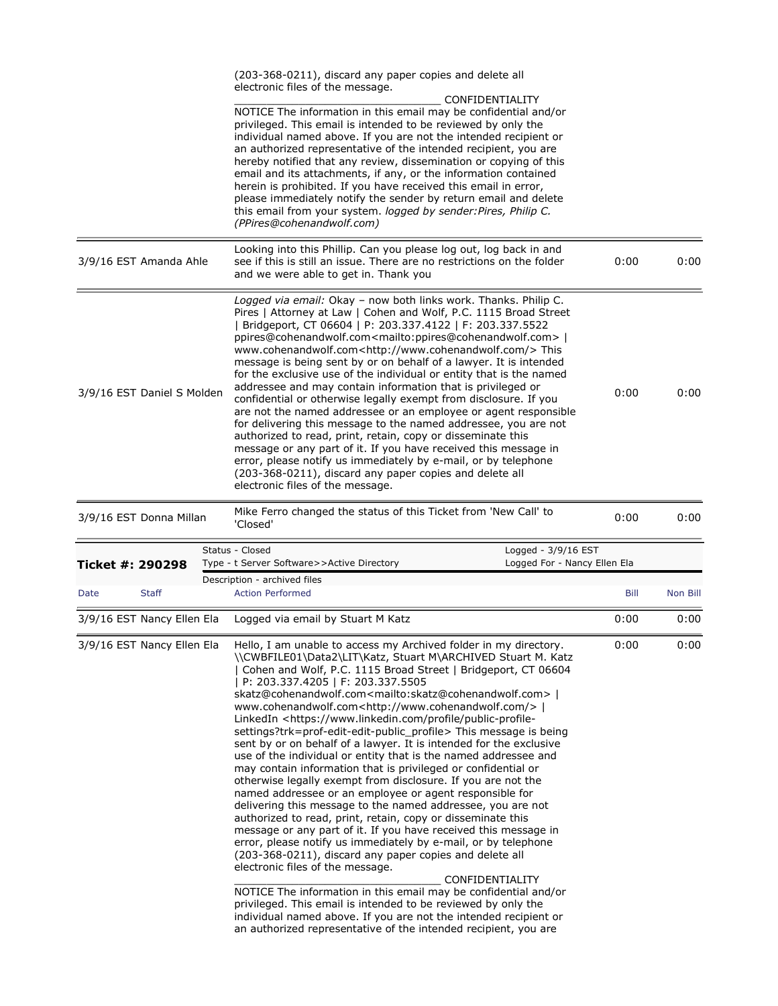|                            |                            | (203-368-0211), discard any paper copies and delete all<br>electronic files of the message.                                                                                                                                                                                                                                                                                                                                                                                                                                                                                                                                                                                                                                                                                                                                                                                                                                                                                                                                                                                                             |              |              |
|----------------------------|----------------------------|---------------------------------------------------------------------------------------------------------------------------------------------------------------------------------------------------------------------------------------------------------------------------------------------------------------------------------------------------------------------------------------------------------------------------------------------------------------------------------------------------------------------------------------------------------------------------------------------------------------------------------------------------------------------------------------------------------------------------------------------------------------------------------------------------------------------------------------------------------------------------------------------------------------------------------------------------------------------------------------------------------------------------------------------------------------------------------------------------------|--------------|--------------|
|                            |                            | CONFIDENTIALITY<br>NOTICE The information in this email may be confidential and/or<br>privileged. This email is intended to be reviewed by only the<br>individual named above. If you are not the intended recipient or<br>an authorized representative of the intended recipient, you are<br>hereby notified that any review, dissemination or copying of this<br>email and its attachments, if any, or the information contained<br>herein is prohibited. If you have received this email in error,<br>please immediately notify the sender by return email and delete<br>this email from your system. logged by sender: Pires, Philip C.<br>(PPires@cohenandwolf.com)                                                                                                                                                                                                                                                                                                                                                                                                                                |              |              |
| 3/9/16 EST Amanda Ahle     |                            | Looking into this Phillip. Can you please log out, log back in and<br>see if this is still an issue. There are no restrictions on the folder<br>and we were able to get in. Thank you                                                                                                                                                                                                                                                                                                                                                                                                                                                                                                                                                                                                                                                                                                                                                                                                                                                                                                                   | 0:00         | 0:00         |
| 3/9/16 EST Daniel S Molden |                            | Logged via email: Okay - now both links work. Thanks. Philip C.<br>Pires   Attorney at Law   Cohen and Wolf, P.C. 1115 Broad Street<br>  Bridgeport, CT 06604   P: 203.337.4122   F: 203.337.5522<br>ppires@cohenandwolf.com <mailto:ppires@cohenandwolf.com>  <br/>www.cohenandwolf.com<http: www.cohenandwolf.com=""></http:>This<br/>message is being sent by or on behalf of a lawyer. It is intended<br/>for the exclusive use of the individual or entity that is the named<br/>addressee and may contain information that is privileged or<br/>confidential or otherwise legally exempt from disclosure. If you<br/>are not the named addressee or an employee or agent responsible<br/>for delivering this message to the named addressee, you are not<br/>authorized to read, print, retain, copy or disseminate this<br/>message or any part of it. If you have received this message in<br/>error, please notify us immediately by e-mail, or by telephone<br/>(203-368-0211), discard any paper copies and delete all<br/>electronic files of the message.</mailto:ppires@cohenandwolf.com> | 0:00         | 0:00         |
| 3/9/16 EST Donna Millan    |                            | Mike Ferro changed the status of this Ticket from 'New Call' to<br>'Closed'                                                                                                                                                                                                                                                                                                                                                                                                                                                                                                                                                                                                                                                                                                                                                                                                                                                                                                                                                                                                                             | 0:00         | 0:00         |
| Ticket #: 290298           |                            | Status - Closed<br>Logged - 3/9/16 EST<br>Logged For - Nancy Ellen Ela<br>Type - t Server Software>>Active Directory                                                                                                                                                                                                                                                                                                                                                                                                                                                                                                                                                                                                                                                                                                                                                                                                                                                                                                                                                                                    |              |              |
| Date                       |                            |                                                                                                                                                                                                                                                                                                                                                                                                                                                                                                                                                                                                                                                                                                                                                                                                                                                                                                                                                                                                                                                                                                         |              |              |
|                            |                            | Description - archived files                                                                                                                                                                                                                                                                                                                                                                                                                                                                                                                                                                                                                                                                                                                                                                                                                                                                                                                                                                                                                                                                            |              |              |
|                            | <b>Staff</b>               | <b>Action Performed</b>                                                                                                                                                                                                                                                                                                                                                                                                                                                                                                                                                                                                                                                                                                                                                                                                                                                                                                                                                                                                                                                                                 | Bill         | Non Bill     |
| 3/9/16 EST Nancy Ellen Ela | 3/9/16 EST Nancy Ellen Ela | Logged via email by Stuart M Katz<br>Hello, I am unable to access my Archived folder in my directory.                                                                                                                                                                                                                                                                                                                                                                                                                                                                                                                                                                                                                                                                                                                                                                                                                                                                                                                                                                                                   | 0:00<br>0:00 | 0:00<br>0:00 |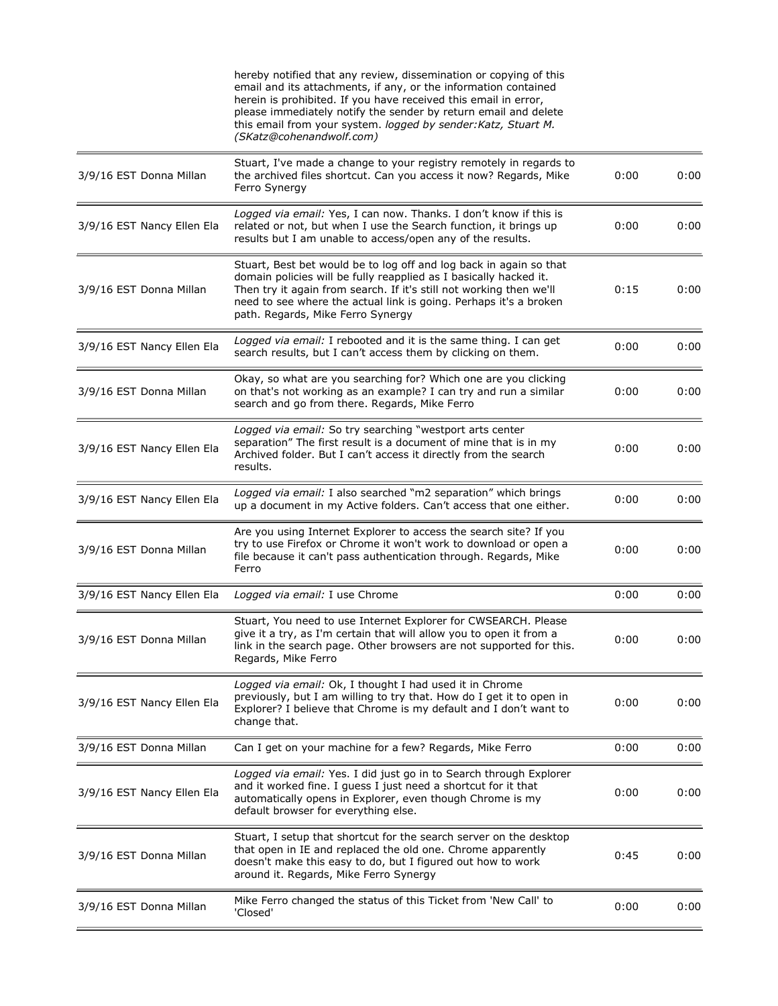|                            | hereby notified that any review, dissemination or copying of this<br>email and its attachments, if any, or the information contained<br>herein is prohibited. If you have received this email in error,<br>please immediately notify the sender by return email and delete<br>this email from your system. logged by sender: Katz, Stuart M.<br>(SKatz@cohenandwolf.com) |      |      |
|----------------------------|--------------------------------------------------------------------------------------------------------------------------------------------------------------------------------------------------------------------------------------------------------------------------------------------------------------------------------------------------------------------------|------|------|
| 3/9/16 EST Donna Millan    | Stuart, I've made a change to your registry remotely in regards to<br>the archived files shortcut. Can you access it now? Regards, Mike<br>Ferro Synergy                                                                                                                                                                                                                 | 0:00 | 0:00 |
| 3/9/16 EST Nancy Ellen Ela | Logged via email: Yes, I can now. Thanks. I don't know if this is<br>related or not, but when I use the Search function, it brings up<br>results but I am unable to access/open any of the results.                                                                                                                                                                      | 0:00 | 0:00 |
| 3/9/16 EST Donna Millan    | Stuart, Best bet would be to log off and log back in again so that<br>domain policies will be fully reapplied as I basically hacked it.<br>Then try it again from search. If it's still not working then we'll<br>need to see where the actual link is going. Perhaps it's a broken<br>path. Regards, Mike Ferro Synergy                                                 | 0:15 | 0:00 |
| 3/9/16 EST Nancy Ellen Ela | Logged via email: I rebooted and it is the same thing. I can get<br>search results, but I can't access them by clicking on them.                                                                                                                                                                                                                                         | 0:00 | 0:00 |
| 3/9/16 EST Donna Millan    | Okay, so what are you searching for? Which one are you clicking<br>on that's not working as an example? I can try and run a similar<br>search and go from there. Regards, Mike Ferro                                                                                                                                                                                     | 0:00 | 0:00 |
| 3/9/16 EST Nancy Ellen Ela | Logged via email: So try searching "westport arts center<br>separation" The first result is a document of mine that is in my<br>Archived folder. But I can't access it directly from the search<br>results.                                                                                                                                                              | 0:00 | 0:00 |
| 3/9/16 EST Nancy Ellen Ela | Logged via email: I also searched "m2 separation" which brings<br>up a document in my Active folders. Can't access that one either.                                                                                                                                                                                                                                      | 0:00 | 0:00 |
| 3/9/16 EST Donna Millan    | Are you using Internet Explorer to access the search site? If you<br>try to use Firefox or Chrome it won't work to download or open a<br>file because it can't pass authentication through. Regards, Mike<br>Ferro                                                                                                                                                       | 0:00 | 0:00 |
| 3/9/16 EST Nancy Ellen Ela | Logged via email: I use Chrome                                                                                                                                                                                                                                                                                                                                           | 0:00 | 0:00 |
| 3/9/16 EST Donna Millan    | Stuart, You need to use Internet Explorer for CWSEARCH. Please<br>give it a try, as I'm certain that will allow you to open it from a<br>link in the search page. Other browsers are not supported for this.<br>Regards, Mike Ferro                                                                                                                                      | 0:00 | 0:00 |
| 3/9/16 EST Nancy Ellen Ela | Logged via email: Ok, I thought I had used it in Chrome<br>previously, but I am willing to try that. How do I get it to open in<br>Explorer? I believe that Chrome is my default and I don't want to<br>change that.                                                                                                                                                     | 0:00 | 0:00 |
| 3/9/16 EST Donna Millan    | Can I get on your machine for a few? Regards, Mike Ferro                                                                                                                                                                                                                                                                                                                 | 0:00 | 0:00 |
| 3/9/16 EST Nancy Ellen Ela | Logged via email: Yes. I did just go in to Search through Explorer<br>and it worked fine. I guess I just need a shortcut for it that<br>automatically opens in Explorer, even though Chrome is my<br>default browser for everything else.                                                                                                                                | 0:00 | 0:00 |
| 3/9/16 EST Donna Millan    | Stuart, I setup that shortcut for the search server on the desktop<br>that open in IE and replaced the old one. Chrome apparently<br>doesn't make this easy to do, but I figured out how to work<br>around it. Regards, Mike Ferro Synergy                                                                                                                               | 0:45 | 0:00 |
| 3/9/16 EST Donna Millan    | Mike Ferro changed the status of this Ticket from 'New Call' to<br>'Closed'                                                                                                                                                                                                                                                                                              | 0:00 | 0:00 |
|                            |                                                                                                                                                                                                                                                                                                                                                                          |      |      |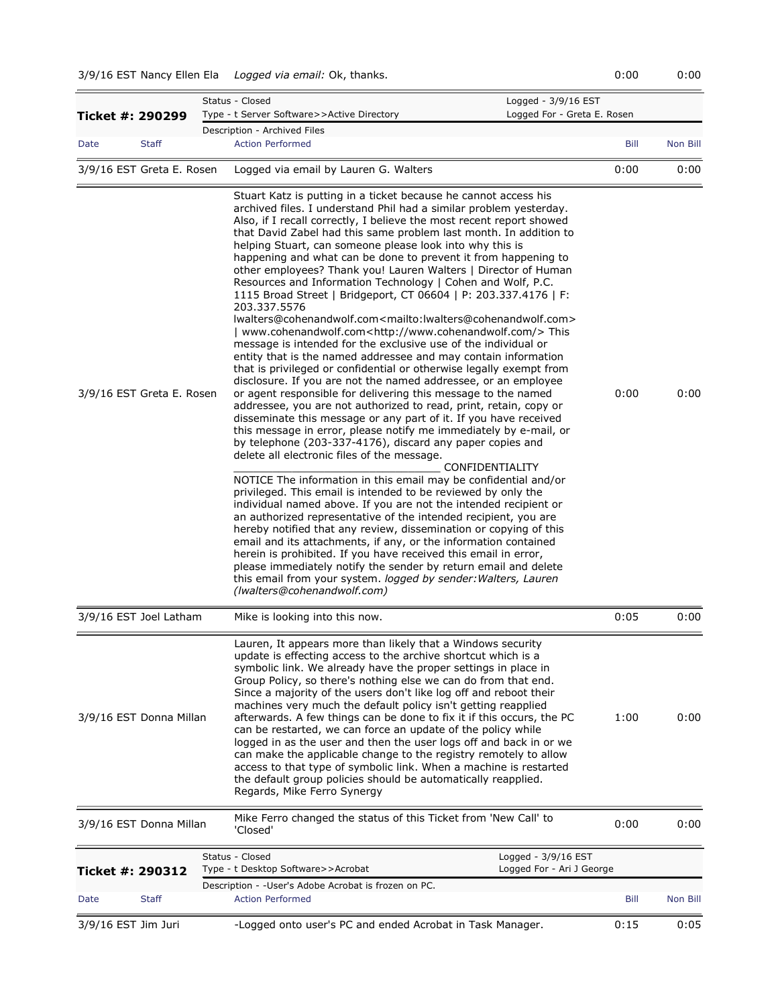## 3/9/16 EST Nancy Ellen Ela *Logged via email:* Ok, thanks. 0:00 0:00

| Ticket #: 290299          |              | Status - Closed<br>Logged - 3/9/16 EST<br>Logged For - Greta E. Rosen<br>Type - t Server Software>>Active Directory                                                                                                                                                                                                                                                                                                                                                                                                                                                                                                                                                                                                                                                                                                                                                                                                                                                                                                                                                                                                                                                                                                                                                                                                                                                                                                                                                                                                                                                                                                                                                                                                                                                                                                                                                                                                                                                                                                                                                                                                                                                                     |      |          |
|---------------------------|--------------|-----------------------------------------------------------------------------------------------------------------------------------------------------------------------------------------------------------------------------------------------------------------------------------------------------------------------------------------------------------------------------------------------------------------------------------------------------------------------------------------------------------------------------------------------------------------------------------------------------------------------------------------------------------------------------------------------------------------------------------------------------------------------------------------------------------------------------------------------------------------------------------------------------------------------------------------------------------------------------------------------------------------------------------------------------------------------------------------------------------------------------------------------------------------------------------------------------------------------------------------------------------------------------------------------------------------------------------------------------------------------------------------------------------------------------------------------------------------------------------------------------------------------------------------------------------------------------------------------------------------------------------------------------------------------------------------------------------------------------------------------------------------------------------------------------------------------------------------------------------------------------------------------------------------------------------------------------------------------------------------------------------------------------------------------------------------------------------------------------------------------------------------------------------------------------------------|------|----------|
|                           |              | Description - Archived Files                                                                                                                                                                                                                                                                                                                                                                                                                                                                                                                                                                                                                                                                                                                                                                                                                                                                                                                                                                                                                                                                                                                                                                                                                                                                                                                                                                                                                                                                                                                                                                                                                                                                                                                                                                                                                                                                                                                                                                                                                                                                                                                                                            |      |          |
| Date                      | <b>Staff</b> | <b>Action Performed</b>                                                                                                                                                                                                                                                                                                                                                                                                                                                                                                                                                                                                                                                                                                                                                                                                                                                                                                                                                                                                                                                                                                                                                                                                                                                                                                                                                                                                                                                                                                                                                                                                                                                                                                                                                                                                                                                                                                                                                                                                                                                                                                                                                                 | Bill | Non Bill |
| 3/9/16 EST Greta E. Rosen |              | Logged via email by Lauren G. Walters                                                                                                                                                                                                                                                                                                                                                                                                                                                                                                                                                                                                                                                                                                                                                                                                                                                                                                                                                                                                                                                                                                                                                                                                                                                                                                                                                                                                                                                                                                                                                                                                                                                                                                                                                                                                                                                                                                                                                                                                                                                                                                                                                   | 0:00 | 0:00     |
| 3/9/16 EST Greta E. Rosen |              | Stuart Katz is putting in a ticket because he cannot access his<br>archived files. I understand Phil had a similar problem yesterday.<br>Also, if I recall correctly, I believe the most recent report showed<br>that David Zabel had this same problem last month. In addition to<br>helping Stuart, can someone please look into why this is<br>happening and what can be done to prevent it from happening to<br>other employees? Thank you! Lauren Walters   Director of Human<br>Resources and Information Technology   Cohen and Wolf, P.C.<br>1115 Broad Street   Bridgeport, CT 06604   P: 203.337.4176   F:<br>203.337.5576<br>lwalters@cohenandwolf.com <mailto:lwalters@cohenandwolf.com><br/>  www.cohenandwolf.com<http: www.cohenandwolf.com=""></http:>This<br/>message is intended for the exclusive use of the individual or<br/>entity that is the named addressee and may contain information<br/>that is privileged or confidential or otherwise legally exempt from<br/>disclosure. If you are not the named addressee, or an employee<br/>or agent responsible for delivering this message to the named<br/>addressee, you are not authorized to read, print, retain, copy or<br/>disseminate this message or any part of it. If you have received<br/>this message in error, please notify me immediately by e-mail, or<br/>by telephone (203-337-4176), discard any paper copies and<br/>delete all electronic files of the message.<br/>CONFIDENTIALITY<br/>NOTICE The information in this email may be confidential and/or<br/>privileged. This email is intended to be reviewed by only the<br/>individual named above. If you are not the intended recipient or<br/>an authorized representative of the intended recipient, you are<br/>hereby notified that any review, dissemination or copying of this<br/>email and its attachments, if any, or the information contained<br/>herein is prohibited. If you have received this email in error,<br/>please immediately notify the sender by return email and delete<br/>this email from your system. logged by sender: Walters, Lauren<br/>(Iwalters@cohenandwolf.com)</mailto:lwalters@cohenandwolf.com> | 0:00 | 0:00     |
| 3/9/16 EST Joel Latham    |              | Mike is looking into this now.                                                                                                                                                                                                                                                                                                                                                                                                                                                                                                                                                                                                                                                                                                                                                                                                                                                                                                                                                                                                                                                                                                                                                                                                                                                                                                                                                                                                                                                                                                                                                                                                                                                                                                                                                                                                                                                                                                                                                                                                                                                                                                                                                          | 0:05 | 0:00     |
| 3/9/16 EST Donna Millan   |              | Lauren, It appears more than likely that a Windows security<br>update is effecting access to the archive shortcut which is a<br>symbolic link. We already have the proper settings in place in<br>Group Policy, so there's nothing else we can do from that end.<br>Since a majority of the users don't like log off and reboot their<br>machines very much the default policy isn't getting reapplied<br>afterwards. A few things can be done to fix it if this occurs, the PC<br>can be restarted, we can force an update of the policy while<br>logged in as the user and then the user logs off and back in or we<br>can make the applicable change to the registry remotely to allow<br>access to that type of symbolic link. When a machine is restarted<br>the default group policies should be automatically reapplied.<br>Regards, Mike Ferro Synergy                                                                                                                                                                                                                                                                                                                                                                                                                                                                                                                                                                                                                                                                                                                                                                                                                                                                                                                                                                                                                                                                                                                                                                                                                                                                                                                          | 1:00 | 0:00     |
| 3/9/16 EST Donna Millan   |              | Mike Ferro changed the status of this Ticket from 'New Call' to<br>'Closed'                                                                                                                                                                                                                                                                                                                                                                                                                                                                                                                                                                                                                                                                                                                                                                                                                                                                                                                                                                                                                                                                                                                                                                                                                                                                                                                                                                                                                                                                                                                                                                                                                                                                                                                                                                                                                                                                                                                                                                                                                                                                                                             | 0:00 | 0:00     |
|                           |              | Logged - 3/9/16 EST<br>Status - Closed                                                                                                                                                                                                                                                                                                                                                                                                                                                                                                                                                                                                                                                                                                                                                                                                                                                                                                                                                                                                                                                                                                                                                                                                                                                                                                                                                                                                                                                                                                                                                                                                                                                                                                                                                                                                                                                                                                                                                                                                                                                                                                                                                  |      |          |
| Ticket #: 290312          |              | Type - t Desktop Software>>Acrobat<br>Logged For - Ari J George                                                                                                                                                                                                                                                                                                                                                                                                                                                                                                                                                                                                                                                                                                                                                                                                                                                                                                                                                                                                                                                                                                                                                                                                                                                                                                                                                                                                                                                                                                                                                                                                                                                                                                                                                                                                                                                                                                                                                                                                                                                                                                                         |      |          |
| Date                      | <b>Staff</b> | Description - - User's Adobe Acrobat is frozen on PC.<br><b>Action Performed</b>                                                                                                                                                                                                                                                                                                                                                                                                                                                                                                                                                                                                                                                                                                                                                                                                                                                                                                                                                                                                                                                                                                                                                                                                                                                                                                                                                                                                                                                                                                                                                                                                                                                                                                                                                                                                                                                                                                                                                                                                                                                                                                        | Bill | Non Bill |
| 3/9/16 EST Jim Juri       |              | -Logged onto user's PC and ended Acrobat in Task Manager.                                                                                                                                                                                                                                                                                                                                                                                                                                                                                                                                                                                                                                                                                                                                                                                                                                                                                                                                                                                                                                                                                                                                                                                                                                                                                                                                                                                                                                                                                                                                                                                                                                                                                                                                                                                                                                                                                                                                                                                                                                                                                                                               | 0:15 | 0:05     |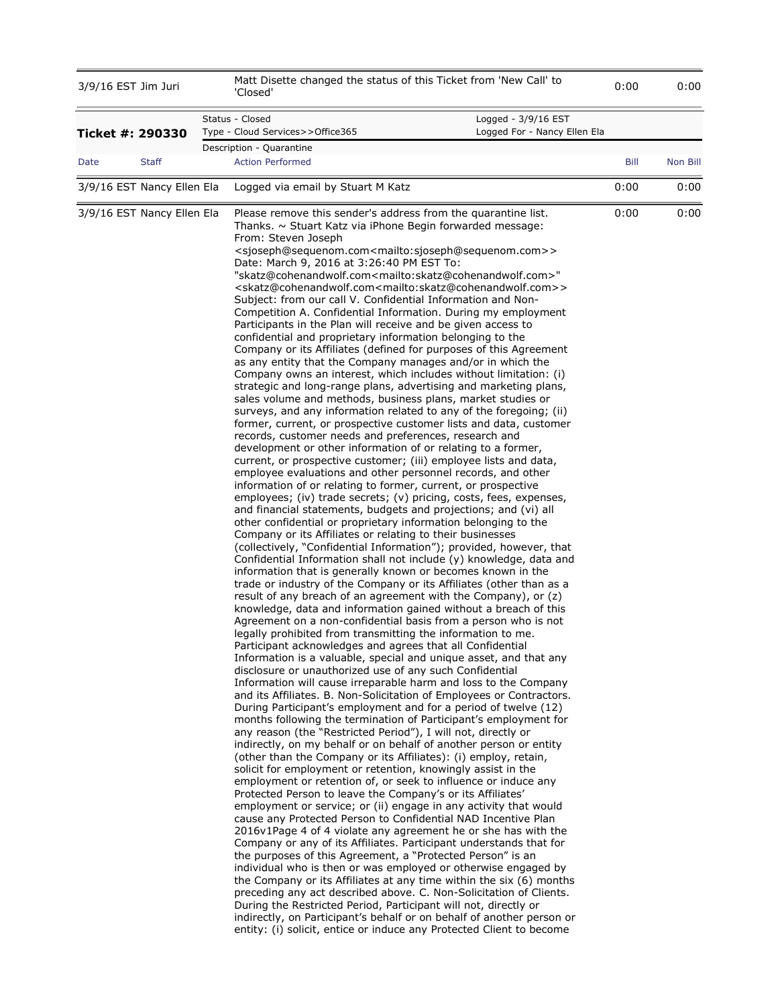| 3/9/16 EST Jim Juri        |              | Matt Disette changed the status of this Ticket from 'New Call' to<br>'Closed'                                                                                                                                                                                                                                                                                                                                                                                                                                                                                                                                                                                                                                                                                                                                                                                                                                                                                                                                                                                                                                                                                                                                                                                                                                                                                                                                                                                                                                                                                                                                                                                                                                                                                                                                                                                                                                                                                                                                                                                                                                                                                                                                                                                                                                                                                                                                                                                                                                                                                                                                                                                                                                                                                                                                                                                                                                                                                                                                                                                                                                                                                                                                                                                                                                                                                                                                                                                                                                                                                                                                                                                                                                                                                                                                                                                                                                                                                                                                                                                                                                                                                            | 0:00 | 0:00     |
|----------------------------|--------------|--------------------------------------------------------------------------------------------------------------------------------------------------------------------------------------------------------------------------------------------------------------------------------------------------------------------------------------------------------------------------------------------------------------------------------------------------------------------------------------------------------------------------------------------------------------------------------------------------------------------------------------------------------------------------------------------------------------------------------------------------------------------------------------------------------------------------------------------------------------------------------------------------------------------------------------------------------------------------------------------------------------------------------------------------------------------------------------------------------------------------------------------------------------------------------------------------------------------------------------------------------------------------------------------------------------------------------------------------------------------------------------------------------------------------------------------------------------------------------------------------------------------------------------------------------------------------------------------------------------------------------------------------------------------------------------------------------------------------------------------------------------------------------------------------------------------------------------------------------------------------------------------------------------------------------------------------------------------------------------------------------------------------------------------------------------------------------------------------------------------------------------------------------------------------------------------------------------------------------------------------------------------------------------------------------------------------------------------------------------------------------------------------------------------------------------------------------------------------------------------------------------------------------------------------------------------------------------------------------------------------------------------------------------------------------------------------------------------------------------------------------------------------------------------------------------------------------------------------------------------------------------------------------------------------------------------------------------------------------------------------------------------------------------------------------------------------------------------------------------------------------------------------------------------------------------------------------------------------------------------------------------------------------------------------------------------------------------------------------------------------------------------------------------------------------------------------------------------------------------------------------------------------------------------------------------------------------------------------------------------------------------------------------------------------------------------------------------------------------------------------------------------------------------------------------------------------------------------------------------------------------------------------------------------------------------------------------------------------------------------------------------------------------------------------------------------------------------------------------------------------------------------------------------------------|------|----------|
| Ticket #: 290330           |              | Status - Closed<br>Logged - 3/9/16 EST<br>Logged For - Nancy Ellen Ela<br>Type - Cloud Services>>Office365                                                                                                                                                                                                                                                                                                                                                                                                                                                                                                                                                                                                                                                                                                                                                                                                                                                                                                                                                                                                                                                                                                                                                                                                                                                                                                                                                                                                                                                                                                                                                                                                                                                                                                                                                                                                                                                                                                                                                                                                                                                                                                                                                                                                                                                                                                                                                                                                                                                                                                                                                                                                                                                                                                                                                                                                                                                                                                                                                                                                                                                                                                                                                                                                                                                                                                                                                                                                                                                                                                                                                                                                                                                                                                                                                                                                                                                                                                                                                                                                                                                               |      |          |
| Date                       | <b>Staff</b> | Description - Quarantine<br><b>Action Performed</b>                                                                                                                                                                                                                                                                                                                                                                                                                                                                                                                                                                                                                                                                                                                                                                                                                                                                                                                                                                                                                                                                                                                                                                                                                                                                                                                                                                                                                                                                                                                                                                                                                                                                                                                                                                                                                                                                                                                                                                                                                                                                                                                                                                                                                                                                                                                                                                                                                                                                                                                                                                                                                                                                                                                                                                                                                                                                                                                                                                                                                                                                                                                                                                                                                                                                                                                                                                                                                                                                                                                                                                                                                                                                                                                                                                                                                                                                                                                                                                                                                                                                                                                      | Bill | Non Bill |
| 3/9/16 EST Nancy Ellen Ela |              | Logged via email by Stuart M Katz                                                                                                                                                                                                                                                                                                                                                                                                                                                                                                                                                                                                                                                                                                                                                                                                                                                                                                                                                                                                                                                                                                                                                                                                                                                                                                                                                                                                                                                                                                                                                                                                                                                                                                                                                                                                                                                                                                                                                                                                                                                                                                                                                                                                                                                                                                                                                                                                                                                                                                                                                                                                                                                                                                                                                                                                                                                                                                                                                                                                                                                                                                                                                                                                                                                                                                                                                                                                                                                                                                                                                                                                                                                                                                                                                                                                                                                                                                                                                                                                                                                                                                                                        | 0:00 | 0:00     |
| 3/9/16 EST Nancy Ellen Ela |              | Please remove this sender's address from the quarantine list.<br>Thanks. ~ Stuart Katz via iPhone Begin forwarded message:<br>From: Steven Joseph<br><sjoseph@sequenom.com<mailto:sjoseph@sequenom.com>&gt;<br/>Date: March 9, 2016 at 3:26:40 PM EST To:<br/>"skatz@cohenandwolf.com<mailto:skatz@cohenandwolf.com>"<br/><skatz@cohenandwolf.com<mailto:skatz@cohenandwolf.com>&gt;<br/>Subject: from our call V. Confidential Information and Non-<br/>Competition A. Confidential Information. During my employment<br/>Participants in the Plan will receive and be given access to<br/>confidential and proprietary information belonging to the<br/>Company or its Affiliates (defined for purposes of this Agreement<br/>as any entity that the Company manages and/or in which the<br/>Company owns an interest, which includes without limitation: (i)<br/>strategic and long-range plans, advertising and marketing plans,<br/>sales volume and methods, business plans, market studies or<br/>surveys, and any information related to any of the foregoing; (ii)<br/>former, current, or prospective customer lists and data, customer<br/>records, customer needs and preferences, research and<br/>development or other information of or relating to a former,<br/>current, or prospective customer; (iii) employee lists and data,<br/>employee evaluations and other personnel records, and other<br/>information of or relating to former, current, or prospective<br/>employees; (iv) trade secrets; (v) pricing, costs, fees, expenses,<br/>and financial statements, budgets and projections; and (vi) all<br/>other confidential or proprietary information belonging to the<br/>Company or its Affiliates or relating to their businesses<br/>(collectively, "Confidential Information"); provided, however, that<br/>Confidential Information shall not include (y) knowledge, data and<br/>information that is generally known or becomes known in the<br/>trade or industry of the Company or its Affiliates (other than as a<br/>result of any breach of an agreement with the Company), or (z)<br/>knowledge, data and information gained without a breach of this<br/>Agreement on a non-confidential basis from a person who is not<br/>legally prohibited from transmitting the information to me.<br/>Participant acknowledges and agrees that all Confidential<br/>Information is a valuable, special and unique asset, and that any<br/>disclosure or unauthorized use of any such Confidential<br/>Information will cause irreparable harm and loss to the Company<br/>and its Affiliates. B. Non-Solicitation of Employees or Contractors.<br/>During Participant's employment and for a period of twelve (12)<br/>months following the termination of Participant's employment for<br/>any reason (the "Restricted Period"), I will not, directly or<br/>indirectly, on my behalf or on behalf of another person or entity<br/>(other than the Company or its Affiliates): (i) employ, retain,<br/>solicit for employment or retention, knowingly assist in the<br/>employment or retention of, or seek to influence or induce any<br/>Protected Person to leave the Company's or its Affiliates'<br/>employment or service; or (ii) engage in any activity that would<br/>cause any Protected Person to Confidential NAD Incentive Plan<br/>2016v1Page 4 of 4 violate any agreement he or she has with the<br/>Company or any of its Affiliates. Participant understands that for<br/>the purposes of this Agreement, a "Protected Person" is an<br/>individual who is then or was employed or otherwise engaged by<br/>the Company or its Affiliates at any time within the six (6) months<br/>preceding any act described above. C. Non-Solicitation of Clients.<br/>During the Restricted Period, Participant will not, directly or<br/>indirectly, on Participant's behalf or on behalf of another person or<br/>entity: (i) solicit, entice or induce any Protected Client to become</skatz@cohenandwolf.com<mailto:skatz@cohenandwolf.com></mailto:skatz@cohenandwolf.com></sjoseph@sequenom.com<mailto:sjoseph@sequenom.com> | 0:00 | 0:00     |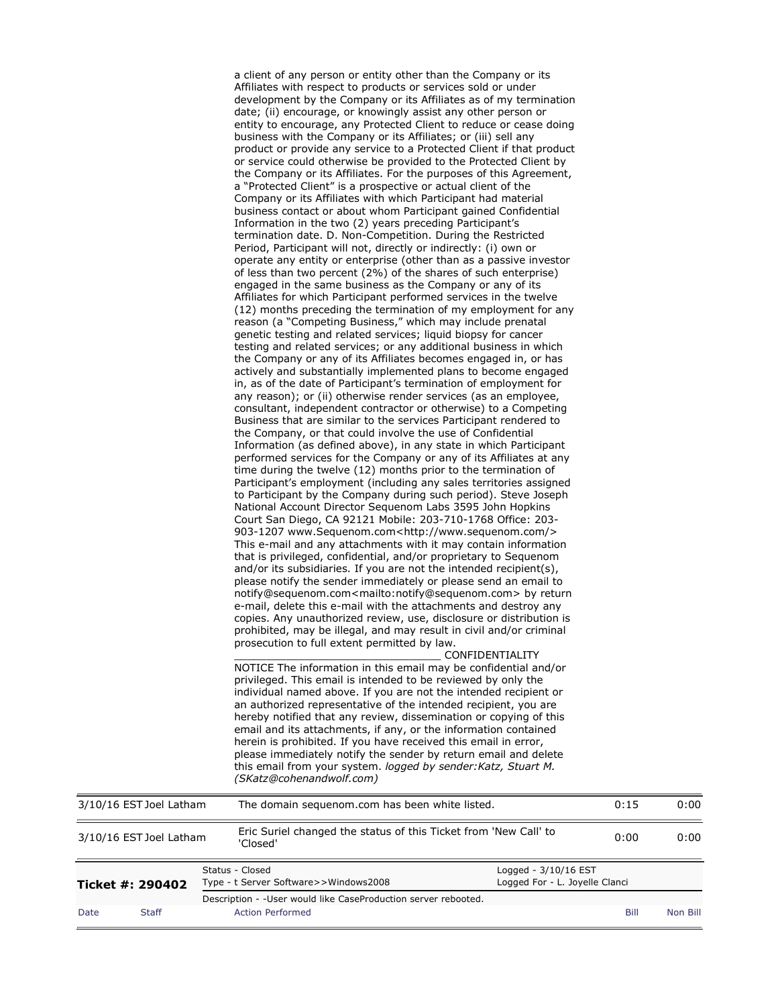|                         | a client of any person or entity other than the Company or its<br>Affiliates with respect to products or services sold or under<br>development by the Company or its Affiliates as of my termination                                                                                                                                                                                                                                                                                                                                                                                                                                                                                                                                                                                                                                                                                                                                                                                                                                                                                                                                                                                                                                                                                                                                                                                                                                                                                                                                                                                                                                                                                                                                                                                                                                                                                                                                                                                                                                                                                                                                                                                                                                                                                                                                                                                                                                                                                                                                                                                                                                                                                                                                                                                                                                                                                                                                                                                                                                                                |      |      |
|-------------------------|---------------------------------------------------------------------------------------------------------------------------------------------------------------------------------------------------------------------------------------------------------------------------------------------------------------------------------------------------------------------------------------------------------------------------------------------------------------------------------------------------------------------------------------------------------------------------------------------------------------------------------------------------------------------------------------------------------------------------------------------------------------------------------------------------------------------------------------------------------------------------------------------------------------------------------------------------------------------------------------------------------------------------------------------------------------------------------------------------------------------------------------------------------------------------------------------------------------------------------------------------------------------------------------------------------------------------------------------------------------------------------------------------------------------------------------------------------------------------------------------------------------------------------------------------------------------------------------------------------------------------------------------------------------------------------------------------------------------------------------------------------------------------------------------------------------------------------------------------------------------------------------------------------------------------------------------------------------------------------------------------------------------------------------------------------------------------------------------------------------------------------------------------------------------------------------------------------------------------------------------------------------------------------------------------------------------------------------------------------------------------------------------------------------------------------------------------------------------------------------------------------------------------------------------------------------------------------------------------------------------------------------------------------------------------------------------------------------------------------------------------------------------------------------------------------------------------------------------------------------------------------------------------------------------------------------------------------------------------------------------------------------------------------------------------------------------|------|------|
|                         | date; (ii) encourage, or knowingly assist any other person or<br>entity to encourage, any Protected Client to reduce or cease doing<br>business with the Company or its Affiliates; or (iii) sell any<br>product or provide any service to a Protected Client if that product<br>or service could otherwise be provided to the Protected Client by<br>the Company or its Affiliates. For the purposes of this Agreement,<br>a "Protected Client" is a prospective or actual client of the<br>Company or its Affiliates with which Participant had material<br>business contact or about whom Participant gained Confidential<br>Information in the two (2) years preceding Participant's<br>termination date. D. Non-Competition. During the Restricted<br>Period, Participant will not, directly or indirectly: (i) own or<br>operate any entity or enterprise (other than as a passive investor<br>of less than two percent (2%) of the shares of such enterprise)<br>engaged in the same business as the Company or any of its<br>Affiliates for which Participant performed services in the twelve<br>(12) months preceding the termination of my employment for any<br>reason (a "Competing Business," which may include prenatal<br>genetic testing and related services; liquid biopsy for cancer<br>testing and related services; or any additional business in which<br>the Company or any of its Affiliates becomes engaged in, or has<br>actively and substantially implemented plans to become engaged<br>in, as of the date of Participant's termination of employment for<br>any reason); or (ii) otherwise render services (as an employee,<br>consultant, independent contractor or otherwise) to a Competing<br>Business that are similar to the services Participant rendered to<br>the Company, or that could involve the use of Confidential<br>Information (as defined above), in any state in which Participant<br>performed services for the Company or any of its Affiliates at any<br>time during the twelve (12) months prior to the termination of<br>Participant's employment (including any sales territories assigned<br>to Participant by the Company during such period). Steve Joseph<br>National Account Director Sequenom Labs 3595 John Hopkins<br>Court San Diego, CA 92121 Mobile: 203-710-1768 Office: 203-<br>903-1207 www.Sequenom.com <http: www.sequenom.com=""></http:><br>This e-mail and any attachments with it may contain information<br>that is privileged, confidential, and/or proprietary to Sequenom<br>and/or its subsidiaries. If you are not the intended recipient(s),<br>please notify the sender immediately or please send an email to<br>notify@sequenom.com <mailto:notify@sequenom.com> by return<br/>e-mail, delete this e-mail with the attachments and destroy any<br/>copies. Any unauthorized review, use, disclosure or distribution is<br/>prohibited, may be illegal, and may result in civil and/or criminal<br/>prosecution to full extent permitted by law.</mailto:notify@sequenom.com> |      |      |
|                         | CONFIDENTIALITY<br>NOTICE The information in this email may be confidential and/or<br>privileged. This email is intended to be reviewed by only the<br>individual named above. If you are not the intended recipient or                                                                                                                                                                                                                                                                                                                                                                                                                                                                                                                                                                                                                                                                                                                                                                                                                                                                                                                                                                                                                                                                                                                                                                                                                                                                                                                                                                                                                                                                                                                                                                                                                                                                                                                                                                                                                                                                                                                                                                                                                                                                                                                                                                                                                                                                                                                                                                                                                                                                                                                                                                                                                                                                                                                                                                                                                                             |      |      |
|                         | an authorized representative of the intended recipient, you are<br>hereby notified that any review, dissemination or copying of this<br>email and its attachments, if any, or the information contained<br>herein is prohibited. If you have received this email in error,<br>please immediately notify the sender by return email and delete<br>this email from your system. logged by sender: Katz, Stuart M.<br>(SKatz@cohenandwolf.com)                                                                                                                                                                                                                                                                                                                                                                                                                                                                                                                                                                                                                                                                                                                                                                                                                                                                                                                                                                                                                                                                                                                                                                                                                                                                                                                                                                                                                                                                                                                                                                                                                                                                                                                                                                                                                                                                                                                                                                                                                                                                                                                                                                                                                                                                                                                                                                                                                                                                                                                                                                                                                         |      |      |
| 3/10/16 EST Joel Latham | The domain sequenom.com has been white listed.                                                                                                                                                                                                                                                                                                                                                                                                                                                                                                                                                                                                                                                                                                                                                                                                                                                                                                                                                                                                                                                                                                                                                                                                                                                                                                                                                                                                                                                                                                                                                                                                                                                                                                                                                                                                                                                                                                                                                                                                                                                                                                                                                                                                                                                                                                                                                                                                                                                                                                                                                                                                                                                                                                                                                                                                                                                                                                                                                                                                                      | 0:15 | 0:00 |
| 3/10/16 EST Joel Latham | Eric Suriel changed the status of this Ticket from 'New Call' to<br>'Closed'                                                                                                                                                                                                                                                                                                                                                                                                                                                                                                                                                                                                                                                                                                                                                                                                                                                                                                                                                                                                                                                                                                                                                                                                                                                                                                                                                                                                                                                                                                                                                                                                                                                                                                                                                                                                                                                                                                                                                                                                                                                                                                                                                                                                                                                                                                                                                                                                                                                                                                                                                                                                                                                                                                                                                                                                                                                                                                                                                                                        | 0:00 | 0:00 |
| Ticket #: 290402        | Status - Closed<br>Logged - 3/10/16 EST<br>Type - t Server Software>>Windows2008<br>Logged For - L. Joyelle Clanci                                                                                                                                                                                                                                                                                                                                                                                                                                                                                                                                                                                                                                                                                                                                                                                                                                                                                                                                                                                                                                                                                                                                                                                                                                                                                                                                                                                                                                                                                                                                                                                                                                                                                                                                                                                                                                                                                                                                                                                                                                                                                                                                                                                                                                                                                                                                                                                                                                                                                                                                                                                                                                                                                                                                                                                                                                                                                                                                                  |      |      |

Description - -User would like CaseProduction server rebooted.

Date Staff Action Performed Action Action Action Action Action Action Action Action Action Action Action Action Action Action Action Action Action Action Action Action Action Action Action Action Action Action Action Actio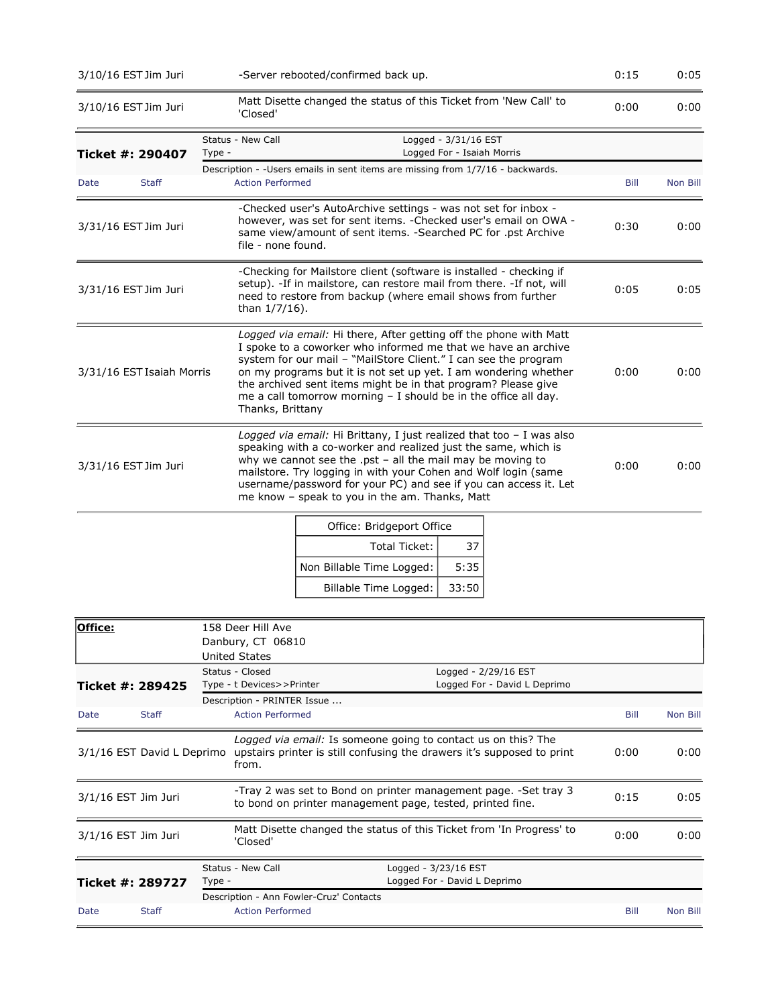|             | 3/10/16 EST Jim Juri      | -Server rebooted/confirmed back up.                                                                                                                                                                                                                                                                                                                                                                                                | 0:15        | 0:05     |
|-------------|---------------------------|------------------------------------------------------------------------------------------------------------------------------------------------------------------------------------------------------------------------------------------------------------------------------------------------------------------------------------------------------------------------------------------------------------------------------------|-------------|----------|
|             | 3/10/16 EST Jim Juri      | Matt Disette changed the status of this Ticket from 'New Call' to<br>'Closed'                                                                                                                                                                                                                                                                                                                                                      | 0:00        | 0:00     |
|             | Ticket #: 290407          | Status - New Call<br>Logged - 3/31/16 EST<br>Logged For - Isaiah Morris<br>Type -                                                                                                                                                                                                                                                                                                                                                  |             |          |
| <b>Date</b> | <b>Staff</b>              | Description - - Users emails in sent items are missing from 1/7/16 - backwards.<br><b>Action Performed</b>                                                                                                                                                                                                                                                                                                                         | <b>Bill</b> | Non Bill |
|             | 3/31/16 EST Jim Juri      | -Checked user's AutoArchive settings - was not set for inbox -<br>however, was set for sent items. - Checked user's email on OWA -<br>same view/amount of sent items. -Searched PC for .pst Archive<br>file - none found.                                                                                                                                                                                                          | 0:30        | 0:00     |
|             | 3/31/16 EST Jim Juri      | -Checking for Mailstore client (software is installed - checking if<br>setup). -If in mailstore, can restore mail from there. -If not, will<br>need to restore from backup (where email shows from further<br>than 1/7/16).                                                                                                                                                                                                        | 0:05        | 0:05     |
|             | 3/31/16 EST Isaiah Morris | Logged via email: Hi there, After getting off the phone with Matt<br>I spoke to a coworker who informed me that we have an archive<br>system for our mail - "MailStore Client." I can see the program<br>on my programs but it is not set up yet. I am wondering whether<br>the archived sent items might be in that program? Please give<br>me a call tomorrow morning $-$ I should be in the office all day.<br>Thanks, Brittany | 0:00        | 0:00     |
|             | 3/31/16 EST Jim Juri      | Logged via email: Hi Brittany, I just realized that too - I was also<br>speaking with a co-worker and realized just the same, which is<br>why we cannot see the .pst $-$ all the mail may be moving to<br>mailstore. Try logging in with your Cohen and Wolf login (same<br>username/password for your PC) and see if you can access it. Let<br>me know - speak to you in the am. Thanks, Matt                                     | 0:00        | 0:00     |
|             |                           |                                                                                                                                                                                                                                                                                                                                                                                                                                    |             |          |

| Office: Bridgeport Office |       |  |  |
|---------------------------|-------|--|--|
| Total Ticket:             | 37    |  |  |
| Non Billable Time Logged: | 5:35  |  |  |
| Billable Time Logged:     | 33:50 |  |  |

| Office:               |                            |        | 158 Deer Hill Ave<br>Danbury, CT 06810<br><b>United States</b> |                                                                                                                                         |                              |      |          |
|-----------------------|----------------------------|--------|----------------------------------------------------------------|-----------------------------------------------------------------------------------------------------------------------------------------|------------------------------|------|----------|
| Ticket #: 289425      |                            |        | Status - Closed<br>Type - t Devices>>Printer                   | Logged - 2/29/16 EST                                                                                                                    | Logged For - David L Deprimo |      |          |
| Date                  | <b>Staff</b>               |        | Description - PRINTER Issue<br><b>Action Performed</b>         |                                                                                                                                         |                              | Bill | Non Bill |
|                       | 3/1/16 EST David L Deprimo |        | from.                                                          | Logged via email: Is someone going to contact us on this? The<br>upstairs printer is still confusing the drawers it's supposed to print |                              | 0:00 | 0:00     |
| $3/1/16$ EST Jim Juri |                            |        |                                                                | -Tray 2 was set to Bond on printer management page. -Set tray 3<br>to bond on printer management page, tested, printed fine.            |                              | 0:15 | 0:05     |
| $3/1/16$ EST Jim Juri |                            |        | 'Closed'                                                       | Matt Disette changed the status of this Ticket from 'In Progress' to                                                                    |                              | 0:00 | 0:00     |
| Ticket #: 289727      |                            | Type - | Status - New Call<br>Description - Ann Fowler-Cruz' Contacts   | Logged - 3/23/16 EST<br>Logged For - David L Deprimo                                                                                    |                              |      |          |
| Date                  | <b>Staff</b>               |        | <b>Action Performed</b>                                        |                                                                                                                                         |                              | Bill | Non Bill |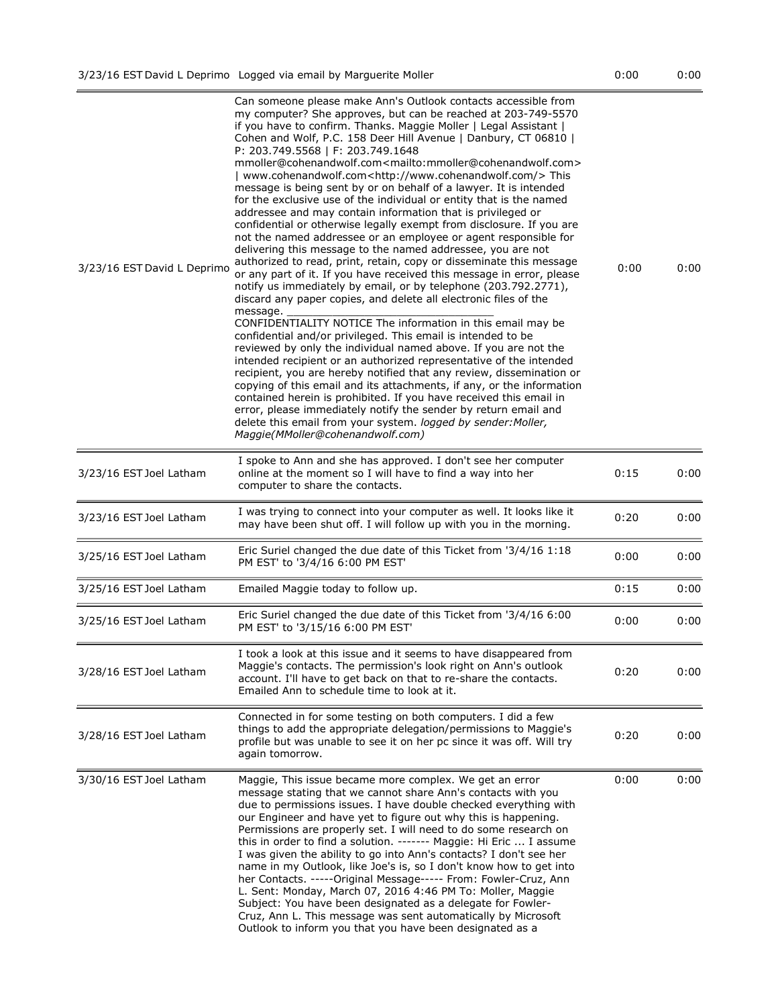| 3/23/16 EST David L Deprimo | Can someone please make Ann's Outlook contacts accessible from<br>my computer? She approves, but can be reached at 203-749-5570<br>if you have to confirm. Thanks. Maggie Moller   Legal Assistant  <br>Cohen and Wolf, P.C. 158 Deer Hill Avenue   Danbury, CT 06810  <br>P: 203.749.5568   F: 203.749.1648<br>mmoller@cohenandwolf.com <mailto:mmoller@cohenandwolf.com><br/>  www.cohenandwolf.com<http: www.cohenandwolf.com=""></http:> This<br/>message is being sent by or on behalf of a lawyer. It is intended<br/>for the exclusive use of the individual or entity that is the named<br/>addressee and may contain information that is privileged or<br/>confidential or otherwise legally exempt from disclosure. If you are<br/>not the named addressee or an employee or agent responsible for<br/>delivering this message to the named addressee, you are not<br/>authorized to read, print, retain, copy or disseminate this message<br/>or any part of it. If you have received this message in error, please<br/>notify us immediately by email, or by telephone (203.792.2771),<br/>discard any paper copies, and delete all electronic files of the<br/>message.<br/>CONFIDENTIALITY NOTICE The information in this email may be<br/>confidential and/or privileged. This email is intended to be<br/>reviewed by only the individual named above. If you are not the<br/>intended recipient or an authorized representative of the intended<br/>recipient, you are hereby notified that any review, dissemination or<br/>copying of this email and its attachments, if any, or the information<br/>contained herein is prohibited. If you have received this email in<br/>error, please immediately notify the sender by return email and<br/>delete this email from your system. logged by sender: Moller,<br/>Maggie(MMoller@cohenandwolf.com)</mailto:mmoller@cohenandwolf.com> | 0:00 | 0:00 |
|-----------------------------|---------------------------------------------------------------------------------------------------------------------------------------------------------------------------------------------------------------------------------------------------------------------------------------------------------------------------------------------------------------------------------------------------------------------------------------------------------------------------------------------------------------------------------------------------------------------------------------------------------------------------------------------------------------------------------------------------------------------------------------------------------------------------------------------------------------------------------------------------------------------------------------------------------------------------------------------------------------------------------------------------------------------------------------------------------------------------------------------------------------------------------------------------------------------------------------------------------------------------------------------------------------------------------------------------------------------------------------------------------------------------------------------------------------------------------------------------------------------------------------------------------------------------------------------------------------------------------------------------------------------------------------------------------------------------------------------------------------------------------------------------------------------------------------------------------------------------------------------------------------------------------------------------------|------|------|
| 3/23/16 EST Joel Latham     | I spoke to Ann and she has approved. I don't see her computer<br>online at the moment so I will have to find a way into her<br>computer to share the contacts.                                                                                                                                                                                                                                                                                                                                                                                                                                                                                                                                                                                                                                                                                                                                                                                                                                                                                                                                                                                                                                                                                                                                                                                                                                                                                                                                                                                                                                                                                                                                                                                                                                                                                                                                          | 0:15 | 0:00 |
| 3/23/16 EST Joel Latham     | I was trying to connect into your computer as well. It looks like it<br>may have been shut off. I will follow up with you in the morning.                                                                                                                                                                                                                                                                                                                                                                                                                                                                                                                                                                                                                                                                                                                                                                                                                                                                                                                                                                                                                                                                                                                                                                                                                                                                                                                                                                                                                                                                                                                                                                                                                                                                                                                                                               | 0:20 | 0:00 |
| 3/25/16 EST Joel Latham     | Eric Suriel changed the due date of this Ticket from '3/4/16 1:18<br>PM EST' to '3/4/16 6:00 PM EST'                                                                                                                                                                                                                                                                                                                                                                                                                                                                                                                                                                                                                                                                                                                                                                                                                                                                                                                                                                                                                                                                                                                                                                                                                                                                                                                                                                                                                                                                                                                                                                                                                                                                                                                                                                                                    | 0:00 | 0:00 |
| 3/25/16 EST Joel Latham     | Emailed Maggie today to follow up.                                                                                                                                                                                                                                                                                                                                                                                                                                                                                                                                                                                                                                                                                                                                                                                                                                                                                                                                                                                                                                                                                                                                                                                                                                                                                                                                                                                                                                                                                                                                                                                                                                                                                                                                                                                                                                                                      | 0:15 | 0:00 |
| 3/25/16 EST Joel Latham     | Eric Suriel changed the due date of this Ticket from '3/4/16 6:00<br>PM EST' to '3/15/16 6:00 PM EST'                                                                                                                                                                                                                                                                                                                                                                                                                                                                                                                                                                                                                                                                                                                                                                                                                                                                                                                                                                                                                                                                                                                                                                                                                                                                                                                                                                                                                                                                                                                                                                                                                                                                                                                                                                                                   | 0:00 | 0:00 |
| 3/28/16 EST Joel Latham     | I took a look at this issue and it seems to have disappeared from<br>Maggie's contacts. The permission's look right on Ann's outlook<br>account. I'll have to get back on that to re-share the contacts.<br>Emailed Ann to schedule time to look at it.                                                                                                                                                                                                                                                                                                                                                                                                                                                                                                                                                                                                                                                                                                                                                                                                                                                                                                                                                                                                                                                                                                                                                                                                                                                                                                                                                                                                                                                                                                                                                                                                                                                 | 0:20 | 0:00 |
| 3/28/16 EST Joel Latham     | Connected in for some testing on both computers. I did a few<br>things to add the appropriate delegation/permissions to Maggie's<br>profile but was unable to see it on her pc since it was off. Will try<br>again tomorrow.                                                                                                                                                                                                                                                                                                                                                                                                                                                                                                                                                                                                                                                                                                                                                                                                                                                                                                                                                                                                                                                                                                                                                                                                                                                                                                                                                                                                                                                                                                                                                                                                                                                                            | 0:20 | 0:00 |
| 3/30/16 EST Joel Latham     | Maggie, This issue became more complex. We get an error<br>message stating that we cannot share Ann's contacts with you<br>due to permissions issues. I have double checked everything with<br>our Engineer and have yet to figure out why this is happening.<br>Permissions are properly set. I will need to do some research on<br>this in order to find a solution. ------- Maggie: Hi Eric  I assume<br>I was given the ability to go into Ann's contacts? I don't see her<br>name in my Outlook, like Joe's is, so I don't know how to get into<br>her Contacts. -----Original Message----- From: Fowler-Cruz, Ann<br>L. Sent: Monday, March 07, 2016 4:46 PM To: Moller, Maggie<br>Subject: You have been designated as a delegate for Fowler-<br>Cruz, Ann L. This message was sent automatically by Microsoft<br>Outlook to inform you that you have been designated as a                                                                                                                                                                                                                                                                                                                                                                                                                                                                                                                                                                                                                                                                                                                                                                                                                                                                                                                                                                                                                       | 0:00 | 0:00 |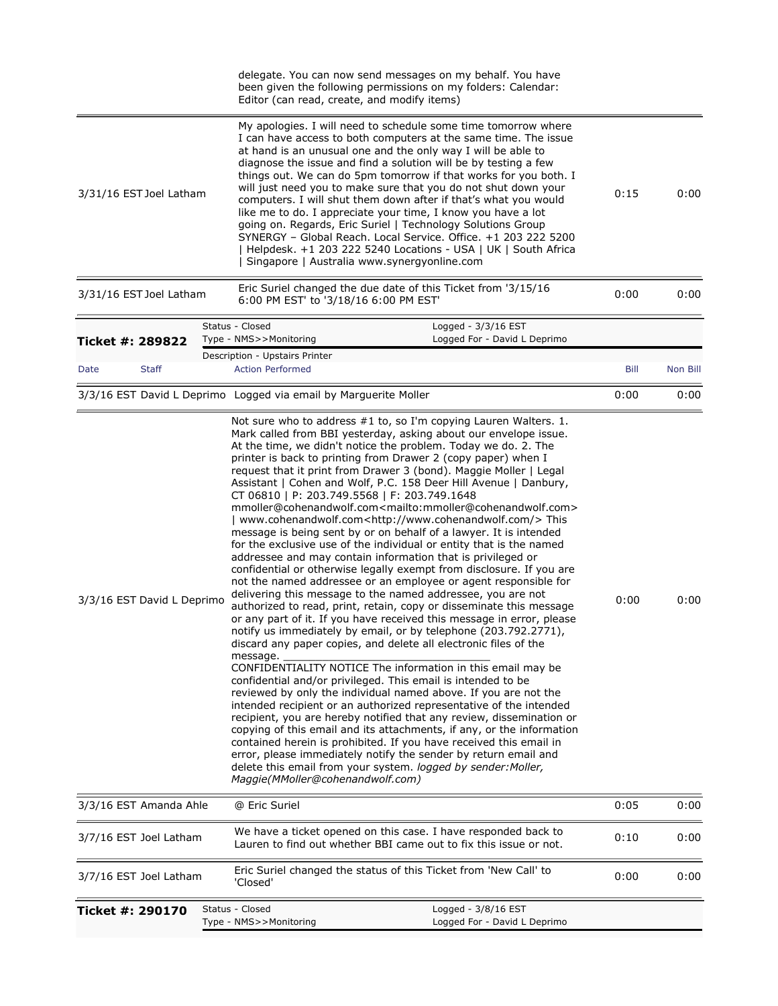|                            | delegate. You can now send messages on my behalf. You have<br>been given the following permissions on my folders: Calendar:<br>Editor (can read, create, and modify items)                                                                                                                                                                                                                                                                                                                                                                                                                                                                                                                                                                                                                                                                                                                                                                                                                                                                                                                                                                                                                                                                                                                                                                                                                                                                                                                                                                                                                                                                                                                                                                                                                                                                                                                                                                                                                                                                                 |      |          |
|----------------------------|------------------------------------------------------------------------------------------------------------------------------------------------------------------------------------------------------------------------------------------------------------------------------------------------------------------------------------------------------------------------------------------------------------------------------------------------------------------------------------------------------------------------------------------------------------------------------------------------------------------------------------------------------------------------------------------------------------------------------------------------------------------------------------------------------------------------------------------------------------------------------------------------------------------------------------------------------------------------------------------------------------------------------------------------------------------------------------------------------------------------------------------------------------------------------------------------------------------------------------------------------------------------------------------------------------------------------------------------------------------------------------------------------------------------------------------------------------------------------------------------------------------------------------------------------------------------------------------------------------------------------------------------------------------------------------------------------------------------------------------------------------------------------------------------------------------------------------------------------------------------------------------------------------------------------------------------------------------------------------------------------------------------------------------------------------|------|----------|
| 3/31/16 EST Joel Latham    | My apologies. I will need to schedule some time tomorrow where<br>I can have access to both computers at the same time. The issue<br>at hand is an unusual one and the only way I will be able to<br>diagnose the issue and find a solution will be by testing a few<br>things out. We can do 5pm tomorrow if that works for you both. I<br>will just need you to make sure that you do not shut down your<br>computers. I will shut them down after if that's what you would<br>like me to do. I appreciate your time, I know you have a lot<br>going on. Regards, Eric Suriel   Technology Solutions Group<br>SYNERGY - Global Reach. Local Service. Office. +1 203 222 5200<br>Helpdesk. +1 203 222 5240 Locations - USA   UK   South Africa<br>Singapore   Australia www.synergyonline.com                                                                                                                                                                                                                                                                                                                                                                                                                                                                                                                                                                                                                                                                                                                                                                                                                                                                                                                                                                                                                                                                                                                                                                                                                                                             | 0:15 | 0:00     |
| 3/31/16 EST Joel Latham    | Eric Suriel changed the due date of this Ticket from '3/15/16<br>6:00 PM EST' to '3/18/16 6:00 PM EST'                                                                                                                                                                                                                                                                                                                                                                                                                                                                                                                                                                                                                                                                                                                                                                                                                                                                                                                                                                                                                                                                                                                                                                                                                                                                                                                                                                                                                                                                                                                                                                                                                                                                                                                                                                                                                                                                                                                                                     | 0:00 | 0:00     |
| Ticket #: 289822           | Status - Closed<br>Logged - 3/3/16 EST<br>Logged For - David L Deprimo<br>Type - NMS>>Monitoring                                                                                                                                                                                                                                                                                                                                                                                                                                                                                                                                                                                                                                                                                                                                                                                                                                                                                                                                                                                                                                                                                                                                                                                                                                                                                                                                                                                                                                                                                                                                                                                                                                                                                                                                                                                                                                                                                                                                                           |      |          |
| <b>Staff</b><br>Date       | Description - Upstairs Printer<br><b>Action Performed</b>                                                                                                                                                                                                                                                                                                                                                                                                                                                                                                                                                                                                                                                                                                                                                                                                                                                                                                                                                                                                                                                                                                                                                                                                                                                                                                                                                                                                                                                                                                                                                                                                                                                                                                                                                                                                                                                                                                                                                                                                  | Bill | Non Bill |
|                            | 3/3/16 EST David L Deprimo Logged via email by Marguerite Moller                                                                                                                                                                                                                                                                                                                                                                                                                                                                                                                                                                                                                                                                                                                                                                                                                                                                                                                                                                                                                                                                                                                                                                                                                                                                                                                                                                                                                                                                                                                                                                                                                                                                                                                                                                                                                                                                                                                                                                                           | 0:00 | 0:00     |
| 3/3/16 EST David L Deprimo | Not sure who to address #1 to, so I'm copying Lauren Walters. 1.<br>Mark called from BBI yesterday, asking about our envelope issue.<br>At the time, we didn't notice the problem. Today we do. 2. The<br>printer is back to printing from Drawer 2 (copy paper) when I<br>request that it print from Drawer 3 (bond). Maggie Moller   Legal<br>Assistant   Cohen and Wolf, P.C. 158 Deer Hill Avenue   Danbury,<br>CT 06810   P: 203.749.5568   F: 203.749.1648<br>mmoller@cohenandwolf.com <mailto:mmoller@cohenandwolf.com><br/>  www.cohenandwolf.com<http: www.cohenandwolf.com=""></http:>This<br/>message is being sent by or on behalf of a lawyer. It is intended<br/>for the exclusive use of the individual or entity that is the named<br/>addressee and may contain information that is privileged or<br/>confidential or otherwise legally exempt from disclosure. If you are<br/>not the named addressee or an employee or agent responsible for<br/>delivering this message to the named addressee, you are not<br/>authorized to read, print, retain, copy or disseminate this message<br/>or any part of it. If you have received this message in error, please<br/>notify us immediately by email, or by telephone (203.792.2771),<br/>discard any paper copies, and delete all electronic files of the<br/>message.<br/>CONFIDENTIALITY NOTICE The information in this email may be<br/>confidential and/or privileged. This email is intended to be<br/>reviewed by only the individual named above. If you are not the<br/>intended recipient or an authorized representative of the intended<br/>recipient, you are hereby notified that any review, dissemination or<br/>copying of this email and its attachments, if any, or the information<br/>contained herein is prohibited. If you have received this email in<br/>error, please immediately notify the sender by return email and<br/>delete this email from your system. logged by sender: Moller,<br/>Maggie(MMoller@cohenandwolf.com)</mailto:mmoller@cohenandwolf.com> | 0:00 | 0:00     |
| 3/3/16 EST Amanda Ahle     | @ Eric Suriel                                                                                                                                                                                                                                                                                                                                                                                                                                                                                                                                                                                                                                                                                                                                                                                                                                                                                                                                                                                                                                                                                                                                                                                                                                                                                                                                                                                                                                                                                                                                                                                                                                                                                                                                                                                                                                                                                                                                                                                                                                              | 0:05 | 0:00     |
| 3/7/16 EST Joel Latham     | We have a ticket opened on this case. I have responded back to<br>Lauren to find out whether BBI came out to fix this issue or not.                                                                                                                                                                                                                                                                                                                                                                                                                                                                                                                                                                                                                                                                                                                                                                                                                                                                                                                                                                                                                                                                                                                                                                                                                                                                                                                                                                                                                                                                                                                                                                                                                                                                                                                                                                                                                                                                                                                        | 0:10 | 0:00     |
| 3/7/16 EST Joel Latham     | Eric Suriel changed the status of this Ticket from 'New Call' to<br>'Closed'                                                                                                                                                                                                                                                                                                                                                                                                                                                                                                                                                                                                                                                                                                                                                                                                                                                                                                                                                                                                                                                                                                                                                                                                                                                                                                                                                                                                                                                                                                                                                                                                                                                                                                                                                                                                                                                                                                                                                                               | 0:00 | 0:00     |
| Ticket #: 290170           | Status - Closed<br>Logged - 3/8/16 EST<br>Type - NMS>>Monitoring<br>Logged For - David L Deprimo                                                                                                                                                                                                                                                                                                                                                                                                                                                                                                                                                                                                                                                                                                                                                                                                                                                                                                                                                                                                                                                                                                                                                                                                                                                                                                                                                                                                                                                                                                                                                                                                                                                                                                                                                                                                                                                                                                                                                           |      |          |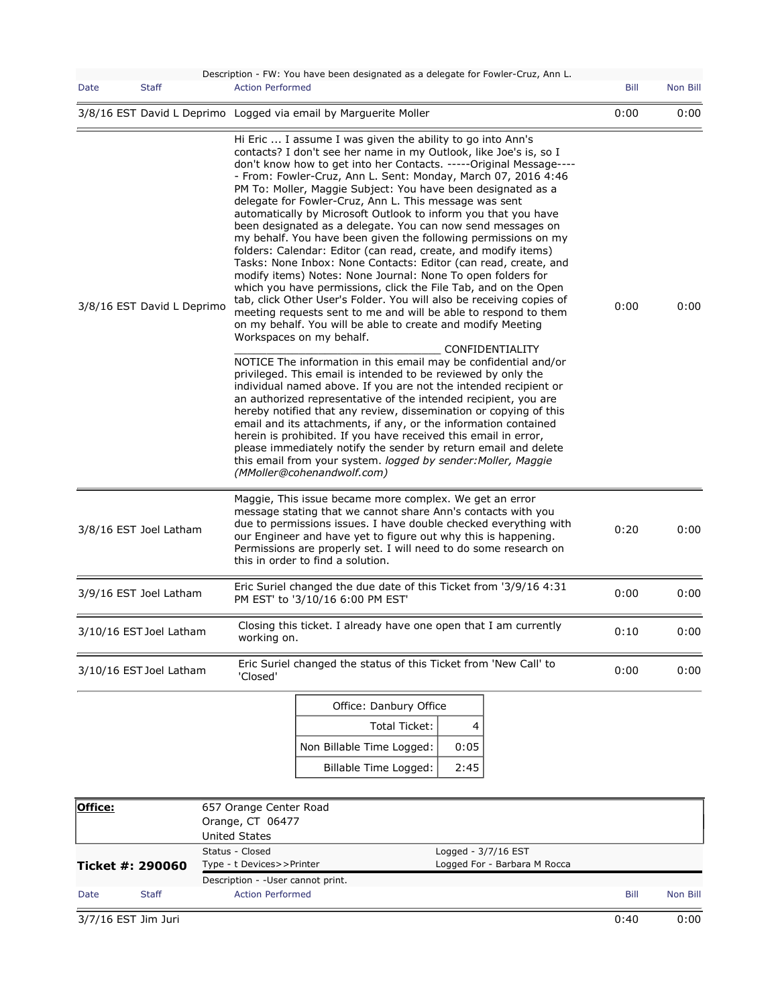| <b>Action Performed</b><br><b>Staff</b><br>Bill<br>Non Bill<br>Date<br>0:00<br>3/8/16 EST David L Deprimo Logged via email by Marguerite Moller<br>0:00<br>Hi Eric  I assume I was given the ability to go into Ann's<br>contacts? I don't see her name in my Outlook, like Joe's is, so I<br>don't know how to get into her Contacts. -----Original Message----<br>- From: Fowler-Cruz, Ann L. Sent: Monday, March 07, 2016 4:46<br>PM To: Moller, Maggie Subject: You have been designated as a<br>delegate for Fowler-Cruz, Ann L. This message was sent<br>automatically by Microsoft Outlook to inform you that you have<br>been designated as a delegate. You can now send messages on<br>my behalf. You have been given the following permissions on my<br>folders: Calendar: Editor (can read, create, and modify items)<br>Tasks: None Inbox: None Contacts: Editor (can read, create, and<br>modify items) Notes: None Journal: None To open folders for<br>which you have permissions, click the File Tab, and on the Open<br>tab, click Other User's Folder. You will also be receiving copies of<br>0:00<br>3/8/16 EST David L Deprimo<br>0:00<br>meeting requests sent to me and will be able to respond to them<br>on my behalf. You will be able to create and modify Meeting<br>Workspaces on my behalf.<br><b>CONFIDENTIALITY</b><br>NOTICE The information in this email may be confidential and/or<br>privileged. This email is intended to be reviewed by only the<br>individual named above. If you are not the intended recipient or<br>an authorized representative of the intended recipient, you are<br>hereby notified that any review, dissemination or copying of this<br>email and its attachments, if any, or the information contained<br>herein is prohibited. If you have received this email in error,<br>please immediately notify the sender by return email and delete<br>this email from your system. logged by sender: Moller, Maggie<br>(MMoller@cohenandwolf.com)<br>Maggie, This issue became more complex. We get an error<br>message stating that we cannot share Ann's contacts with you<br>due to permissions issues. I have double checked everything with<br>0:20<br>0:00<br>3/8/16 EST Joel Latham<br>our Engineer and have yet to figure out why this is happening.<br>Permissions are properly set. I will need to do some research on<br>this in order to find a solution.<br>Eric Suriel changed the due date of this Ticket from '3/9/16 4:31<br>0:00<br>0:00<br>3/9/16 EST Joel Latham<br>PM EST' to '3/10/16 6:00 PM EST'<br>Closing this ticket. I already have one open that I am currently<br>0:00<br>3/10/16 EST Joel Latham<br>0:10<br>working on.<br>Eric Suriel changed the status of this Ticket from 'New Call' to<br>0:00<br>3/10/16 EST Joel Latham<br>0:00<br>'Closed'<br>Office: Danbury Office<br>Total Ticket:<br>4<br>Non Billable Time Logged:<br>0:05<br>Billable Time Logged:<br>2:45 |  |  | Description - FW: You have been designated as a delegate for Fowler-Cruz, Ann L. |  |  |  |  |
|-------------------------------------------------------------------------------------------------------------------------------------------------------------------------------------------------------------------------------------------------------------------------------------------------------------------------------------------------------------------------------------------------------------------------------------------------------------------------------------------------------------------------------------------------------------------------------------------------------------------------------------------------------------------------------------------------------------------------------------------------------------------------------------------------------------------------------------------------------------------------------------------------------------------------------------------------------------------------------------------------------------------------------------------------------------------------------------------------------------------------------------------------------------------------------------------------------------------------------------------------------------------------------------------------------------------------------------------------------------------------------------------------------------------------------------------------------------------------------------------------------------------------------------------------------------------------------------------------------------------------------------------------------------------------------------------------------------------------------------------------------------------------------------------------------------------------------------------------------------------------------------------------------------------------------------------------------------------------------------------------------------------------------------------------------------------------------------------------------------------------------------------------------------------------------------------------------------------------------------------------------------------------------------------------------------------------------------------------------------------------------------------------------------------------------------------------------------------------------------------------------------------------------------------------------------------------------------------------------------------------------------------------------------------------------------------------------------------------------------------------------------------------------------------------------------------------------------------------------------------------------------------------------------------------------------------------------------------|--|--|----------------------------------------------------------------------------------|--|--|--|--|
|                                                                                                                                                                                                                                                                                                                                                                                                                                                                                                                                                                                                                                                                                                                                                                                                                                                                                                                                                                                                                                                                                                                                                                                                                                                                                                                                                                                                                                                                                                                                                                                                                                                                                                                                                                                                                                                                                                                                                                                                                                                                                                                                                                                                                                                                                                                                                                                                                                                                                                                                                                                                                                                                                                                                                                                                                                                                                                                                                                   |  |  |                                                                                  |  |  |  |  |
|                                                                                                                                                                                                                                                                                                                                                                                                                                                                                                                                                                                                                                                                                                                                                                                                                                                                                                                                                                                                                                                                                                                                                                                                                                                                                                                                                                                                                                                                                                                                                                                                                                                                                                                                                                                                                                                                                                                                                                                                                                                                                                                                                                                                                                                                                                                                                                                                                                                                                                                                                                                                                                                                                                                                                                                                                                                                                                                                                                   |  |  |                                                                                  |  |  |  |  |
|                                                                                                                                                                                                                                                                                                                                                                                                                                                                                                                                                                                                                                                                                                                                                                                                                                                                                                                                                                                                                                                                                                                                                                                                                                                                                                                                                                                                                                                                                                                                                                                                                                                                                                                                                                                                                                                                                                                                                                                                                                                                                                                                                                                                                                                                                                                                                                                                                                                                                                                                                                                                                                                                                                                                                                                                                                                                                                                                                                   |  |  |                                                                                  |  |  |  |  |
|                                                                                                                                                                                                                                                                                                                                                                                                                                                                                                                                                                                                                                                                                                                                                                                                                                                                                                                                                                                                                                                                                                                                                                                                                                                                                                                                                                                                                                                                                                                                                                                                                                                                                                                                                                                                                                                                                                                                                                                                                                                                                                                                                                                                                                                                                                                                                                                                                                                                                                                                                                                                                                                                                                                                                                                                                                                                                                                                                                   |  |  |                                                                                  |  |  |  |  |
|                                                                                                                                                                                                                                                                                                                                                                                                                                                                                                                                                                                                                                                                                                                                                                                                                                                                                                                                                                                                                                                                                                                                                                                                                                                                                                                                                                                                                                                                                                                                                                                                                                                                                                                                                                                                                                                                                                                                                                                                                                                                                                                                                                                                                                                                                                                                                                                                                                                                                                                                                                                                                                                                                                                                                                                                                                                                                                                                                                   |  |  |                                                                                  |  |  |  |  |
|                                                                                                                                                                                                                                                                                                                                                                                                                                                                                                                                                                                                                                                                                                                                                                                                                                                                                                                                                                                                                                                                                                                                                                                                                                                                                                                                                                                                                                                                                                                                                                                                                                                                                                                                                                                                                                                                                                                                                                                                                                                                                                                                                                                                                                                                                                                                                                                                                                                                                                                                                                                                                                                                                                                                                                                                                                                                                                                                                                   |  |  |                                                                                  |  |  |  |  |
|                                                                                                                                                                                                                                                                                                                                                                                                                                                                                                                                                                                                                                                                                                                                                                                                                                                                                                                                                                                                                                                                                                                                                                                                                                                                                                                                                                                                                                                                                                                                                                                                                                                                                                                                                                                                                                                                                                                                                                                                                                                                                                                                                                                                                                                                                                                                                                                                                                                                                                                                                                                                                                                                                                                                                                                                                                                                                                                                                                   |  |  |                                                                                  |  |  |  |  |
|                                                                                                                                                                                                                                                                                                                                                                                                                                                                                                                                                                                                                                                                                                                                                                                                                                                                                                                                                                                                                                                                                                                                                                                                                                                                                                                                                                                                                                                                                                                                                                                                                                                                                                                                                                                                                                                                                                                                                                                                                                                                                                                                                                                                                                                                                                                                                                                                                                                                                                                                                                                                                                                                                                                                                                                                                                                                                                                                                                   |  |  |                                                                                  |  |  |  |  |
|                                                                                                                                                                                                                                                                                                                                                                                                                                                                                                                                                                                                                                                                                                                                                                                                                                                                                                                                                                                                                                                                                                                                                                                                                                                                                                                                                                                                                                                                                                                                                                                                                                                                                                                                                                                                                                                                                                                                                                                                                                                                                                                                                                                                                                                                                                                                                                                                                                                                                                                                                                                                                                                                                                                                                                                                                                                                                                                                                                   |  |  |                                                                                  |  |  |  |  |
|                                                                                                                                                                                                                                                                                                                                                                                                                                                                                                                                                                                                                                                                                                                                                                                                                                                                                                                                                                                                                                                                                                                                                                                                                                                                                                                                                                                                                                                                                                                                                                                                                                                                                                                                                                                                                                                                                                                                                                                                                                                                                                                                                                                                                                                                                                                                                                                                                                                                                                                                                                                                                                                                                                                                                                                                                                                                                                                                                                   |  |  |                                                                                  |  |  |  |  |
|                                                                                                                                                                                                                                                                                                                                                                                                                                                                                                                                                                                                                                                                                                                                                                                                                                                                                                                                                                                                                                                                                                                                                                                                                                                                                                                                                                                                                                                                                                                                                                                                                                                                                                                                                                                                                                                                                                                                                                                                                                                                                                                                                                                                                                                                                                                                                                                                                                                                                                                                                                                                                                                                                                                                                                                                                                                                                                                                                                   |  |  |                                                                                  |  |  |  |  |
|                                                                                                                                                                                                                                                                                                                                                                                                                                                                                                                                                                                                                                                                                                                                                                                                                                                                                                                                                                                                                                                                                                                                                                                                                                                                                                                                                                                                                                                                                                                                                                                                                                                                                                                                                                                                                                                                                                                                                                                                                                                                                                                                                                                                                                                                                                                                                                                                                                                                                                                                                                                                                                                                                                                                                                                                                                                                                                                                                                   |  |  |                                                                                  |  |  |  |  |

| Office: |                     | 657 Orange Center Road             |                              |      |          |
|---------|---------------------|------------------------------------|------------------------------|------|----------|
|         |                     | Orange, CT 06477                   |                              |      |          |
|         |                     | United States                      |                              |      |          |
|         |                     | Status - Closed                    | Logged - $3/7/16$ EST        |      |          |
|         | Ticket #: 290060    | Type - t Devices>>Printer          | Logged For - Barbara M Rocca |      |          |
|         |                     | Description - - User cannot print. |                              |      |          |
| Date    | Staff               | <b>Action Performed</b>            |                              | Bill | Non Bill |
|         | 3/7/16 EST Jim Juri |                                    |                              | 0:40 | 0:00     |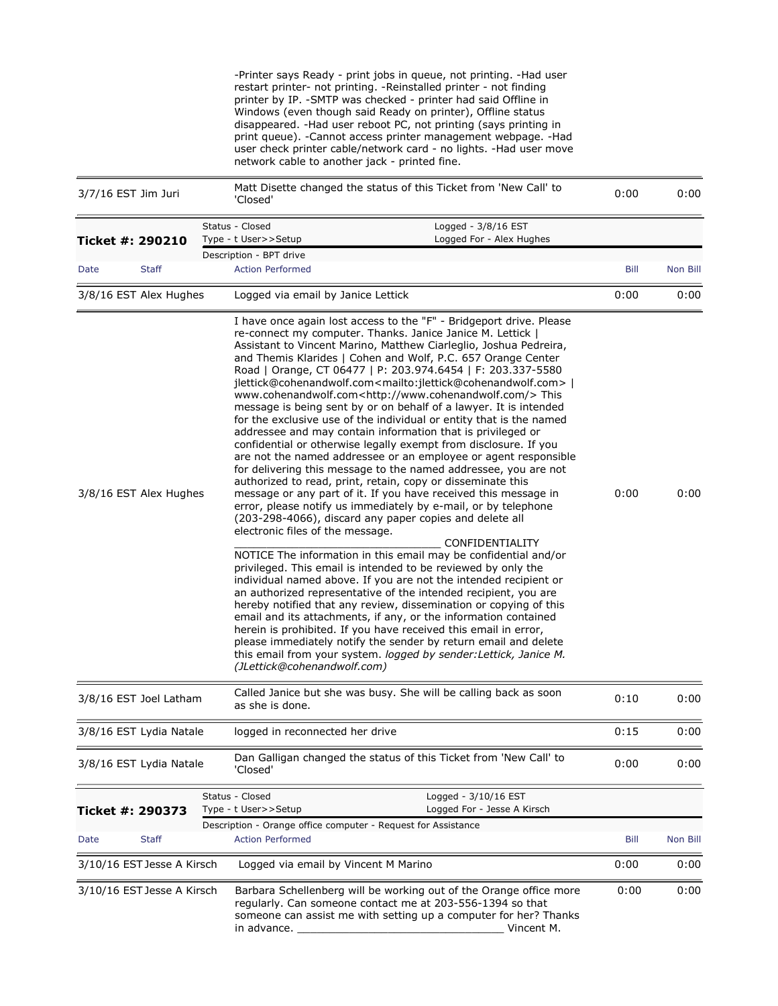| 3/7/16 EST Jim Juri        |              | 'Closed'                                                        | -Printer says Ready - print jobs in queue, not printing. -Had user<br>restart printer- not printing. -Reinstalled printer - not finding<br>printer by IP. - SMTP was checked - printer had said Offline in<br>Windows (even though said Ready on printer), Offline status<br>disappeared. - Had user reboot PC, not printing (says printing in<br>print queue). - Cannot access printer management webpage. - Had<br>user check printer cable/network card - no lights. -Had user move<br>network cable to another jack - printed fine.<br>Matt Disette changed the status of this Ticket from 'New Call' to                                                                                                                                                                                                                                                                                                                                                                                                                                                                                                                                                                                                                                                                                                                                                                                                                                                                                                                                                                                                                                                                                                                                                                                                                                                          | 0:00 | 0:00     |
|----------------------------|--------------|-----------------------------------------------------------------|-----------------------------------------------------------------------------------------------------------------------------------------------------------------------------------------------------------------------------------------------------------------------------------------------------------------------------------------------------------------------------------------------------------------------------------------------------------------------------------------------------------------------------------------------------------------------------------------------------------------------------------------------------------------------------------------------------------------------------------------------------------------------------------------------------------------------------------------------------------------------------------------------------------------------------------------------------------------------------------------------------------------------------------------------------------------------------------------------------------------------------------------------------------------------------------------------------------------------------------------------------------------------------------------------------------------------------------------------------------------------------------------------------------------------------------------------------------------------------------------------------------------------------------------------------------------------------------------------------------------------------------------------------------------------------------------------------------------------------------------------------------------------------------------------------------------------------------------------------------------------|------|----------|
| Ticket #: 290210           |              | Status - Closed<br>Type - t User>>Setup                         | Logged - 3/8/16 EST<br>Logged For - Alex Hughes                                                                                                                                                                                                                                                                                                                                                                                                                                                                                                                                                                                                                                                                                                                                                                                                                                                                                                                                                                                                                                                                                                                                                                                                                                                                                                                                                                                                                                                                                                                                                                                                                                                                                                                                                                                                                       |      |          |
|                            |              | Description - BPT drive                                         |                                                                                                                                                                                                                                                                                                                                                                                                                                                                                                                                                                                                                                                                                                                                                                                                                                                                                                                                                                                                                                                                                                                                                                                                                                                                                                                                                                                                                                                                                                                                                                                                                                                                                                                                                                                                                                                                       |      |          |
| Date                       | <b>Staff</b> | <b>Action Performed</b>                                         |                                                                                                                                                                                                                                                                                                                                                                                                                                                                                                                                                                                                                                                                                                                                                                                                                                                                                                                                                                                                                                                                                                                                                                                                                                                                                                                                                                                                                                                                                                                                                                                                                                                                                                                                                                                                                                                                       | Bill | Non Bill |
| 3/8/16 EST Alex Hughes     |              | Logged via email by Janice Lettick                              |                                                                                                                                                                                                                                                                                                                                                                                                                                                                                                                                                                                                                                                                                                                                                                                                                                                                                                                                                                                                                                                                                                                                                                                                                                                                                                                                                                                                                                                                                                                                                                                                                                                                                                                                                                                                                                                                       | 0:00 | 0:00     |
| 3/8/16 EST Alex Hughes     |              | electronic files of the message.<br>(JLettick@cohenandwolf.com) | I have once again lost access to the "F" - Bridgeport drive. Please<br>re-connect my computer. Thanks. Janice Janice M. Lettick  <br>Assistant to Vincent Marino, Matthew Ciarleglio, Joshua Pedreira,<br>and Themis Klarides   Cohen and Wolf, P.C. 657 Orange Center<br>Road   Orange, CT 06477   P: 203.974.6454   F: 203.337-5580<br>jlettick@cohenandwolf.com <mailto:jlettick@cohenandwolf.com><br/>www.cohenandwolf.com<http: www.cohenandwolf.com=""></http:>This<br/>message is being sent by or on behalf of a lawyer. It is intended<br/>for the exclusive use of the individual or entity that is the named<br/>addressee and may contain information that is privileged or<br/>confidential or otherwise legally exempt from disclosure. If you<br/>are not the named addressee or an employee or agent responsible<br/>for delivering this message to the named addressee, you are not<br/>authorized to read, print, retain, copy or disseminate this<br/>message or any part of it. If you have received this message in<br/>error, please notify us immediately by e-mail, or by telephone<br/>(203-298-4066), discard any paper copies and delete all<br/>CONFIDENTIALITY<br/>NOTICE The information in this email may be confidential and/or<br/>privileged. This email is intended to be reviewed by only the<br/>individual named above. If you are not the intended recipient or<br/>an authorized representative of the intended recipient, you are<br/>hereby notified that any review, dissemination or copying of this<br/>email and its attachments, if any, or the information contained<br/>herein is prohibited. If you have received this email in error,<br/>please immediately notify the sender by return email and delete<br/>this email from your system. logged by sender: Lettick, Janice M.</mailto:jlettick@cohenandwolf.com> | 0:00 | 0:00     |
| 3/8/16 EST Joel Latham     |              | as she is done.                                                 | Called Janice but she was busy. She will be calling back as soon                                                                                                                                                                                                                                                                                                                                                                                                                                                                                                                                                                                                                                                                                                                                                                                                                                                                                                                                                                                                                                                                                                                                                                                                                                                                                                                                                                                                                                                                                                                                                                                                                                                                                                                                                                                                      | 0:10 | 0:00     |
| 3/8/16 EST Lydia Natale    |              | logged in reconnected her drive                                 |                                                                                                                                                                                                                                                                                                                                                                                                                                                                                                                                                                                                                                                                                                                                                                                                                                                                                                                                                                                                                                                                                                                                                                                                                                                                                                                                                                                                                                                                                                                                                                                                                                                                                                                                                                                                                                                                       | 0:15 | 0:00     |
| 3/8/16 EST Lydia Natale    |              | 'Closed'                                                        | Dan Galligan changed the status of this Ticket from 'New Call' to                                                                                                                                                                                                                                                                                                                                                                                                                                                                                                                                                                                                                                                                                                                                                                                                                                                                                                                                                                                                                                                                                                                                                                                                                                                                                                                                                                                                                                                                                                                                                                                                                                                                                                                                                                                                     | 0:00 | 0:00     |
| Ticket #: 290373           |              | Status - Closed<br>Type - t User>>Setup                         | Logged - 3/10/16 EST<br>Logged For - Jesse A Kirsch                                                                                                                                                                                                                                                                                                                                                                                                                                                                                                                                                                                                                                                                                                                                                                                                                                                                                                                                                                                                                                                                                                                                                                                                                                                                                                                                                                                                                                                                                                                                                                                                                                                                                                                                                                                                                   |      |          |
| Date                       | <b>Staff</b> | <b>Action Performed</b>                                         | Description - Orange office computer - Request for Assistance                                                                                                                                                                                                                                                                                                                                                                                                                                                                                                                                                                                                                                                                                                                                                                                                                                                                                                                                                                                                                                                                                                                                                                                                                                                                                                                                                                                                                                                                                                                                                                                                                                                                                                                                                                                                         | Bill | Non Bill |
| 3/10/16 EST Jesse A Kirsch |              | Logged via email by Vincent M Marino                            |                                                                                                                                                                                                                                                                                                                                                                                                                                                                                                                                                                                                                                                                                                                                                                                                                                                                                                                                                                                                                                                                                                                                                                                                                                                                                                                                                                                                                                                                                                                                                                                                                                                                                                                                                                                                                                                                       | 0:00 | 0:00     |
| 3/10/16 EST Jesse A Kirsch |              | in advance.                                                     | Barbara Schellenberg will be working out of the Orange office more<br>regularly. Can someone contact me at 203-556-1394 so that<br>someone can assist me with setting up a computer for her? Thanks<br>Vincent M.                                                                                                                                                                                                                                                                                                                                                                                                                                                                                                                                                                                                                                                                                                                                                                                                                                                                                                                                                                                                                                                                                                                                                                                                                                                                                                                                                                                                                                                                                                                                                                                                                                                     | 0:00 | 0:00     |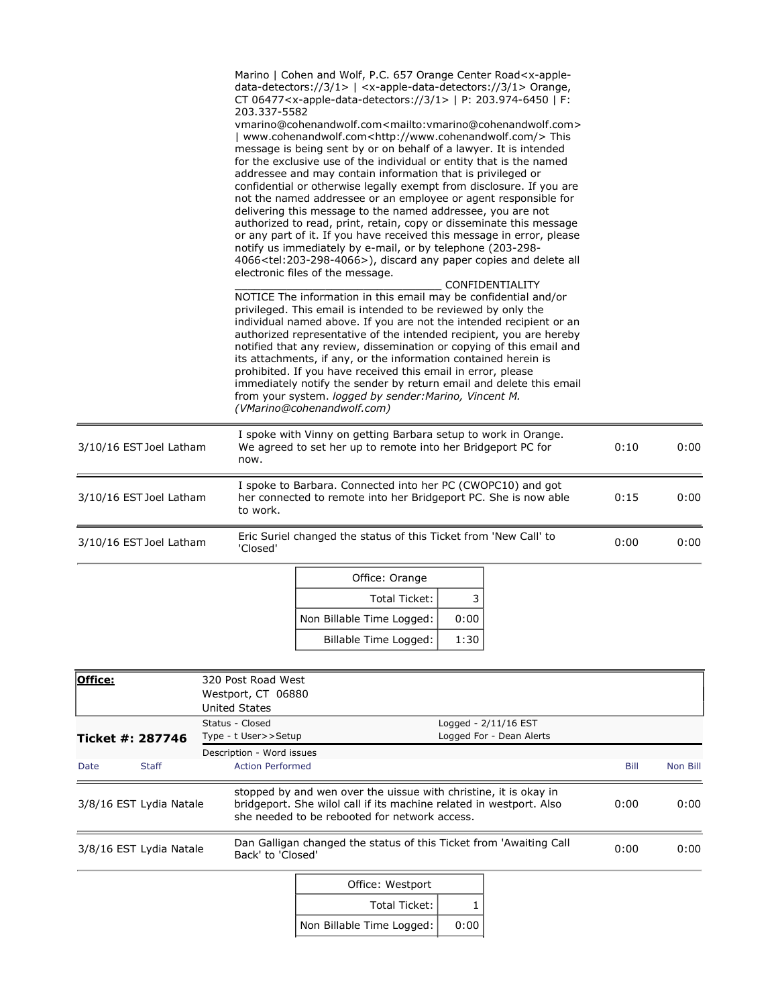|                         | 203.337-5582 | Marino   Cohen and Wolf, P.C. 657 Orange Center Road <x-apple-<br>data-detectors://3/1&gt;   <x-apple-data-detectors: 1="" 3=""> Orange,<br/>CT 06477<x-apple-data-detectors: 1="" 3="">   P: 203.974-6450   F:<br/>vmarino@cohenandwolf.com<mailto:vmarino@cohenandwolf.com><br/>www.cohenandwolf.com<http: www.cohenandwolf.com=""></http:>This<br/>message is being sent by or on behalf of a lawyer. It is intended<br/>for the exclusive use of the individual or entity that is the named<br/>addressee and may contain information that is privileged or<br/>confidential or otherwise legally exempt from disclosure. If you are<br/>not the named addressee or an employee or agent responsible for<br/>delivering this message to the named addressee, you are not<br/>authorized to read, print, retain, copy or disseminate this message<br/>or any part of it. If you have received this message in error, please<br/>notify us immediately by e-mail, or by telephone (203-298-<br/>4066<tel:203-298-4066>), discard any paper copies and delete all<br/>electronic files of the message.<br/>NOTICE The information in this email may be confidential and/or<br/>privileged. This email is intended to be reviewed by only the<br/>individual named above. If you are not the intended recipient or an<br/>authorized representative of the intended recipient, you are hereby<br/>notified that any review, dissemination or copying of this email and<br/>its attachments, if any, or the information contained herein is<br/>prohibited. If you have received this email in error, please<br/>immediately notify the sender by return email and delete this email<br/>from your system. logged by sender: Marino, Vincent M.<br/>(VMarino@cohenandwolf.com)</tel:203-298-4066></mailto:vmarino@cohenandwolf.com></x-apple-data-detectors:></x-apple-data-detectors:></x-apple-<br> |      | CONFIDENTIALITY |      |      |
|-------------------------|--------------|------------------------------------------------------------------------------------------------------------------------------------------------------------------------------------------------------------------------------------------------------------------------------------------------------------------------------------------------------------------------------------------------------------------------------------------------------------------------------------------------------------------------------------------------------------------------------------------------------------------------------------------------------------------------------------------------------------------------------------------------------------------------------------------------------------------------------------------------------------------------------------------------------------------------------------------------------------------------------------------------------------------------------------------------------------------------------------------------------------------------------------------------------------------------------------------------------------------------------------------------------------------------------------------------------------------------------------------------------------------------------------------------------------------------------------------------------------------------------------------------------------------------------------------------------------------------------------------------------------------------------------------------------------------------------------------------------------------------------------------------------------------------------------------------------------------------------------------------------------------------------------------------------|------|-----------------|------|------|
| 3/10/16 EST Joel Latham | now.         | I spoke with Vinny on getting Barbara setup to work in Orange.<br>We agreed to set her up to remote into her Bridgeport PC for                                                                                                                                                                                                                                                                                                                                                                                                                                                                                                                                                                                                                                                                                                                                                                                                                                                                                                                                                                                                                                                                                                                                                                                                                                                                                                                                                                                                                                                                                                                                                                                                                                                                                                                                                                       |      |                 | 0:10 | 0:00 |
| 3/10/16 EST Joel Latham | to work.     | I spoke to Barbara. Connected into her PC (CWOPC10) and got<br>her connected to remote into her Bridgeport PC. She is now able                                                                                                                                                                                                                                                                                                                                                                                                                                                                                                                                                                                                                                                                                                                                                                                                                                                                                                                                                                                                                                                                                                                                                                                                                                                                                                                                                                                                                                                                                                                                                                                                                                                                                                                                                                       |      |                 | 0:15 | 0:00 |
| 3/10/16 EST Joel Latham | 'Closed'     | Eric Suriel changed the status of this Ticket from 'New Call' to                                                                                                                                                                                                                                                                                                                                                                                                                                                                                                                                                                                                                                                                                                                                                                                                                                                                                                                                                                                                                                                                                                                                                                                                                                                                                                                                                                                                                                                                                                                                                                                                                                                                                                                                                                                                                                     |      |                 | 0:00 | 0:00 |
|                         |              | Office: Orange                                                                                                                                                                                                                                                                                                                                                                                                                                                                                                                                                                                                                                                                                                                                                                                                                                                                                                                                                                                                                                                                                                                                                                                                                                                                                                                                                                                                                                                                                                                                                                                                                                                                                                                                                                                                                                                                                       |      |                 |      |      |
|                         |              | <b>Total Ticket:</b>                                                                                                                                                                                                                                                                                                                                                                                                                                                                                                                                                                                                                                                                                                                                                                                                                                                                                                                                                                                                                                                                                                                                                                                                                                                                                                                                                                                                                                                                                                                                                                                                                                                                                                                                                                                                                                                                                 | 3    |                 |      |      |
|                         |              | Non Billable Time Logged:                                                                                                                                                                                                                                                                                                                                                                                                                                                                                                                                                                                                                                                                                                                                                                                                                                                                                                                                                                                                                                                                                                                                                                                                                                                                                                                                                                                                                                                                                                                                                                                                                                                                                                                                                                                                                                                                            | 0:00 |                 |      |      |
|                         |              | Billable Time Logged:                                                                                                                                                                                                                                                                                                                                                                                                                                                                                                                                                                                                                                                                                                                                                                                                                                                                                                                                                                                                                                                                                                                                                                                                                                                                                                                                                                                                                                                                                                                                                                                                                                                                                                                                                                                                                                                                                | 1:30 |                 |      |      |

| Office:                 |              |                           | 320 Post Road West      |  |                                                                                                                                                                                          |      |                                                                    |      |          |
|-------------------------|--------------|---------------------------|-------------------------|--|------------------------------------------------------------------------------------------------------------------------------------------------------------------------------------------|------|--------------------------------------------------------------------|------|----------|
|                         |              |                           | Westport, CT 06880      |  |                                                                                                                                                                                          |      |                                                                    |      |          |
|                         |              |                           | <b>United States</b>    |  |                                                                                                                                                                                          |      |                                                                    |      |          |
|                         |              |                           | Status - Closed         |  |                                                                                                                                                                                          |      | Logged - 2/11/16 EST                                               |      |          |
| Ticket #: 287746        |              | Type - t User>>Setup      |                         |  |                                                                                                                                                                                          |      | Logged For - Dean Alerts                                           |      |          |
|                         |              | Description - Word issues |                         |  |                                                                                                                                                                                          |      |                                                                    |      |          |
| Date                    | <b>Staff</b> |                           | <b>Action Performed</b> |  |                                                                                                                                                                                          |      |                                                                    | Bill | Non Bill |
| 3/8/16 EST Lydia Natale |              |                           |                         |  | stopped by and wen over the uissue with christine, it is okay in<br>bridgeport. She wilol call if its machine related in westport. Also<br>she needed to be rebooted for network access. |      |                                                                    | 0:00 | 0:00     |
| 3/8/16 EST Lydia Natale |              |                           | Back' to 'Closed'       |  |                                                                                                                                                                                          |      | Dan Galligan changed the status of this Ticket from 'Awaiting Call | 0:00 | 0:00     |
|                         |              |                           |                         |  | Office: Westport                                                                                                                                                                         |      |                                                                    |      |          |
|                         |              |                           |                         |  | Total Ticket:                                                                                                                                                                            |      |                                                                    |      |          |
|                         |              |                           |                         |  | Non Billable Time Logged:                                                                                                                                                                | 0:00 |                                                                    |      |          |